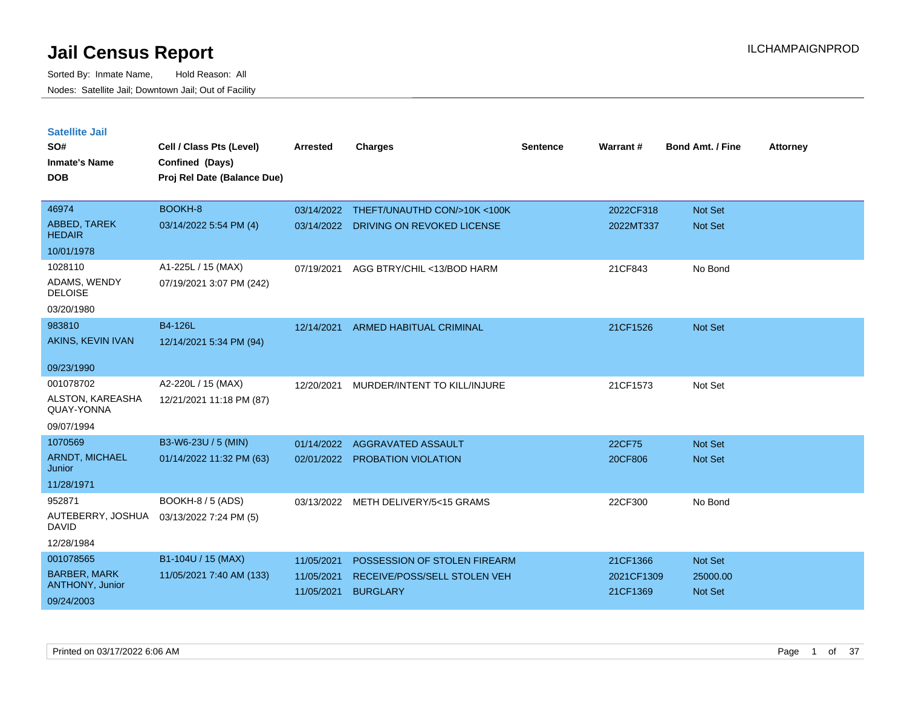| <b>Satellite Jail</b><br>SO#<br><b>Inmate's Name</b><br><b>DOB</b>       | Cell / Class Pts (Level)<br>Confined (Days)<br>Proj Rel Date (Balance Due) | <b>Arrested</b>                        | <b>Charges</b>                                                                  | <b>Sentence</b> | Warrant#                           | <b>Bond Amt. / Fine</b>               | <b>Attorney</b> |
|--------------------------------------------------------------------------|----------------------------------------------------------------------------|----------------------------------------|---------------------------------------------------------------------------------|-----------------|------------------------------------|---------------------------------------|-----------------|
| 46974                                                                    | BOOKH-8                                                                    | 03/14/2022                             | THEFT/UNAUTHD CON/>10K <100K                                                    |                 | 2022CF318                          | <b>Not Set</b>                        |                 |
| ABBED, TAREK<br><b>HEDAIR</b>                                            | 03/14/2022 5:54 PM (4)                                                     | 03/14/2022                             | DRIVING ON REVOKED LICENSE                                                      |                 | 2022MT337                          | <b>Not Set</b>                        |                 |
| 10/01/1978                                                               |                                                                            |                                        |                                                                                 |                 |                                    |                                       |                 |
| 1028110<br>ADAMS, WENDY<br><b>DELOISE</b>                                | A1-225L / 15 (MAX)<br>07/19/2021 3:07 PM (242)                             | 07/19/2021                             | AGG BTRY/CHIL <13/BOD HARM                                                      |                 | 21CF843                            | No Bond                               |                 |
| 03/20/1980                                                               |                                                                            |                                        |                                                                                 |                 |                                    |                                       |                 |
| 983810<br>AKINS, KEVIN IVAN                                              | <b>B4-126L</b><br>12/14/2021 5:34 PM (94)                                  | 12/14/2021                             | <b>ARMED HABITUAL CRIMINAL</b>                                                  |                 | 21CF1526                           | <b>Not Set</b>                        |                 |
| 09/23/1990                                                               |                                                                            |                                        |                                                                                 |                 |                                    |                                       |                 |
| 001078702<br>ALSTON, KAREASHA<br>QUAY-YONNA                              | A2-220L / 15 (MAX)<br>12/21/2021 11:18 PM (87)                             | 12/20/2021                             | MURDER/INTENT TO KILL/INJURE                                                    |                 | 21CF1573                           | Not Set                               |                 |
| 09/07/1994<br>1070569                                                    | B3-W6-23U / 5 (MIN)                                                        | 01/14/2022                             | AGGRAVATED ASSAULT                                                              |                 | 22CF75                             | <b>Not Set</b>                        |                 |
| ARNDT, MICHAEL<br>Junior                                                 | 01/14/2022 11:32 PM (63)                                                   |                                        | 02/01/2022 PROBATION VIOLATION                                                  |                 | 20CF806                            | <b>Not Set</b>                        |                 |
| 11/28/1971                                                               |                                                                            |                                        |                                                                                 |                 |                                    |                                       |                 |
| 952871<br>AUTEBERRY, JOSHUA<br><b>DAVID</b>                              | <b>BOOKH-8 / 5 (ADS)</b><br>03/13/2022 7:24 PM (5)                         | 03/13/2022                             | METH DELIVERY/5<15 GRAMS                                                        |                 | 22CF300                            | No Bond                               |                 |
| 12/28/1984                                                               |                                                                            |                                        |                                                                                 |                 |                                    |                                       |                 |
| 001078565<br><b>BARBER, MARK</b><br><b>ANTHONY, Junior</b><br>09/24/2003 | B1-104U / 15 (MAX)<br>11/05/2021 7:40 AM (133)                             | 11/05/2021<br>11/05/2021<br>11/05/2021 | POSSESSION OF STOLEN FIREARM<br>RECEIVE/POSS/SELL STOLEN VEH<br><b>BURGLARY</b> |                 | 21CF1366<br>2021CF1309<br>21CF1369 | Not Set<br>25000.00<br><b>Not Set</b> |                 |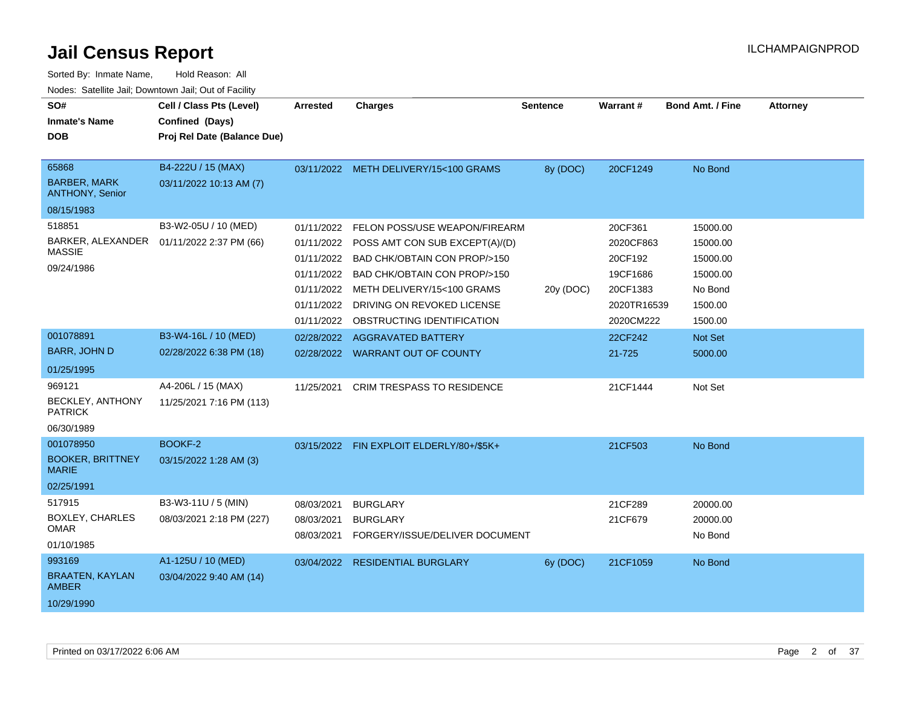| SO#<br><b>Inmate's Name</b><br><b>DOB</b>                                                      | Cell / Class Pts (Level)<br>Confined (Days)<br>Proj Rel Date (Balance Due)                         | <b>Arrested</b>                                                                                | <b>Charges</b>                                                                                                                                                                                                                                                                                 | <b>Sentence</b> | <b>Warrant#</b>                                                                                          | <b>Bond Amt. / Fine</b>                                                                             | <b>Attorney</b> |
|------------------------------------------------------------------------------------------------|----------------------------------------------------------------------------------------------------|------------------------------------------------------------------------------------------------|------------------------------------------------------------------------------------------------------------------------------------------------------------------------------------------------------------------------------------------------------------------------------------------------|-----------------|----------------------------------------------------------------------------------------------------------|-----------------------------------------------------------------------------------------------------|-----------------|
| 65868<br><b>BARBER, MARK</b><br>ANTHONY, Senior                                                | B4-222U / 15 (MAX)<br>03/11/2022 10:13 AM (7)                                                      |                                                                                                | 03/11/2022 METH DELIVERY/15<100 GRAMS                                                                                                                                                                                                                                                          | 8y (DOC)        | 20CF1249                                                                                                 | No Bond                                                                                             |                 |
| 08/15/1983                                                                                     |                                                                                                    |                                                                                                |                                                                                                                                                                                                                                                                                                |                 |                                                                                                          |                                                                                                     |                 |
| 518851<br>BARKER, ALEXANDER<br><b>MASSIE</b><br>09/24/1986<br>001078891<br><b>BARR, JOHN D</b> | B3-W2-05U / 10 (MED)<br>01/11/2022 2:37 PM (66)<br>B3-W4-16L / 10 (MED)<br>02/28/2022 6:38 PM (18) | 01/11/2022<br>01/11/2022<br>01/11/2022<br>01/11/2022<br>01/11/2022<br>01/11/2022<br>01/11/2022 | FELON POSS/USE WEAPON/FIREARM<br>POSS AMT CON SUB EXCEPT(A)/(D)<br>BAD CHK/OBTAIN CON PROP/>150<br>BAD CHK/OBTAIN CON PROP/>150<br>METH DELIVERY/15<100 GRAMS<br>DRIVING ON REVOKED LICENSE<br>OBSTRUCTING IDENTIFICATION<br>02/28/2022 AGGRAVATED BATTERY<br>02/28/2022 WARRANT OUT OF COUNTY | 20y (DOC)       | 20CF361<br>2020CF863<br>20CF192<br>19CF1686<br>20CF1383<br>2020TR16539<br>2020CM222<br>22CF242<br>21-725 | 15000.00<br>15000.00<br>15000.00<br>15000.00<br>No Bond<br>1500.00<br>1500.00<br>Not Set<br>5000.00 |                 |
| 01/25/1995<br>969121<br>BECKLEY, ANTHONY<br><b>PATRICK</b><br>06/30/1989                       | A4-206L / 15 (MAX)<br>11/25/2021 7:16 PM (113)                                                     | 11/25/2021                                                                                     | <b>CRIM TRESPASS TO RESIDENCE</b>                                                                                                                                                                                                                                                              |                 | 21CF1444                                                                                                 | Not Set                                                                                             |                 |
| 001078950<br><b>BOOKER, BRITTNEY</b><br><b>MARIE</b><br>02/25/1991                             | BOOKF-2<br>03/15/2022 1:28 AM (3)                                                                  |                                                                                                | 03/15/2022 FIN EXPLOIT ELDERLY/80+/\$5K+                                                                                                                                                                                                                                                       |                 | 21CF503                                                                                                  | No Bond                                                                                             |                 |
| 517915<br>BOXLEY, CHARLES<br>OMAR<br>01/10/1985                                                | B3-W3-11U / 5 (MIN)<br>08/03/2021 2:18 PM (227)                                                    | 08/03/2021<br>08/03/2021<br>08/03/2021                                                         | <b>BURGLARY</b><br><b>BURGLARY</b><br>FORGERY/ISSUE/DELIVER DOCUMENT                                                                                                                                                                                                                           |                 | 21CF289<br>21CF679                                                                                       | 20000.00<br>20000.00<br>No Bond                                                                     |                 |
| 993169<br><b>BRAATEN, KAYLAN</b><br><b>AMBER</b><br>10/29/1990                                 | A1-125U / 10 (MED)<br>03/04/2022 9:40 AM (14)                                                      |                                                                                                | 03/04/2022 RESIDENTIAL BURGLARY                                                                                                                                                                                                                                                                | 6y (DOC)        | 21CF1059                                                                                                 | No Bond                                                                                             |                 |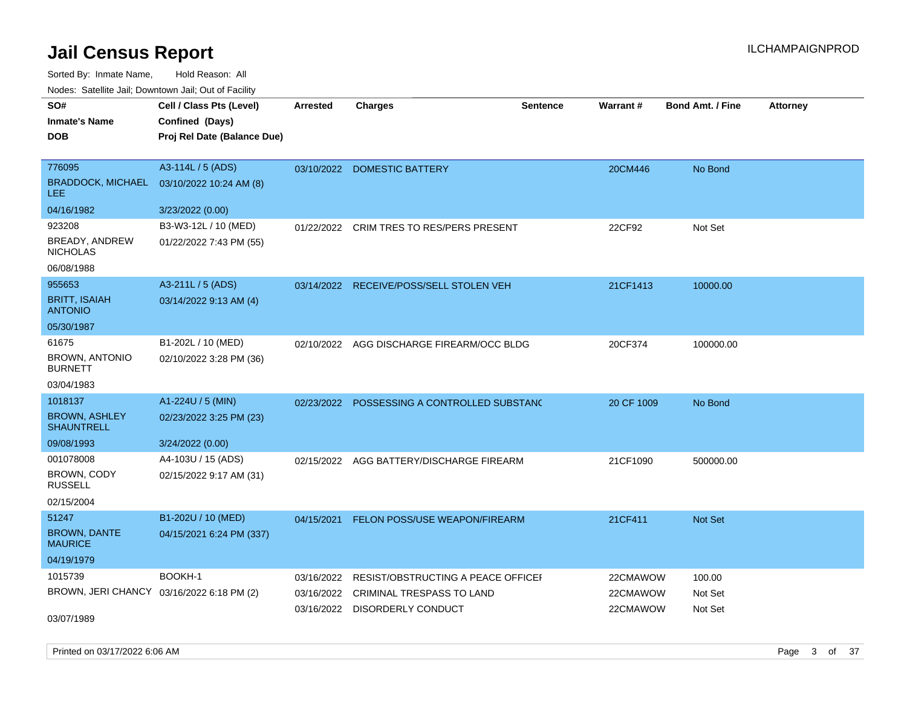Sorted By: Inmate Name, Hold Reason: All Nodes: Satellite Jail; Downtown Jail; Out of Facility

| SO#                                       | Cell / Class Pts (Level)    | <b>Arrested</b> | <b>Charges</b>                          | <b>Sentence</b> | <b>Warrant#</b> | <b>Bond Amt. / Fine</b> | <b>Attorney</b> |
|-------------------------------------------|-----------------------------|-----------------|-----------------------------------------|-----------------|-----------------|-------------------------|-----------------|
| <b>Inmate's Name</b>                      | Confined (Days)             |                 |                                         |                 |                 |                         |                 |
| <b>DOB</b>                                | Proj Rel Date (Balance Due) |                 |                                         |                 |                 |                         |                 |
|                                           |                             |                 |                                         |                 |                 |                         |                 |
| 776095                                    | A3-114L / 5 (ADS)           | 03/10/2022      | <b>DOMESTIC BATTERY</b>                 |                 | 20CM446         | No Bond                 |                 |
| <b>BRADDOCK, MICHAEL</b><br><b>LEE</b>    | 03/10/2022 10:24 AM (8)     |                 |                                         |                 |                 |                         |                 |
| 04/16/1982                                | 3/23/2022 (0.00)            |                 |                                         |                 |                 |                         |                 |
| 923208                                    | B3-W3-12L / 10 (MED)        | 01/22/2022      | CRIM TRES TO RES/PERS PRESENT           |                 | 22CF92          | Not Set                 |                 |
| BREADY, ANDREW<br><b>NICHOLAS</b>         | 01/22/2022 7:43 PM (55)     |                 |                                         |                 |                 |                         |                 |
| 06/08/1988                                |                             |                 |                                         |                 |                 |                         |                 |
| 955653                                    | A3-211L / 5 (ADS)           |                 | 03/14/2022 RECEIVE/POSS/SELL STOLEN VEH |                 | 21CF1413        | 10000.00                |                 |
| <b>BRITT, ISAIAH</b><br><b>ANTONIO</b>    | 03/14/2022 9:13 AM (4)      |                 |                                         |                 |                 |                         |                 |
| 05/30/1987                                |                             |                 |                                         |                 |                 |                         |                 |
| 61675                                     | B1-202L / 10 (MED)          | 02/10/2022      | AGG DISCHARGE FIREARM/OCC BLDG          |                 | 20CF374         | 100000.00               |                 |
| <b>BROWN, ANTONIO</b><br><b>BURNETT</b>   | 02/10/2022 3:28 PM (36)     |                 |                                         |                 |                 |                         |                 |
| 03/04/1983                                |                             |                 |                                         |                 |                 |                         |                 |
| 1018137                                   | A1-224U / 5 (MIN)           | 02/23/2022      | POSSESSING A CONTROLLED SUBSTANC        |                 | 20 CF 1009      | No Bond                 |                 |
| <b>BROWN, ASHLEY</b><br><b>SHAUNTRELL</b> | 02/23/2022 3:25 PM (23)     |                 |                                         |                 |                 |                         |                 |
| 09/08/1993                                | 3/24/2022 (0.00)            |                 |                                         |                 |                 |                         |                 |
| 001078008                                 | A4-103U / 15 (ADS)          | 02/15/2022      | AGG BATTERY/DISCHARGE FIREARM           |                 | 21CF1090        | 500000.00               |                 |
| BROWN, CODY<br><b>RUSSELL</b>             | 02/15/2022 9:17 AM (31)     |                 |                                         |                 |                 |                         |                 |
| 02/15/2004                                |                             |                 |                                         |                 |                 |                         |                 |
| 51247                                     | B1-202U / 10 (MED)          | 04/15/2021      | FELON POSS/USE WEAPON/FIREARM           |                 | 21CF411         | Not Set                 |                 |
| <b>BROWN, DANTE</b><br><b>MAURICE</b>     | 04/15/2021 6:24 PM (337)    |                 |                                         |                 |                 |                         |                 |
| 04/19/1979                                |                             |                 |                                         |                 |                 |                         |                 |
| 1015739                                   | BOOKH-1                     | 03/16/2022      | RESIST/OBSTRUCTING A PEACE OFFICEI      |                 | 22CMAWOW        | 100.00                  |                 |
| BROWN, JERI CHANCY 03/16/2022 6:18 PM (2) |                             | 03/16/2022      | CRIMINAL TRESPASS TO LAND               |                 | 22CMAWOW        | Not Set                 |                 |
|                                           |                             |                 | 03/16/2022 DISORDERLY CONDUCT           |                 | 22CMAWOW        | Not Set                 |                 |
| 03/07/1989                                |                             |                 |                                         |                 |                 |                         |                 |

Printed on 03/17/2022 6:06 AM Page 3 of 37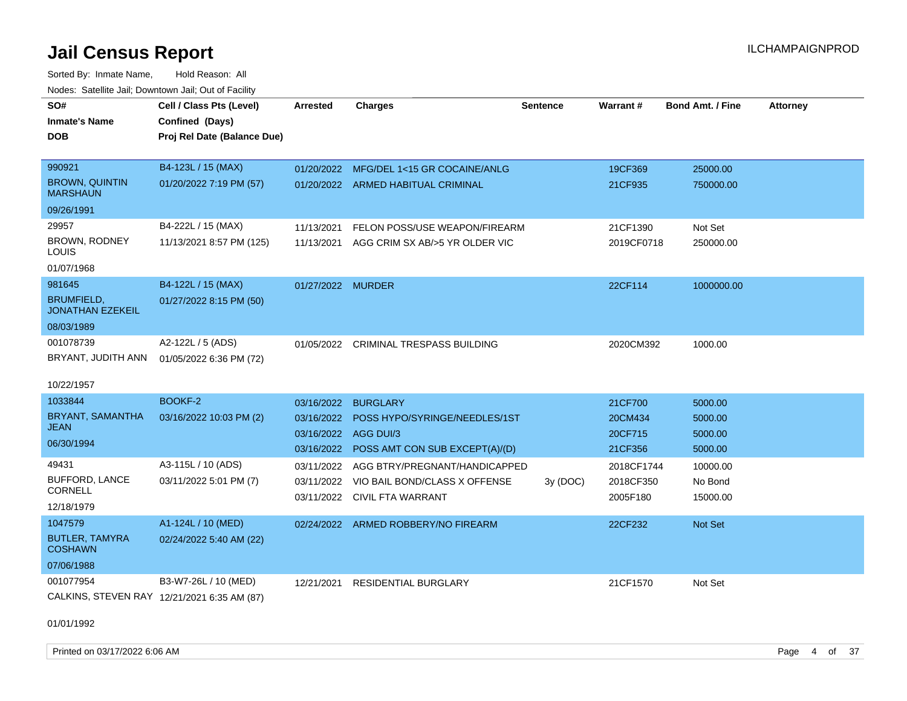Sorted By: Inmate Name, Hold Reason: All Nodes: Satellite Jail; Downtown Jail; Out of Facility

| SO#                                          | Cell / Class Pts (Level)                    | <b>Arrested</b>   | <b>Charges</b>                            | <b>Sentence</b> | Warrant#   | <b>Bond Amt. / Fine</b> | <b>Attorney</b> |
|----------------------------------------------|---------------------------------------------|-------------------|-------------------------------------------|-----------------|------------|-------------------------|-----------------|
| <b>Inmate's Name</b>                         | Confined (Days)                             |                   |                                           |                 |            |                         |                 |
| <b>DOB</b>                                   | Proj Rel Date (Balance Due)                 |                   |                                           |                 |            |                         |                 |
|                                              |                                             |                   |                                           |                 |            |                         |                 |
| 990921                                       | B4-123L / 15 (MAX)                          |                   | 01/20/2022 MFG/DEL 1<15 GR COCAINE/ANLG   |                 | 19CF369    | 25000.00                |                 |
| <b>BROWN, QUINTIN</b><br><b>MARSHAUN</b>     | 01/20/2022 7:19 PM (57)                     |                   | 01/20/2022 ARMED HABITUAL CRIMINAL        |                 | 21CF935    | 750000.00               |                 |
| 09/26/1991                                   |                                             |                   |                                           |                 |            |                         |                 |
| 29957                                        | B4-222L / 15 (MAX)                          | 11/13/2021        | FELON POSS/USE WEAPON/FIREARM             |                 | 21CF1390   | Not Set                 |                 |
| BROWN, RODNEY<br>LOUIS                       | 11/13/2021 8:57 PM (125)                    | 11/13/2021        | AGG CRIM SX AB/>5 YR OLDER VIC            |                 | 2019CF0718 | 250000.00               |                 |
| 01/07/1968                                   |                                             |                   |                                           |                 |            |                         |                 |
| 981645                                       | B4-122L / 15 (MAX)                          | 01/27/2022 MURDER |                                           |                 | 22CF114    | 1000000.00              |                 |
| <b>BRUMFIELD,</b><br><b>JONATHAN EZEKEIL</b> | 01/27/2022 8:15 PM (50)                     |                   |                                           |                 |            |                         |                 |
| 08/03/1989                                   |                                             |                   |                                           |                 |            |                         |                 |
| 001078739                                    | A2-122L / 5 (ADS)                           | 01/05/2022        | <b>CRIMINAL TRESPASS BUILDING</b>         |                 | 2020CM392  | 1000.00                 |                 |
| BRYANT, JUDITH ANN                           | 01/05/2022 6:36 PM (72)                     |                   |                                           |                 |            |                         |                 |
| 10/22/1957                                   |                                             |                   |                                           |                 |            |                         |                 |
| 1033844                                      | <b>BOOKF-2</b>                              | 03/16/2022        | <b>BURGLARY</b>                           |                 | 21CF700    | 5000.00                 |                 |
| BRYANT, SAMANTHA                             | 03/16/2022 10:03 PM (2)                     | 03/16/2022        | POSS HYPO/SYRINGE/NEEDLES/1ST             |                 | 20CM434    | 5000.00                 |                 |
| JEAN                                         |                                             |                   | 03/16/2022 AGG DUI/3                      |                 | 20CF715    | 5000.00                 |                 |
| 06/30/1994                                   |                                             |                   | 03/16/2022 POSS AMT CON SUB EXCEPT(A)/(D) |                 | 21CF356    | 5000.00                 |                 |
| 49431                                        | A3-115L / 10 (ADS)                          | 03/11/2022        | AGG BTRY/PREGNANT/HANDICAPPED             |                 | 2018CF1744 | 10000.00                |                 |
| <b>BUFFORD, LANCE</b><br><b>CORNELL</b>      | 03/11/2022 5:01 PM (7)                      |                   | 03/11/2022 VIO BAIL BOND/CLASS X OFFENSE  | 3y(DOC)         | 2018CF350  | No Bond                 |                 |
| 12/18/1979                                   |                                             | 03/11/2022        | CIVIL FTA WARRANT                         |                 | 2005F180   | 15000.00                |                 |
| 1047579                                      |                                             |                   |                                           |                 |            |                         |                 |
| <b>BUTLER, TAMYRA</b>                        | A1-124L / 10 (MED)                          |                   | 02/24/2022 ARMED ROBBERY/NO FIREARM       |                 | 22CF232    | <b>Not Set</b>          |                 |
| <b>COSHAWN</b>                               | 02/24/2022 5:40 AM (22)                     |                   |                                           |                 |            |                         |                 |
| 07/06/1988                                   |                                             |                   |                                           |                 |            |                         |                 |
| 001077954                                    | B3-W7-26L / 10 (MED)                        | 12/21/2021        | <b>RESIDENTIAL BURGLARY</b>               |                 | 21CF1570   | Not Set                 |                 |
|                                              | CALKINS, STEVEN RAY 12/21/2021 6:35 AM (87) |                   |                                           |                 |            |                         |                 |

01/01/1992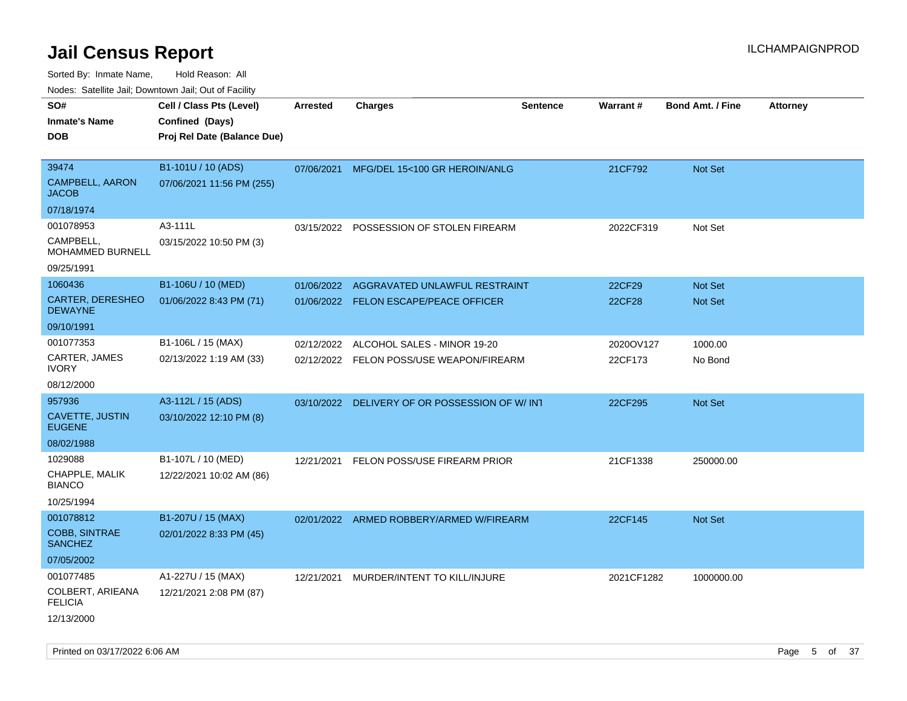Sorted By: Inmate Name, Hold Reason: All

Nodes: Satellite Jail; Downtown Jail; Out of Facility

| SO#<br><b>Inmate's Name</b><br><b>DOB</b>       | Cell / Class Pts (Level)<br>Confined (Days)<br>Proj Rel Date (Balance Due) | Arrested   | <b>Charges</b>                                | <b>Sentence</b> | Warrant#   | <b>Bond Amt. / Fine</b> | <b>Attorney</b> |
|-------------------------------------------------|----------------------------------------------------------------------------|------------|-----------------------------------------------|-----------------|------------|-------------------------|-----------------|
| 39474<br><b>CAMPBELL, AARON</b><br><b>JACOB</b> | B1-101U / 10 (ADS)<br>07/06/2021 11:56 PM (255)                            | 07/06/2021 | MFG/DEL 15<100 GR HEROIN/ANLG                 |                 | 21CF792    | <b>Not Set</b>          |                 |
| 07/18/1974                                      |                                                                            |            |                                               |                 |            |                         |                 |
| 001078953<br>CAMPBELL,<br>MOHAMMED BURNELL      | A3-111L<br>03/15/2022 10:50 PM (3)                                         | 03/15/2022 | POSSESSION OF STOLEN FIREARM                  |                 | 2022CF319  | Not Set                 |                 |
| 09/25/1991                                      |                                                                            |            |                                               |                 |            |                         |                 |
| 1060436                                         | B1-106U / 10 (MED)                                                         | 01/06/2022 | AGGRAVATED UNLAWFUL RESTRAINT                 |                 | 22CF29     | Not Set                 |                 |
| CARTER, DERESHEO<br><b>DEWAYNE</b>              | 01/06/2022 8:43 PM (71)                                                    |            | 01/06/2022 FELON ESCAPE/PEACE OFFICER         |                 | 22CF28     | <b>Not Set</b>          |                 |
| 09/10/1991                                      |                                                                            |            |                                               |                 |            |                         |                 |
| 001077353                                       | B1-106L / 15 (MAX)                                                         | 02/12/2022 | ALCOHOL SALES - MINOR 19-20                   |                 | 2020OV127  | 1000.00                 |                 |
| CARTER, JAMES<br><b>IVORY</b>                   | 02/13/2022 1:19 AM (33)                                                    |            | 02/12/2022 FELON POSS/USE WEAPON/FIREARM      |                 | 22CF173    | No Bond                 |                 |
| 08/12/2000                                      |                                                                            |            |                                               |                 |            |                         |                 |
| 957936                                          | A3-112L / 15 (ADS)                                                         |            | 03/10/2022 DELIVERY OF OR POSSESSION OF W/INT |                 | 22CF295    | Not Set                 |                 |
| <b>CAVETTE, JUSTIN</b><br><b>EUGENE</b>         | 03/10/2022 12:10 PM (8)                                                    |            |                                               |                 |            |                         |                 |
| 08/02/1988                                      |                                                                            |            |                                               |                 |            |                         |                 |
| 1029088                                         | B1-107L / 10 (MED)                                                         | 12/21/2021 | FELON POSS/USE FIREARM PRIOR                  |                 | 21CF1338   | 250000.00               |                 |
| CHAPPLE, MALIK<br><b>BIANCO</b>                 | 12/22/2021 10:02 AM (86)                                                   |            |                                               |                 |            |                         |                 |
| 10/25/1994                                      |                                                                            |            |                                               |                 |            |                         |                 |
| 001078812                                       | B1-207U / 15 (MAX)                                                         |            | 02/01/2022 ARMED ROBBERY/ARMED W/FIREARM      |                 | 22CF145    | Not Set                 |                 |
| <b>COBB, SINTRAE</b><br><b>SANCHEZ</b>          | 02/01/2022 8:33 PM (45)                                                    |            |                                               |                 |            |                         |                 |
| 07/05/2002                                      |                                                                            |            |                                               |                 |            |                         |                 |
| 001077485                                       | A1-227U / 15 (MAX)                                                         |            | 12/21/2021 MURDER/INTENT TO KILL/INJURE       |                 | 2021CF1282 | 1000000.00              |                 |
| COLBERT, ARIEANA<br><b>FELICIA</b>              | 12/21/2021 2:08 PM (87)                                                    |            |                                               |                 |            |                         |                 |
| 12/13/2000                                      |                                                                            |            |                                               |                 |            |                         |                 |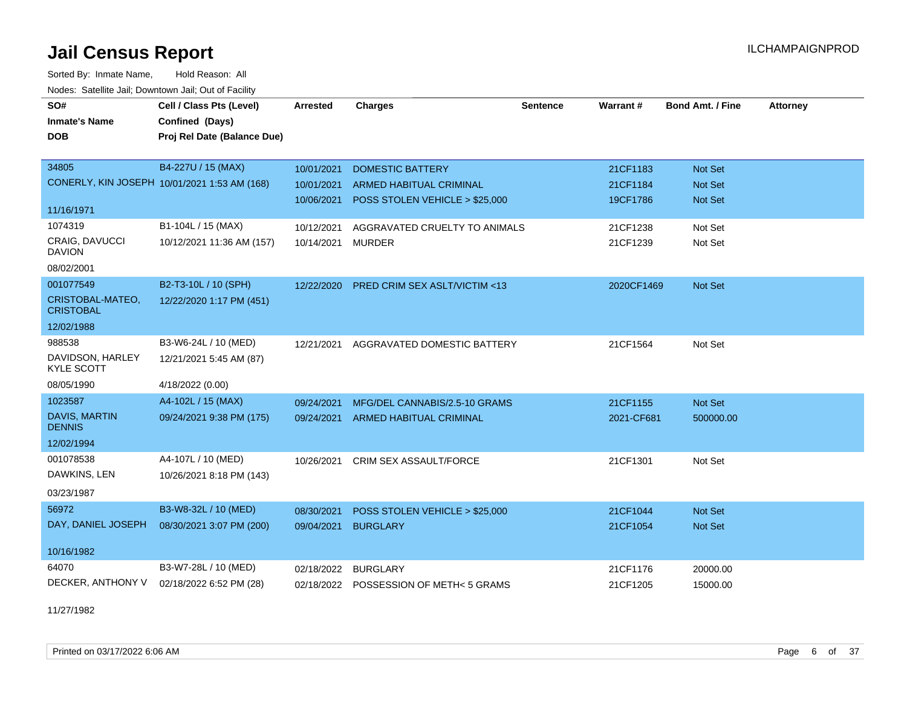Sorted By: Inmate Name, Hold Reason: All Nodes: Satellite Jail; Downtown Jail; Out of Facility

| SO#                                   | Cell / Class Pts (Level)                     | <b>Arrested</b> | <b>Charges</b>                          | <b>Sentence</b> | Warrant#   | <b>Bond Amt. / Fine</b> | <b>Attorney</b> |
|---------------------------------------|----------------------------------------------|-----------------|-----------------------------------------|-----------------|------------|-------------------------|-----------------|
| <b>Inmate's Name</b>                  | Confined (Days)                              |                 |                                         |                 |            |                         |                 |
| <b>DOB</b>                            | Proj Rel Date (Balance Due)                  |                 |                                         |                 |            |                         |                 |
|                                       |                                              |                 |                                         |                 |            |                         |                 |
| 34805                                 | B4-227U / 15 (MAX)                           | 10/01/2021      | <b>DOMESTIC BATTERY</b>                 |                 | 21CF1183   | <b>Not Set</b>          |                 |
|                                       | CONERLY, KIN JOSEPH 10/01/2021 1:53 AM (168) | 10/01/2021      | <b>ARMED HABITUAL CRIMINAL</b>          |                 | 21CF1184   | <b>Not Set</b>          |                 |
| 11/16/1971                            |                                              | 10/06/2021      | POSS STOLEN VEHICLE > \$25,000          |                 | 19CF1786   | <b>Not Set</b>          |                 |
| 1074319                               | B1-104L / 15 (MAX)                           | 10/12/2021      | AGGRAVATED CRUELTY TO ANIMALS           |                 | 21CF1238   | Not Set                 |                 |
| CRAIG, DAVUCCI<br><b>DAVION</b>       | 10/12/2021 11:36 AM (157)                    | 10/14/2021      | <b>MURDER</b>                           |                 | 21CF1239   | Not Set                 |                 |
| 08/02/2001                            |                                              |                 |                                         |                 |            |                         |                 |
| 001077549                             | B2-T3-10L / 10 (SPH)                         | 12/22/2020      | <b>PRED CRIM SEX ASLT/VICTIM &lt;13</b> |                 | 2020CF1469 | Not Set                 |                 |
| CRISTOBAL-MATEO,<br><b>CRISTOBAL</b>  | 12/22/2020 1:17 PM (451)                     |                 |                                         |                 |            |                         |                 |
| 12/02/1988                            |                                              |                 |                                         |                 |            |                         |                 |
| 988538                                | B3-W6-24L / 10 (MED)                         | 12/21/2021      | AGGRAVATED DOMESTIC BATTERY             |                 | 21CF1564   | Not Set                 |                 |
| DAVIDSON, HARLEY<br><b>KYLE SCOTT</b> | 12/21/2021 5:45 AM (87)                      |                 |                                         |                 |            |                         |                 |
| 08/05/1990                            | 4/18/2022 (0.00)                             |                 |                                         |                 |            |                         |                 |
| 1023587                               | A4-102L / 15 (MAX)                           | 09/24/2021      | MFG/DEL CANNABIS/2.5-10 GRAMS           |                 | 21CF1155   | Not Set                 |                 |
| DAVIS, MARTIN<br><b>DENNIS</b>        | 09/24/2021 9:38 PM (175)                     | 09/24/2021      | <b>ARMED HABITUAL CRIMINAL</b>          |                 | 2021-CF681 | 500000.00               |                 |
| 12/02/1994                            |                                              |                 |                                         |                 |            |                         |                 |
| 001078538                             | A4-107L / 10 (MED)                           | 10/26/2021      | CRIM SEX ASSAULT/FORCE                  |                 | 21CF1301   | Not Set                 |                 |
| DAWKINS, LEN                          | 10/26/2021 8:18 PM (143)                     |                 |                                         |                 |            |                         |                 |
| 03/23/1987                            |                                              |                 |                                         |                 |            |                         |                 |
| 56972                                 | B3-W8-32L / 10 (MED)                         | 08/30/2021      | POSS STOLEN VEHICLE > \$25,000          |                 | 21CF1044   | Not Set                 |                 |
| DAY, DANIEL JOSEPH                    | 08/30/2021 3:07 PM (200)                     | 09/04/2021      | <b>BURGLARY</b>                         |                 | 21CF1054   | <b>Not Set</b>          |                 |
| 10/16/1982                            |                                              |                 |                                         |                 |            |                         |                 |
| 64070                                 | B3-W7-28L / 10 (MED)                         | 02/18/2022      | <b>BURGLARY</b>                         |                 | 21CF1176   | 20000.00                |                 |
| DECKER, ANTHONY V                     | 02/18/2022 6:52 PM (28)                      |                 | 02/18/2022 POSSESSION OF METH<5 GRAMS   |                 | 21CF1205   | 15000.00                |                 |

11/27/1982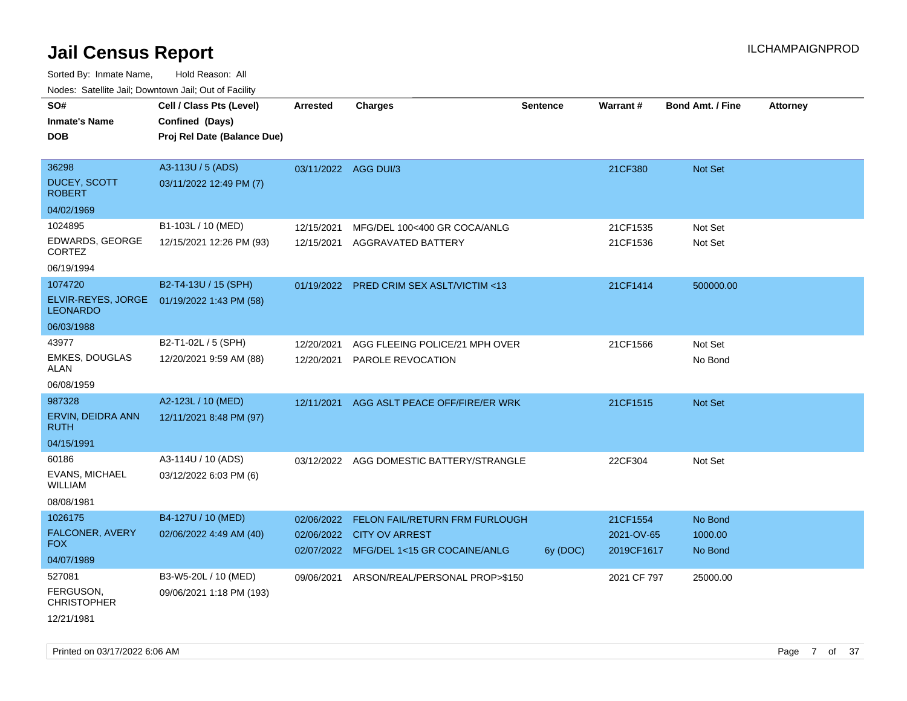| Noues. Salenne Jan, Downtown Jan, Out of Facility |                             |                      |                                           |          |             |                         |                 |
|---------------------------------------------------|-----------------------------|----------------------|-------------------------------------------|----------|-------------|-------------------------|-----------------|
| SO#                                               | Cell / Class Pts (Level)    | Arrested             | <b>Charges</b>                            | Sentence | Warrant#    | <b>Bond Amt. / Fine</b> | <b>Attorney</b> |
| <b>Inmate's Name</b>                              | Confined (Days)             |                      |                                           |          |             |                         |                 |
| <b>DOB</b>                                        | Proj Rel Date (Balance Due) |                      |                                           |          |             |                         |                 |
|                                                   |                             |                      |                                           |          |             |                         |                 |
| 36298                                             | A3-113U / 5 (ADS)           | 03/11/2022 AGG DUI/3 |                                           |          | 21CF380     | Not Set                 |                 |
| <b>DUCEY, SCOTT</b><br><b>ROBERT</b>              | 03/11/2022 12:49 PM (7)     |                      |                                           |          |             |                         |                 |
| 04/02/1969                                        |                             |                      |                                           |          |             |                         |                 |
| 1024895                                           | B1-103L / 10 (MED)          | 12/15/2021           | MFG/DEL 100<400 GR COCA/ANLG              |          | 21CF1535    | Not Set                 |                 |
| EDWARDS, GEORGE<br><b>CORTEZ</b>                  | 12/15/2021 12:26 PM (93)    | 12/15/2021           | AGGRAVATED BATTERY                        |          | 21CF1536    | Not Set                 |                 |
| 06/19/1994                                        |                             |                      |                                           |          |             |                         |                 |
| 1074720                                           | B2-T4-13U / 15 (SPH)        |                      | 01/19/2022 PRED CRIM SEX ASLT/VICTIM <13  |          | 21CF1414    | 500000.00               |                 |
| ELVIR-REYES, JORGE<br><b>LEONARDO</b>             | 01/19/2022 1:43 PM (58)     |                      |                                           |          |             |                         |                 |
| 06/03/1988                                        |                             |                      |                                           |          |             |                         |                 |
| 43977                                             | B2-T1-02L / 5 (SPH)         | 12/20/2021           | AGG FLEEING POLICE/21 MPH OVER            |          | 21CF1566    | Not Set                 |                 |
| <b>EMKES, DOUGLAS</b><br>ALAN                     | 12/20/2021 9:59 AM (88)     | 12/20/2021           | PAROLE REVOCATION                         |          |             | No Bond                 |                 |
| 06/08/1959                                        |                             |                      |                                           |          |             |                         |                 |
| 987328                                            | A2-123L / 10 (MED)          | 12/11/2021           | AGG ASLT PEACE OFF/FIRE/ER WRK            |          | 21CF1515    | Not Set                 |                 |
| ERVIN, DEIDRA ANN<br><b>RUTH</b>                  | 12/11/2021 8:48 PM (97)     |                      |                                           |          |             |                         |                 |
| 04/15/1991                                        |                             |                      |                                           |          |             |                         |                 |
| 60186                                             | A3-114U / 10 (ADS)          |                      | 03/12/2022 AGG DOMESTIC BATTERY/STRANGLE  |          | 22CF304     | Not Set                 |                 |
| EVANS, MICHAEL<br>WILLIAM                         | 03/12/2022 6:03 PM (6)      |                      |                                           |          |             |                         |                 |
| 08/08/1981                                        |                             |                      |                                           |          |             |                         |                 |
| 1026175                                           | B4-127U / 10 (MED)          | 02/06/2022           | <b>FELON FAIL/RETURN FRM FURLOUGH</b>     |          | 21CF1554    | No Bond                 |                 |
| FALCONER, AVERY                                   | 02/06/2022 4:49 AM (40)     | 02/06/2022           | <b>CITY OV ARREST</b>                     |          | 2021-OV-65  | 1000.00                 |                 |
| FOX.                                              |                             |                      | 02/07/2022 MFG/DEL 1<15 GR COCAINE/ANLG   | 6y (DOC) | 2019CF1617  | No Bond                 |                 |
| 04/07/1989                                        |                             |                      |                                           |          |             |                         |                 |
| 527081                                            | B3-W5-20L / 10 (MED)        |                      | 09/06/2021 ARSON/REAL/PERSONAL PROP>\$150 |          | 2021 CF 797 | 25000.00                |                 |
| FERGUSON,<br><b>CHRISTOPHER</b>                   | 09/06/2021 1:18 PM (193)    |                      |                                           |          |             |                         |                 |
| 12/21/1981                                        |                             |                      |                                           |          |             |                         |                 |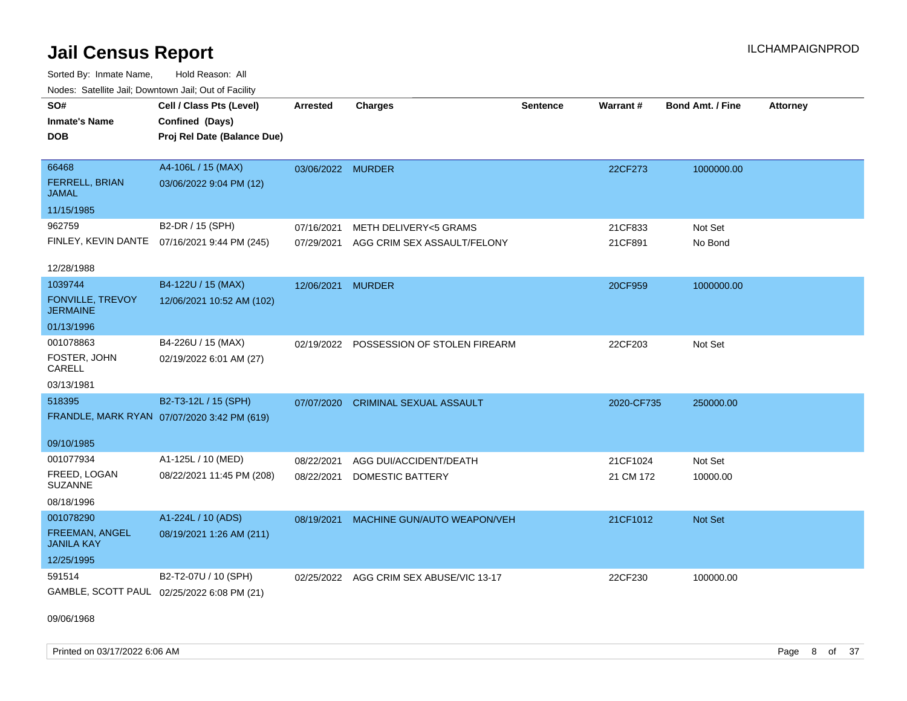Sorted By: Inmate Name, Hold Reason: All Nodes: Satellite Jail; Downtown Jail; Out of Facility

| Noucs. Outchne sail, Downtown sail, Out of Facility |                                              |                   |                                         |                 |            |                         |                 |
|-----------------------------------------------------|----------------------------------------------|-------------------|-----------------------------------------|-----------------|------------|-------------------------|-----------------|
| SO#                                                 | Cell / Class Pts (Level)                     | <b>Arrested</b>   | <b>Charges</b>                          | <b>Sentence</b> | Warrant#   | <b>Bond Amt. / Fine</b> | <b>Attorney</b> |
| <b>Inmate's Name</b>                                | Confined (Days)                              |                   |                                         |                 |            |                         |                 |
| <b>DOB</b>                                          | Proj Rel Date (Balance Due)                  |                   |                                         |                 |            |                         |                 |
|                                                     |                                              |                   |                                         |                 |            |                         |                 |
| 66468                                               | A4-106L / 15 (MAX)                           | 03/06/2022 MURDER |                                         |                 | 22CF273    | 1000000.00              |                 |
| FERRELL, BRIAN<br>JAMAL                             | 03/06/2022 9:04 PM (12)                      |                   |                                         |                 |            |                         |                 |
| 11/15/1985                                          |                                              |                   |                                         |                 |            |                         |                 |
| 962759                                              | B2-DR / 15 (SPH)                             | 07/16/2021        | <b>METH DELIVERY&lt;5 GRAMS</b>         |                 | 21CF833    | Not Set                 |                 |
|                                                     | FINLEY, KEVIN DANTE 07/16/2021 9:44 PM (245) | 07/29/2021        | AGG CRIM SEX ASSAULT/FELONY             |                 | 21CF891    | No Bond                 |                 |
|                                                     |                                              |                   |                                         |                 |            |                         |                 |
| 12/28/1988                                          |                                              |                   |                                         |                 |            |                         |                 |
| 1039744                                             | B4-122U / 15 (MAX)                           | 12/06/2021        | <b>MURDER</b>                           |                 | 20CF959    | 1000000.00              |                 |
| FONVILLE, TREVOY<br><b>JERMAINE</b>                 | 12/06/2021 10:52 AM (102)                    |                   |                                         |                 |            |                         |                 |
| 01/13/1996                                          |                                              |                   |                                         |                 |            |                         |                 |
| 001078863                                           | B4-226U / 15 (MAX)                           |                   | 02/19/2022 POSSESSION OF STOLEN FIREARM |                 | 22CF203    | Not Set                 |                 |
| FOSTER, JOHN<br>CARELL                              | 02/19/2022 6:01 AM (27)                      |                   |                                         |                 |            |                         |                 |
| 03/13/1981                                          |                                              |                   |                                         |                 |            |                         |                 |
| 518395                                              | B2-T3-12L / 15 (SPH)                         |                   | 07/07/2020 CRIMINAL SEXUAL ASSAULT      |                 | 2020-CF735 | 250000.00               |                 |
|                                                     | FRANDLE, MARK RYAN 07/07/2020 3:42 PM (619)  |                   |                                         |                 |            |                         |                 |
|                                                     |                                              |                   |                                         |                 |            |                         |                 |
| 09/10/1985                                          |                                              |                   |                                         |                 |            |                         |                 |
| 001077934                                           | A1-125L / 10 (MED)                           | 08/22/2021        | AGG DUI/ACCIDENT/DEATH                  |                 | 21CF1024   | Not Set                 |                 |
| FREED, LOGAN<br><b>SUZANNE</b>                      | 08/22/2021 11:45 PM (208)                    | 08/22/2021        | DOMESTIC BATTERY                        |                 | 21 CM 172  | 10000.00                |                 |
| 08/18/1996                                          |                                              |                   |                                         |                 |            |                         |                 |
| 001078290                                           | A1-224L / 10 (ADS)                           | 08/19/2021        | MACHINE GUN/AUTO WEAPON/VEH             |                 | 21CF1012   | <b>Not Set</b>          |                 |
| FREEMAN, ANGEL<br><b>JANILA KAY</b>                 | 08/19/2021 1:26 AM (211)                     |                   |                                         |                 |            |                         |                 |
| 12/25/1995                                          |                                              |                   |                                         |                 |            |                         |                 |
| 591514                                              | B2-T2-07U / 10 (SPH)                         |                   | 02/25/2022 AGG CRIM SEX ABUSE/VIC 13-17 |                 | 22CF230    | 100000.00               |                 |
|                                                     | GAMBLE, SCOTT PAUL 02/25/2022 6:08 PM (21)   |                   |                                         |                 |            |                         |                 |

09/06/1968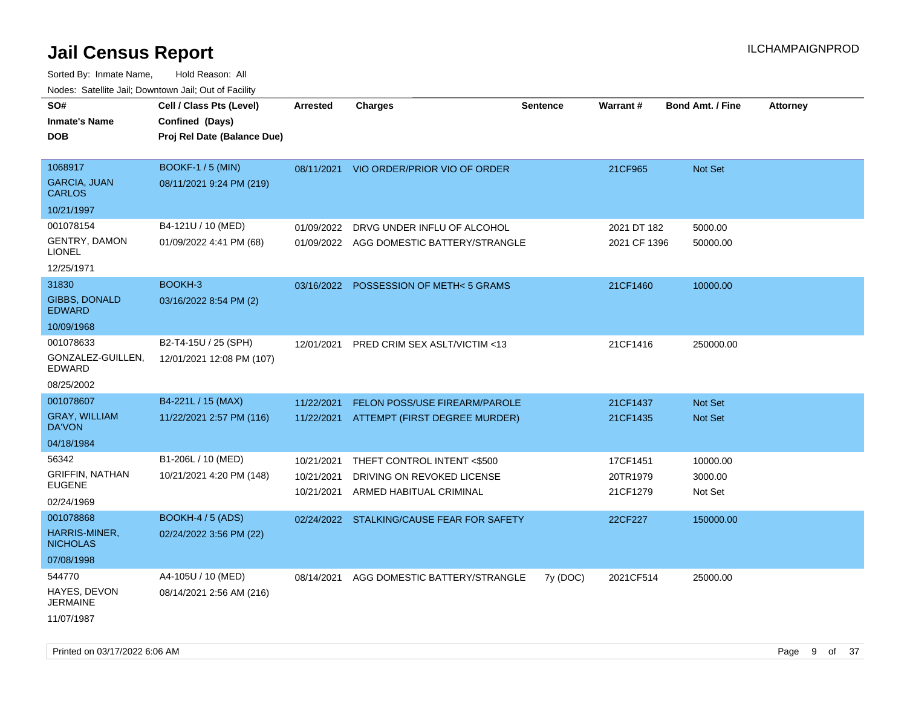| roaco. Catolino cali, Domntonn cali, Out of Facility |                             |                 |                                           |                 |                 |                         |                 |
|------------------------------------------------------|-----------------------------|-----------------|-------------------------------------------|-----------------|-----------------|-------------------------|-----------------|
| SO#                                                  | Cell / Class Pts (Level)    | <b>Arrested</b> | Charges                                   | <b>Sentence</b> | <b>Warrant#</b> | <b>Bond Amt. / Fine</b> | <b>Attorney</b> |
| <b>Inmate's Name</b>                                 | Confined (Days)             |                 |                                           |                 |                 |                         |                 |
| <b>DOB</b>                                           | Proj Rel Date (Balance Due) |                 |                                           |                 |                 |                         |                 |
|                                                      |                             |                 |                                           |                 |                 |                         |                 |
| 1068917                                              | <b>BOOKF-1 / 5 (MIN)</b>    | 08/11/2021      | VIO ORDER/PRIOR VIO OF ORDER              |                 | 21CF965         | Not Set                 |                 |
| <b>GARCIA, JUAN</b><br><b>CARLOS</b>                 | 08/11/2021 9:24 PM (219)    |                 |                                           |                 |                 |                         |                 |
| 10/21/1997                                           |                             |                 |                                           |                 |                 |                         |                 |
| 001078154                                            | B4-121U / 10 (MED)          | 01/09/2022      | DRVG UNDER INFLU OF ALCOHOL               |                 | 2021 DT 182     | 5000.00                 |                 |
| <b>GENTRY, DAMON</b><br>LIONEL                       | 01/09/2022 4:41 PM (68)     |                 | 01/09/2022 AGG DOMESTIC BATTERY/STRANGLE  |                 | 2021 CF 1396    | 50000.00                |                 |
| 12/25/1971                                           |                             |                 |                                           |                 |                 |                         |                 |
| 31830                                                | BOOKH-3                     | 03/16/2022      | <b>POSSESSION OF METH&lt;5 GRAMS</b>      |                 | 21CF1460        | 10000.00                |                 |
| <b>GIBBS, DONALD</b><br><b>EDWARD</b>                | 03/16/2022 8:54 PM (2)      |                 |                                           |                 |                 |                         |                 |
| 10/09/1968                                           |                             |                 |                                           |                 |                 |                         |                 |
| 001078633                                            | B2-T4-15U / 25 (SPH)        | 12/01/2021      | <b>PRED CRIM SEX ASLT/VICTIM &lt;13</b>   |                 | 21CF1416        | 250000.00               |                 |
| GONZALEZ-GUILLEN,<br>EDWARD                          | 12/01/2021 12:08 PM (107)   |                 |                                           |                 |                 |                         |                 |
| 08/25/2002                                           |                             |                 |                                           |                 |                 |                         |                 |
| 001078607                                            | B4-221L / 15 (MAX)          | 11/22/2021      | <b>FELON POSS/USE FIREARM/PAROLE</b>      |                 | 21CF1437        | <b>Not Set</b>          |                 |
| <b>GRAY, WILLIAM</b><br>DA'VON                       | 11/22/2021 2:57 PM (116)    |                 | 11/22/2021 ATTEMPT (FIRST DEGREE MURDER)  |                 | 21CF1435        | Not Set                 |                 |
| 04/18/1984                                           |                             |                 |                                           |                 |                 |                         |                 |
| 56342                                                | B1-206L / 10 (MED)          | 10/21/2021      | THEFT CONTROL INTENT <\$500               |                 | 17CF1451        | 10000.00                |                 |
| <b>GRIFFIN, NATHAN</b>                               | 10/21/2021 4:20 PM (148)    | 10/21/2021      | DRIVING ON REVOKED LICENSE                |                 | 20TR1979        | 3000.00                 |                 |
| <b>EUGENE</b>                                        |                             | 10/21/2021      | ARMED HABITUAL CRIMINAL                   |                 | 21CF1279        | Not Set                 |                 |
| 02/24/1969                                           |                             |                 |                                           |                 |                 |                         |                 |
| 001078868                                            | <b>BOOKH-4 / 5 (ADS)</b>    |                 | 02/24/2022 STALKING/CAUSE FEAR FOR SAFETY |                 | 22CF227         | 150000.00               |                 |
| HARRIS-MINER,<br><b>NICHOLAS</b>                     | 02/24/2022 3:56 PM (22)     |                 |                                           |                 |                 |                         |                 |
| 07/08/1998                                           |                             |                 |                                           |                 |                 |                         |                 |
| 544770                                               | A4-105U / 10 (MED)          | 08/14/2021      | AGG DOMESTIC BATTERY/STRANGLE             | 7y (DOC)        | 2021CF514       | 25000.00                |                 |
| HAYES, DEVON<br><b>JERMAINE</b>                      | 08/14/2021 2:56 AM (216)    |                 |                                           |                 |                 |                         |                 |
| 11/07/1987                                           |                             |                 |                                           |                 |                 |                         |                 |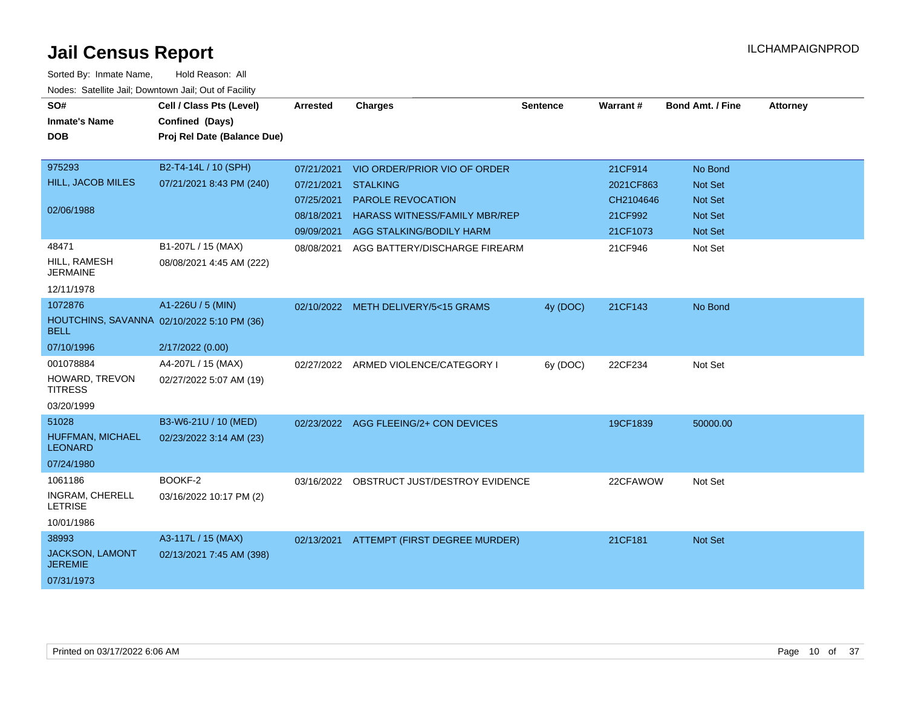| SO#<br><b>Inmate's Name</b>                               | Cell / Class Pts (Level)<br>Confined (Days) | <b>Arrested</b> | <b>Charges</b>                            | <b>Sentence</b> | Warrant#  | <b>Bond Amt. / Fine</b> | <b>Attorney</b> |
|-----------------------------------------------------------|---------------------------------------------|-----------------|-------------------------------------------|-----------------|-----------|-------------------------|-----------------|
| <b>DOB</b>                                                | Proj Rel Date (Balance Due)                 |                 |                                           |                 |           |                         |                 |
| 975293                                                    | B2-T4-14L / 10 (SPH)                        | 07/21/2021      | VIO ORDER/PRIOR VIO OF ORDER              |                 | 21CF914   | No Bond                 |                 |
| HILL, JACOB MILES                                         | 07/21/2021 8:43 PM (240)                    | 07/21/2021      | <b>STALKING</b>                           |                 | 2021CF863 | <b>Not Set</b>          |                 |
|                                                           |                                             | 07/25/2021      | PAROLE REVOCATION                         |                 | CH2104646 | Not Set                 |                 |
| 02/06/1988                                                |                                             | 08/18/2021      | <b>HARASS WITNESS/FAMILY MBR/REP</b>      |                 | 21CF992   | <b>Not Set</b>          |                 |
|                                                           |                                             | 09/09/2021      | AGG STALKING/BODILY HARM                  |                 | 21CF1073  | <b>Not Set</b>          |                 |
| 48471                                                     | B1-207L / 15 (MAX)                          | 08/08/2021      | AGG BATTERY/DISCHARGE FIREARM             |                 | 21CF946   | Not Set                 |                 |
| HILL, RAMESH<br><b>JERMAINE</b>                           | 08/08/2021 4:45 AM (222)                    |                 |                                           |                 |           |                         |                 |
| 12/11/1978                                                |                                             |                 |                                           |                 |           |                         |                 |
| 1072876                                                   | A1-226U / 5 (MIN)                           |                 | 02/10/2022 METH DELIVERY/5<15 GRAMS       | 4y (DOC)        | 21CF143   | No Bond                 |                 |
| HOUTCHINS, SAVANNA 02/10/2022 5:10 PM (36)<br><b>BELL</b> |                                             |                 |                                           |                 |           |                         |                 |
| 07/10/1996                                                | 2/17/2022 (0.00)                            |                 |                                           |                 |           |                         |                 |
| 001078884                                                 | A4-207L / 15 (MAX)                          |                 | 02/27/2022 ARMED VIOLENCE/CATEGORY I      | 6y (DOC)        | 22CF234   | Not Set                 |                 |
| HOWARD, TREVON<br><b>TITRESS</b>                          | 02/27/2022 5:07 AM (19)                     |                 |                                           |                 |           |                         |                 |
| 03/20/1999                                                |                                             |                 |                                           |                 |           |                         |                 |
| 51028                                                     | B3-W6-21U / 10 (MED)                        |                 | 02/23/2022 AGG FLEEING/2+ CON DEVICES     |                 | 19CF1839  | 50000.00                |                 |
| HUFFMAN, MICHAEL<br><b>LEONARD</b>                        | 02/23/2022 3:14 AM (23)                     |                 |                                           |                 |           |                         |                 |
| 07/24/1980                                                |                                             |                 |                                           |                 |           |                         |                 |
| 1061186                                                   | BOOKF-2                                     |                 | 03/16/2022 OBSTRUCT JUST/DESTROY EVIDENCE |                 | 22CFAWOW  | Not Set                 |                 |
| INGRAM, CHERELL<br><b>LETRISE</b>                         | 03/16/2022 10:17 PM (2)                     |                 |                                           |                 |           |                         |                 |
| 10/01/1986                                                |                                             |                 |                                           |                 |           |                         |                 |
| 38993                                                     | A3-117L / 15 (MAX)                          |                 | 02/13/2021 ATTEMPT (FIRST DEGREE MURDER)  |                 | 21CF181   | Not Set                 |                 |
| JACKSON, LAMONT<br><b>JEREMIE</b>                         | 02/13/2021 7:45 AM (398)                    |                 |                                           |                 |           |                         |                 |
| 07/31/1973                                                |                                             |                 |                                           |                 |           |                         |                 |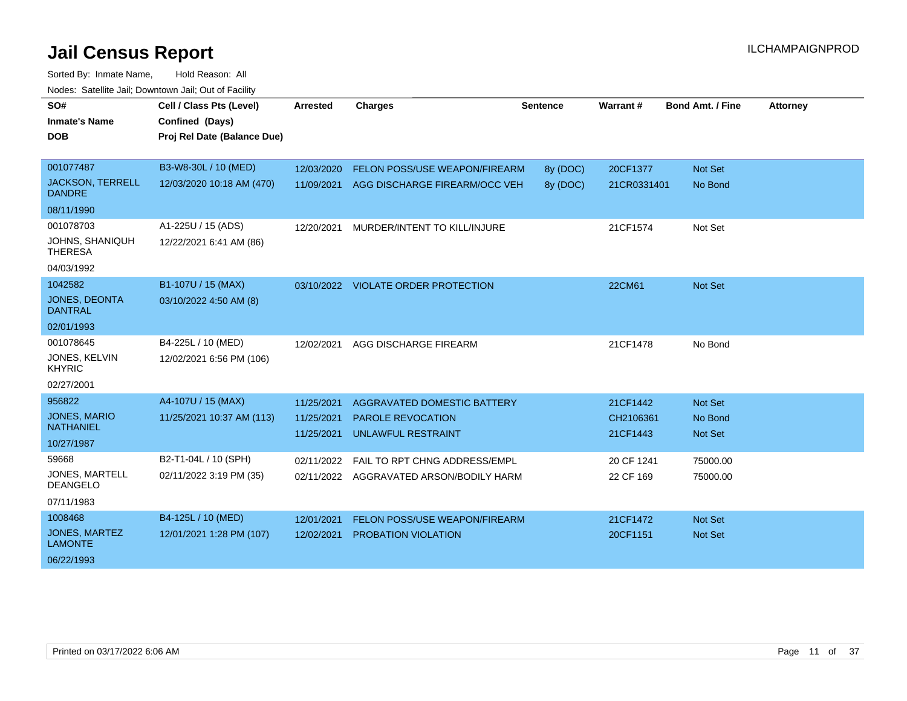| SO#<br><b>Inmate's Name</b><br><b>DOB</b> | Cell / Class Pts (Level)<br>Confined (Days)<br>Proj Rel Date (Balance Due) | <b>Arrested</b> | <b>Charges</b>                          | <b>Sentence</b> | Warrant#    | <b>Bond Amt. / Fine</b> | <b>Attorney</b> |
|-------------------------------------------|----------------------------------------------------------------------------|-----------------|-----------------------------------------|-----------------|-------------|-------------------------|-----------------|
|                                           |                                                                            |                 |                                         |                 |             |                         |                 |
| 001077487                                 | B3-W8-30L / 10 (MED)                                                       | 12/03/2020      | FELON POSS/USE WEAPON/FIREARM           | 8y (DOC)        | 20CF1377    | Not Set                 |                 |
| <b>JACKSON, TERRELL</b><br><b>DANDRE</b>  | 12/03/2020 10:18 AM (470)                                                  | 11/09/2021      | AGG DISCHARGE FIREARM/OCC VEH           | 8y (DOC)        | 21CR0331401 | No Bond                 |                 |
| 08/11/1990                                |                                                                            |                 |                                         |                 |             |                         |                 |
| 001078703                                 | A1-225U / 15 (ADS)                                                         | 12/20/2021      | MURDER/INTENT TO KILL/INJURE            |                 | 21CF1574    | Not Set                 |                 |
| JOHNS, SHANIQUH<br><b>THERESA</b>         | 12/22/2021 6:41 AM (86)                                                    |                 |                                         |                 |             |                         |                 |
| 04/03/1992                                |                                                                            |                 |                                         |                 |             |                         |                 |
| 1042582                                   | B1-107U / 15 (MAX)                                                         | 03/10/2022      | <b>VIOLATE ORDER PROTECTION</b>         |                 | 22CM61      | Not Set                 |                 |
| JONES, DEONTA<br><b>DANTRAL</b>           | 03/10/2022 4:50 AM (8)                                                     |                 |                                         |                 |             |                         |                 |
| 02/01/1993                                |                                                                            |                 |                                         |                 |             |                         |                 |
| 001078645                                 | B4-225L / 10 (MED)                                                         | 12/02/2021      | AGG DISCHARGE FIREARM                   |                 | 21CF1478    | No Bond                 |                 |
| JONES, KELVIN<br><b>KHYRIC</b>            | 12/02/2021 6:56 PM (106)                                                   |                 |                                         |                 |             |                         |                 |
| 02/27/2001                                |                                                                            |                 |                                         |                 |             |                         |                 |
| 956822                                    | A4-107U / 15 (MAX)                                                         | 11/25/2021      | <b>AGGRAVATED DOMESTIC BATTERY</b>      |                 | 21CF1442    | Not Set                 |                 |
| <b>JONES, MARIO</b>                       | 11/25/2021 10:37 AM (113)                                                  | 11/25/2021      | PAROLE REVOCATION                       |                 | CH2106361   | No Bond                 |                 |
| <b>NATHANIEL</b>                          |                                                                            | 11/25/2021      | <b>UNLAWFUL RESTRAINT</b>               |                 | 21CF1443    | <b>Not Set</b>          |                 |
| 10/27/1987                                |                                                                            |                 |                                         |                 |             |                         |                 |
| 59668                                     | B2-T1-04L / 10 (SPH)                                                       | 02/11/2022      | FAIL TO RPT CHNG ADDRESS/EMPL           |                 | 20 CF 1241  | 75000.00                |                 |
| JONES, MARTELL<br><b>DEANGELO</b>         | 02/11/2022 3:19 PM (35)                                                    |                 | 02/11/2022 AGGRAVATED ARSON/BODILY HARM |                 | 22 CF 169   | 75000.00                |                 |
| 07/11/1983                                |                                                                            |                 |                                         |                 |             |                         |                 |
| 1008468                                   | B4-125L / 10 (MED)                                                         | 12/01/2021      | <b>FELON POSS/USE WEAPON/FIREARM</b>    |                 | 21CF1472    | <b>Not Set</b>          |                 |
| <b>JONES, MARTEZ</b><br><b>LAMONTE</b>    | 12/01/2021 1:28 PM (107)                                                   | 12/02/2021      | <b>PROBATION VIOLATION</b>              |                 | 20CF1151    | <b>Not Set</b>          |                 |
| 06/22/1993                                |                                                                            |                 |                                         |                 |             |                         |                 |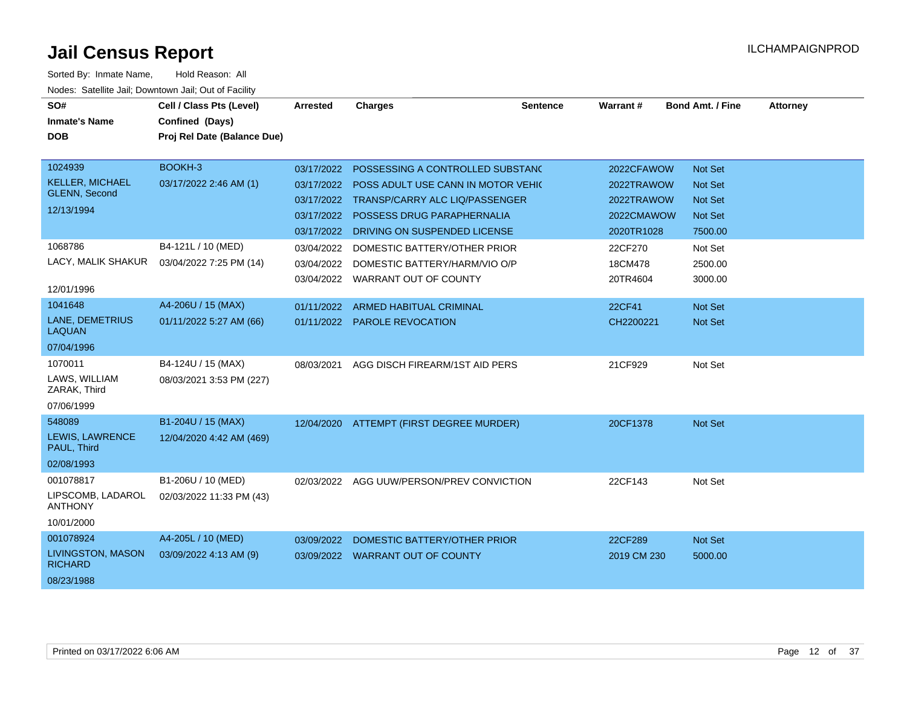| SO#<br><b>Inmate's Name</b><br><b>DOB</b>                               | Cell / Class Pts (Level)<br>Confined (Days)<br>Proj Rel Date (Balance Due) | <b>Arrested</b>                                      | <b>Charges</b>                                                                                                                                                                    | <b>Sentence</b> | <b>Warrant#</b>                                                    | <b>Bond Amt. / Fine</b>                                           | <b>Attorney</b> |
|-------------------------------------------------------------------------|----------------------------------------------------------------------------|------------------------------------------------------|-----------------------------------------------------------------------------------------------------------------------------------------------------------------------------------|-----------------|--------------------------------------------------------------------|-------------------------------------------------------------------|-----------------|
| 1024939<br><b>KELLER, MICHAEL</b><br><b>GLENN, Second</b><br>12/13/1994 | BOOKH-3<br>03/17/2022 2:46 AM (1)                                          | 03/17/2022<br>03/17/2022<br>03/17/2022<br>03/17/2022 | POSSESSING A CONTROLLED SUBSTANC<br>POSS ADULT USE CANN IN MOTOR VEHIC<br>TRANSP/CARRY ALC LIQ/PASSENGER<br>POSSESS DRUG PARAPHERNALIA<br>03/17/2022 DRIVING ON SUSPENDED LICENSE |                 | 2022CFAWOW<br>2022TRAWOW<br>2022TRAWOW<br>2022CMAWOW<br>2020TR1028 | Not Set<br>Not Set<br><b>Not Set</b><br><b>Not Set</b><br>7500.00 |                 |
| 1068786<br>LACY, MALIK SHAKUR<br>12/01/1996                             | B4-121L / 10 (MED)<br>03/04/2022 7:25 PM (14)                              | 03/04/2022<br>03/04/2022<br>03/04/2022               | DOMESTIC BATTERY/OTHER PRIOR<br>DOMESTIC BATTERY/HARM/VIO O/P<br>WARRANT OUT OF COUNTY                                                                                            |                 | 22CF270<br>18CM478<br>20TR4604                                     | Not Set<br>2500.00<br>3000.00                                     |                 |
| 1041648<br><b>LANE, DEMETRIUS</b><br><b>LAQUAN</b><br>07/04/1996        | A4-206U / 15 (MAX)<br>01/11/2022 5:27 AM (66)                              | 01/11/2022                                           | ARMED HABITUAL CRIMINAL<br>01/11/2022 PAROLE REVOCATION                                                                                                                           |                 | 22CF41<br>CH2200221                                                | Not Set<br><b>Not Set</b>                                         |                 |
| 1070011<br>LAWS, WILLIAM<br>ZARAK, Third<br>07/06/1999                  | B4-124U / 15 (MAX)<br>08/03/2021 3:53 PM (227)                             | 08/03/2021                                           | AGG DISCH FIREARM/1ST AID PERS                                                                                                                                                    |                 | 21CF929                                                            | Not Set                                                           |                 |
| 548089<br>LEWIS, LAWRENCE<br>PAUL, Third<br>02/08/1993                  | B1-204U / 15 (MAX)<br>12/04/2020 4:42 AM (469)                             |                                                      | 12/04/2020 ATTEMPT (FIRST DEGREE MURDER)                                                                                                                                          |                 | 20CF1378                                                           | <b>Not Set</b>                                                    |                 |
| 001078817<br>LIPSCOMB, LADAROL<br><b>ANTHONY</b><br>10/01/2000          | B1-206U / 10 (MED)<br>02/03/2022 11:33 PM (43)                             | 02/03/2022                                           | AGG UUW/PERSON/PREV CONVICTION                                                                                                                                                    |                 | 22CF143                                                            | Not Set                                                           |                 |
| 001078924<br>LIVINGSTON, MASON<br><b>RICHARD</b><br>08/23/1988          | A4-205L / 10 (MED)<br>03/09/2022 4:13 AM (9)                               | 03/09/2022                                           | DOMESTIC BATTERY/OTHER PRIOR<br>03/09/2022 WARRANT OUT OF COUNTY                                                                                                                  |                 | 22CF289<br>2019 CM 230                                             | Not Set<br>5000.00                                                |                 |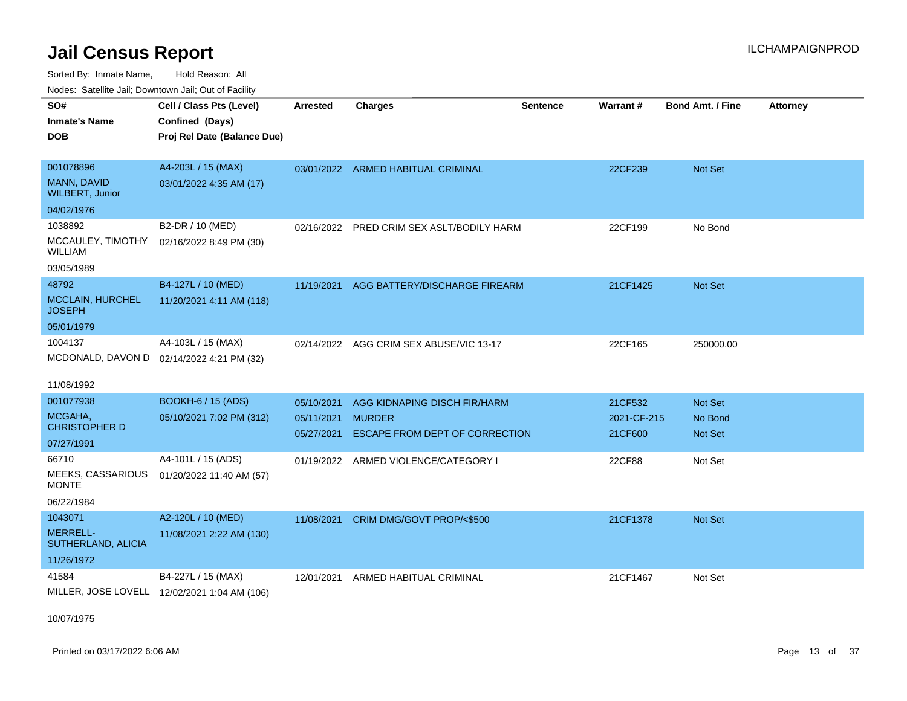Sorted By: Inmate Name, Hold Reason: All Nodes: Satellite Jail; Downtown Jail; Out of Facility

| <b>NOULD:</b> Catoline can, Downtown can, Out of Fability |                                              |                 |                                         |                 |             |                         |                 |
|-----------------------------------------------------------|----------------------------------------------|-----------------|-----------------------------------------|-----------------|-------------|-------------------------|-----------------|
| SO#                                                       | Cell / Class Pts (Level)                     | <b>Arrested</b> | <b>Charges</b>                          | <b>Sentence</b> | Warrant#    | <b>Bond Amt. / Fine</b> | <b>Attorney</b> |
| <b>Inmate's Name</b>                                      | Confined (Days)                              |                 |                                         |                 |             |                         |                 |
| <b>DOB</b>                                                | Proj Rel Date (Balance Due)                  |                 |                                         |                 |             |                         |                 |
|                                                           |                                              |                 |                                         |                 |             |                         |                 |
| 001078896                                                 | A4-203L / 15 (MAX)                           |                 | 03/01/2022 ARMED HABITUAL CRIMINAL      |                 | 22CF239     | Not Set                 |                 |
| MANN, DAVID<br><b>WILBERT, Junior</b>                     | 03/01/2022 4:35 AM (17)                      |                 |                                         |                 |             |                         |                 |
| 04/02/1976                                                |                                              |                 |                                         |                 |             |                         |                 |
| 1038892                                                   | B2-DR / 10 (MED)                             | 02/16/2022      | PRED CRIM SEX ASLT/BODILY HARM          |                 | 22CF199     | No Bond                 |                 |
| MCCAULEY, TIMOTHY<br>WILLIAM                              | 02/16/2022 8:49 PM (30)                      |                 |                                         |                 |             |                         |                 |
| 03/05/1989                                                |                                              |                 |                                         |                 |             |                         |                 |
| 48792                                                     | B4-127L / 10 (MED)                           | 11/19/2021      | AGG BATTERY/DISCHARGE FIREARM           |                 | 21CF1425    | <b>Not Set</b>          |                 |
| <b>MCCLAIN, HURCHEL</b><br><b>JOSEPH</b>                  | 11/20/2021 4:11 AM (118)                     |                 |                                         |                 |             |                         |                 |
| 05/01/1979                                                |                                              |                 |                                         |                 |             |                         |                 |
| 1004137                                                   | A4-103L / 15 (MAX)                           |                 | 02/14/2022 AGG CRIM SEX ABUSE/VIC 13-17 |                 | 22CF165     | 250000.00               |                 |
|                                                           | MCDONALD, DAVON D 02/14/2022 4:21 PM (32)    |                 |                                         |                 |             |                         |                 |
|                                                           |                                              |                 |                                         |                 |             |                         |                 |
| 11/08/1992                                                |                                              |                 |                                         |                 |             |                         |                 |
| 001077938                                                 | <b>BOOKH-6 / 15 (ADS)</b>                    | 05/10/2021      | AGG KIDNAPING DISCH FIR/HARM            |                 | 21CF532     | <b>Not Set</b>          |                 |
| MCGAHA,<br><b>CHRISTOPHER D</b>                           | 05/10/2021 7:02 PM (312)                     | 05/11/2021      | <b>MURDER</b>                           |                 | 2021-CF-215 | No Bond                 |                 |
| 07/27/1991                                                |                                              | 05/27/2021      | <b>ESCAPE FROM DEPT OF CORRECTION</b>   |                 | 21CF600     | <b>Not Set</b>          |                 |
| 66710                                                     | A4-101L / 15 (ADS)                           |                 | 01/19/2022 ARMED VIOLENCE/CATEGORY I    |                 | 22CF88      | Not Set                 |                 |
| MEEKS, CASSARIOUS                                         | 01/20/2022 11:40 AM (57)                     |                 |                                         |                 |             |                         |                 |
| <b>MONTE</b>                                              |                                              |                 |                                         |                 |             |                         |                 |
| 06/22/1984                                                |                                              |                 |                                         |                 |             |                         |                 |
| 1043071                                                   | A2-120L / 10 (MED)                           | 11/08/2021      | CRIM DMG/GOVT PROP/<\$500               |                 | 21CF1378    | Not Set                 |                 |
| <b>MERRELL-</b><br>SUTHERLAND, ALICIA                     | 11/08/2021 2:22 AM (130)                     |                 |                                         |                 |             |                         |                 |
| 11/26/1972                                                |                                              |                 |                                         |                 |             |                         |                 |
| 41584                                                     | B4-227L / 15 (MAX)                           |                 | 12/01/2021 ARMED HABITUAL CRIMINAL      |                 | 21CF1467    | Not Set                 |                 |
|                                                           | MILLER, JOSE LOVELL 12/02/2021 1:04 AM (106) |                 |                                         |                 |             |                         |                 |
|                                                           |                                              |                 |                                         |                 |             |                         |                 |

10/07/1975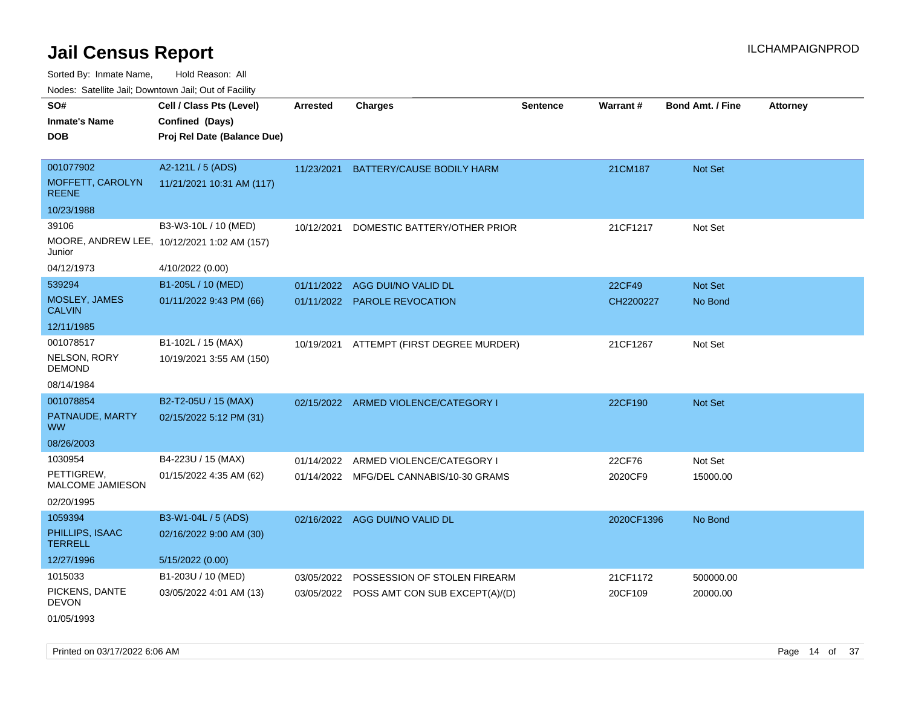Sorted By: Inmate Name, Hold Reason: All

Nodes: Satellite Jail; Downtown Jail; Out of Facility

| SO#                               | Cell / Class Pts (Level)                    | <b>Arrested</b> | <b>Charges</b>                            | <b>Sentence</b> | <b>Warrant#</b> | <b>Bond Amt. / Fine</b> | <b>Attorney</b> |
|-----------------------------------|---------------------------------------------|-----------------|-------------------------------------------|-----------------|-----------------|-------------------------|-----------------|
| <b>Inmate's Name</b>              | Confined (Days)                             |                 |                                           |                 |                 |                         |                 |
| <b>DOB</b>                        | Proj Rel Date (Balance Due)                 |                 |                                           |                 |                 |                         |                 |
|                                   |                                             |                 |                                           |                 |                 |                         |                 |
| 001077902                         | A2-121L / 5 (ADS)                           | 11/23/2021      | BATTERY/CAUSE BODILY HARM                 |                 | 21CM187         | Not Set                 |                 |
| MOFFETT, CAROLYN<br><b>REENE</b>  | 11/21/2021 10:31 AM (117)                   |                 |                                           |                 |                 |                         |                 |
| 10/23/1988                        |                                             |                 |                                           |                 |                 |                         |                 |
| 39106                             | B3-W3-10L / 10 (MED)                        | 10/12/2021      | DOMESTIC BATTERY/OTHER PRIOR              |                 | 21CF1217        | Not Set                 |                 |
| Junior                            | MOORE, ANDREW LEE, 10/12/2021 1:02 AM (157) |                 |                                           |                 |                 |                         |                 |
| 04/12/1973                        | 4/10/2022 (0.00)                            |                 |                                           |                 |                 |                         |                 |
| 539294                            | B1-205L / 10 (MED)                          | 01/11/2022      | AGG DUI/NO VALID DL                       |                 | <b>22CF49</b>   | Not Set                 |                 |
| MOSLEY, JAMES<br><b>CALVIN</b>    | 01/11/2022 9:43 PM (66)                     |                 | 01/11/2022 PAROLE REVOCATION              |                 | CH2200227       | No Bond                 |                 |
| 12/11/1985                        |                                             |                 |                                           |                 |                 |                         |                 |
| 001078517                         | B1-102L / 15 (MAX)                          | 10/19/2021      | ATTEMPT (FIRST DEGREE MURDER)             |                 | 21CF1267        | Not Set                 |                 |
| NELSON, RORY<br><b>DEMOND</b>     | 10/19/2021 3:55 AM (150)                    |                 |                                           |                 |                 |                         |                 |
| 08/14/1984                        |                                             |                 |                                           |                 |                 |                         |                 |
| 001078854                         | B2-T2-05U / 15 (MAX)                        |                 | 02/15/2022 ARMED VIOLENCE/CATEGORY I      |                 | 22CF190         | <b>Not Set</b>          |                 |
| PATNAUDE, MARTY<br><b>WW</b>      | 02/15/2022 5:12 PM (31)                     |                 |                                           |                 |                 |                         |                 |
| 08/26/2003                        |                                             |                 |                                           |                 |                 |                         |                 |
| 1030954                           | B4-223U / 15 (MAX)                          | 01/14/2022      | ARMED VIOLENCE/CATEGORY I                 |                 | 22CF76          | Not Set                 |                 |
| PETTIGREW,<br>MALCOME JAMIESON    | 01/15/2022 4:35 AM (62)                     |                 | 01/14/2022 MFG/DEL CANNABIS/10-30 GRAMS   |                 | 2020CF9         | 15000.00                |                 |
| 02/20/1995                        |                                             |                 |                                           |                 |                 |                         |                 |
| 1059394                           | B3-W1-04L / 5 (ADS)                         |                 | 02/16/2022 AGG DUI/NO VALID DL            |                 | 2020CF1396      | No Bond                 |                 |
| PHILLIPS, ISAAC<br><b>TERRELL</b> | 02/16/2022 9:00 AM (30)                     |                 |                                           |                 |                 |                         |                 |
| 12/27/1996                        | 5/15/2022 (0.00)                            |                 |                                           |                 |                 |                         |                 |
| 1015033                           | B1-203U / 10 (MED)                          | 03/05/2022      | POSSESSION OF STOLEN FIREARM              |                 | 21CF1172        | 500000.00               |                 |
| PICKENS, DANTE<br><b>DEVON</b>    | 03/05/2022 4:01 AM (13)                     |                 | 03/05/2022 POSS AMT CON SUB EXCEPT(A)/(D) |                 | 20CF109         | 20000.00                |                 |

01/05/1993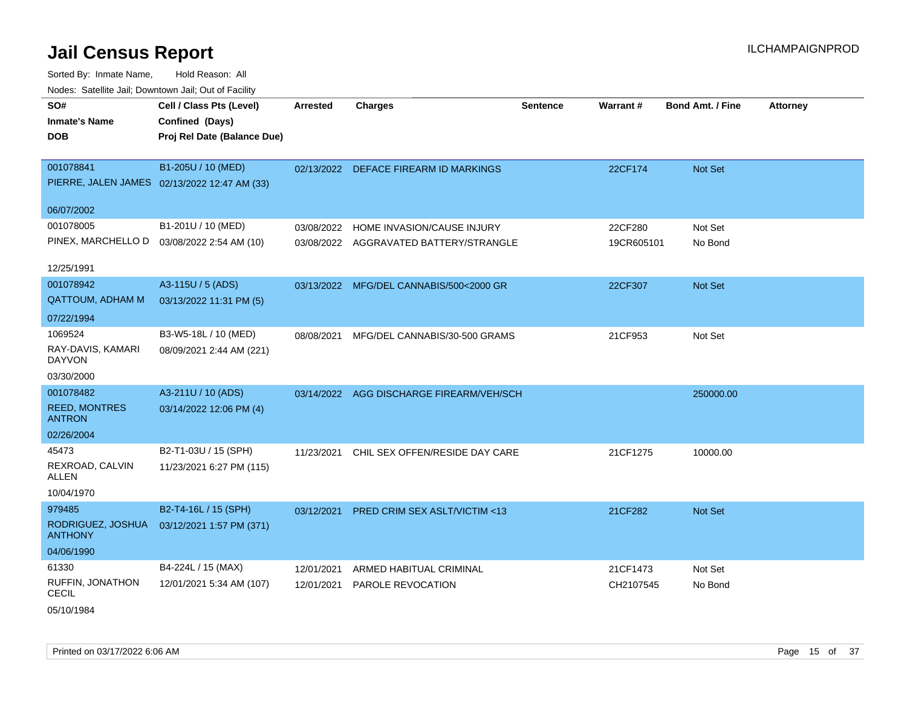| SO#                                   | Cell / Class Pts (Level)                     | <b>Arrested</b> | <b>Charges</b>                           | <b>Sentence</b> | Warrant#   | <b>Bond Amt. / Fine</b> | <b>Attorney</b> |
|---------------------------------------|----------------------------------------------|-----------------|------------------------------------------|-----------------|------------|-------------------------|-----------------|
| <b>Inmate's Name</b>                  | Confined (Days)                              |                 |                                          |                 |            |                         |                 |
| <b>DOB</b>                            | Proj Rel Date (Balance Due)                  |                 |                                          |                 |            |                         |                 |
|                                       |                                              |                 |                                          |                 |            |                         |                 |
| 001078841                             | B1-205U / 10 (MED)                           |                 | 02/13/2022 DEFACE FIREARM ID MARKINGS    |                 | 22CF174    | Not Set                 |                 |
|                                       | PIERRE, JALEN JAMES 02/13/2022 12:47 AM (33) |                 |                                          |                 |            |                         |                 |
| 06/07/2002                            |                                              |                 |                                          |                 |            |                         |                 |
| 001078005                             | B1-201U / 10 (MED)                           | 03/08/2022      | HOME INVASION/CAUSE INJURY               |                 | 22CF280    | Not Set                 |                 |
|                                       | PINEX, MARCHELLO D  03/08/2022 2:54 AM (10)  |                 | 03/08/2022 AGGRAVATED BATTERY/STRANGLE   |                 | 19CR605101 | No Bond                 |                 |
|                                       |                                              |                 |                                          |                 |            |                         |                 |
| 12/25/1991                            |                                              |                 |                                          |                 |            |                         |                 |
| 001078942                             | A3-115U / 5 (ADS)                            |                 | 03/13/2022 MFG/DEL CANNABIS/500<2000 GR  |                 | 22CF307    | Not Set                 |                 |
| QATTOUM, ADHAM M                      | 03/13/2022 11:31 PM (5)                      |                 |                                          |                 |            |                         |                 |
| 07/22/1994                            |                                              |                 |                                          |                 |            |                         |                 |
| 1069524                               | B3-W5-18L / 10 (MED)                         | 08/08/2021      | MFG/DEL CANNABIS/30-500 GRAMS            |                 | 21CF953    | Not Set                 |                 |
| RAY-DAVIS, KAMARI<br><b>DAYVON</b>    | 08/09/2021 2:44 AM (221)                     |                 |                                          |                 |            |                         |                 |
| 03/30/2000                            |                                              |                 |                                          |                 |            |                         |                 |
| 001078482                             | A3-211U / 10 (ADS)                           |                 | 03/14/2022 AGG DISCHARGE FIREARM/VEH/SCH |                 |            | 250000.00               |                 |
| <b>REED, MONTRES</b><br><b>ANTRON</b> | 03/14/2022 12:06 PM (4)                      |                 |                                          |                 |            |                         |                 |
| 02/26/2004                            |                                              |                 |                                          |                 |            |                         |                 |
| 45473                                 | B2-T1-03U / 15 (SPH)                         | 11/23/2021      | CHIL SEX OFFEN/RESIDE DAY CARE           |                 | 21CF1275   | 10000.00                |                 |
| REXROAD, CALVIN<br>ALLEN              | 11/23/2021 6:27 PM (115)                     |                 |                                          |                 |            |                         |                 |
| 10/04/1970                            |                                              |                 |                                          |                 |            |                         |                 |
| 979485                                | B2-T4-16L / 15 (SPH)                         |                 | 03/12/2021 PRED CRIM SEX ASLT/VICTIM <13 |                 | 21CF282    | Not Set                 |                 |
| RODRIGUEZ, JOSHUA<br><b>ANTHONY</b>   | 03/12/2021 1:57 PM (371)                     |                 |                                          |                 |            |                         |                 |
| 04/06/1990                            |                                              |                 |                                          |                 |            |                         |                 |
| 61330                                 | B4-224L / 15 (MAX)                           | 12/01/2021      | ARMED HABITUAL CRIMINAL                  |                 | 21CF1473   | Not Set                 |                 |
| RUFFIN, JONATHON<br><b>CECIL</b>      | 12/01/2021 5:34 AM (107)                     | 12/01/2021      | <b>PAROLE REVOCATION</b>                 |                 | CH2107545  | No Bond                 |                 |
| 05/10/1984                            |                                              |                 |                                          |                 |            |                         |                 |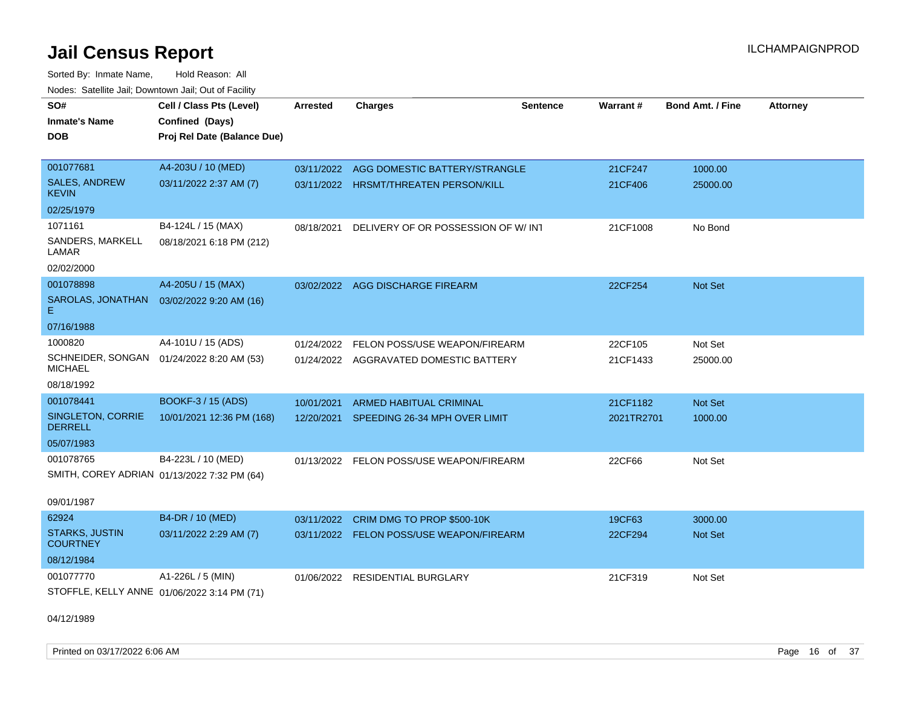Sorted By: Inmate Name, Hold Reason: All Nodes: Satellite Jail; Downtown Jail; Out of Facility

| SO#<br><b>Inmate's Name</b>                                 | Cell / Class Pts (Level)<br>Confined (Days) | <b>Arrested</b> | <b>Charges</b>                           | <b>Sentence</b> | Warrant#   | <b>Bond Amt. / Fine</b> | <b>Attorney</b> |
|-------------------------------------------------------------|---------------------------------------------|-----------------|------------------------------------------|-----------------|------------|-------------------------|-----------------|
| <b>DOB</b>                                                  | Proj Rel Date (Balance Due)                 |                 |                                          |                 |            |                         |                 |
| 001077681                                                   | A4-203U / 10 (MED)                          | 03/11/2022      | AGG DOMESTIC BATTERY/STRANGLE            |                 | 21CF247    | 1000.00                 |                 |
| <b>SALES, ANDREW</b><br><b>KEVIN</b>                        | 03/11/2022 2:37 AM (7)                      |                 | 03/11/2022 HRSMT/THREATEN PERSON/KILL    |                 | 21CF406    | 25000.00                |                 |
| 02/25/1979                                                  |                                             |                 |                                          |                 |            |                         |                 |
| 1071161                                                     | B4-124L / 15 (MAX)                          | 08/18/2021      | DELIVERY OF OR POSSESSION OF W/INT       |                 | 21CF1008   | No Bond                 |                 |
| SANDERS, MARKELL<br>LAMAR                                   | 08/18/2021 6:18 PM (212)                    |                 |                                          |                 |            |                         |                 |
| 02/02/2000                                                  |                                             |                 |                                          |                 |            |                         |                 |
| 001078898                                                   | A4-205U / 15 (MAX)                          |                 | 03/02/2022 AGG DISCHARGE FIREARM         |                 | 22CF254    | Not Set                 |                 |
| SAROLAS, JONATHAN<br>E.                                     | 03/02/2022 9:20 AM (16)                     |                 |                                          |                 |            |                         |                 |
| 07/16/1988                                                  |                                             |                 |                                          |                 |            |                         |                 |
| 1000820                                                     | A4-101U / 15 (ADS)                          | 01/24/2022      | FELON POSS/USE WEAPON/FIREARM            |                 | 22CF105    | Not Set                 |                 |
| SCHNEIDER, SONGAN 01/24/2022 8:20 AM (53)<br><b>MICHAEL</b> |                                             |                 | 01/24/2022 AGGRAVATED DOMESTIC BATTERY   |                 | 21CF1433   | 25000.00                |                 |
| 08/18/1992                                                  |                                             |                 |                                          |                 |            |                         |                 |
| 001078441                                                   | BOOKF-3 / 15 (ADS)                          | 10/01/2021      | ARMED HABITUAL CRIMINAL                  |                 | 21CF1182   | <b>Not Set</b>          |                 |
| SINGLETON, CORRIE<br><b>DERRELL</b>                         | 10/01/2021 12:36 PM (168)                   | 12/20/2021      | SPEEDING 26-34 MPH OVER LIMIT            |                 | 2021TR2701 | 1000.00                 |                 |
| 05/07/1983                                                  |                                             |                 |                                          |                 |            |                         |                 |
| 001078765                                                   | B4-223L / 10 (MED)                          |                 | 01/13/2022 FELON POSS/USE WEAPON/FIREARM |                 | 22CF66     | Not Set                 |                 |
| SMITH, COREY ADRIAN 01/13/2022 7:32 PM (64)                 |                                             |                 |                                          |                 |            |                         |                 |
| 09/01/1987                                                  |                                             |                 |                                          |                 |            |                         |                 |
| 62924                                                       | B4-DR / 10 (MED)                            | 03/11/2022      | CRIM DMG TO PROP \$500-10K               |                 | 19CF63     | 3000.00                 |                 |
| <b>STARKS, JUSTIN</b><br><b>COURTNEY</b>                    | 03/11/2022 2:29 AM (7)                      |                 | 03/11/2022 FELON POSS/USE WEAPON/FIREARM |                 | 22CF294    | Not Set                 |                 |
| 08/12/1984                                                  |                                             |                 |                                          |                 |            |                         |                 |
| 001077770                                                   | A1-226L / 5 (MIN)                           | 01/06/2022      | RESIDENTIAL BURGLARY                     |                 | 21CF319    | Not Set                 |                 |
| STOFFLE, KELLY ANNE 01/06/2022 3:14 PM (71)                 |                                             |                 |                                          |                 |            |                         |                 |

04/12/1989

Printed on 03/17/2022 6:06 AM Page 16 of 37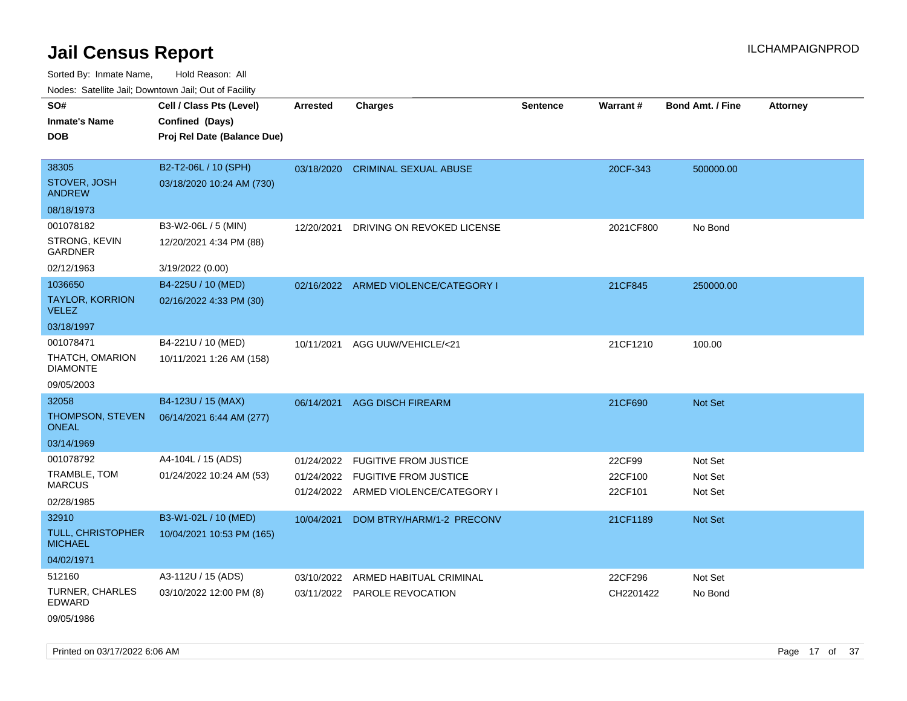Sorted By: Inmate Name, Hold Reason: All

| Nodes: Satellite Jail; Downtown Jail; Out of Facility |                             |                 |                                      |                 |                 |                  |                 |
|-------------------------------------------------------|-----------------------------|-----------------|--------------------------------------|-----------------|-----------------|------------------|-----------------|
| SO#                                                   | Cell / Class Pts (Level)    | <b>Arrested</b> | <b>Charges</b>                       | <b>Sentence</b> | <b>Warrant#</b> | Bond Amt. / Fine | <b>Attorney</b> |
| <b>Inmate's Name</b>                                  | Confined (Days)             |                 |                                      |                 |                 |                  |                 |
| <b>DOB</b>                                            | Proj Rel Date (Balance Due) |                 |                                      |                 |                 |                  |                 |
|                                                       |                             |                 |                                      |                 |                 |                  |                 |
| 38305                                                 | B2-T2-06L / 10 (SPH)        | 03/18/2020      | <b>CRIMINAL SEXUAL ABUSE</b>         |                 | 20CF-343        | 500000.00        |                 |
| STOVER, JOSH<br><b>ANDREW</b>                         | 03/18/2020 10:24 AM (730)   |                 |                                      |                 |                 |                  |                 |
| 08/18/1973                                            |                             |                 |                                      |                 |                 |                  |                 |
| 001078182                                             | B3-W2-06L / 5 (MIN)         | 12/20/2021      | DRIVING ON REVOKED LICENSE           |                 | 2021CF800       | No Bond          |                 |
| STRONG, KEVIN<br><b>GARDNER</b>                       | 12/20/2021 4:34 PM (88)     |                 |                                      |                 |                 |                  |                 |
| 02/12/1963                                            | 3/19/2022 (0.00)            |                 |                                      |                 |                 |                  |                 |
| 1036650                                               | B4-225U / 10 (MED)          | 02/16/2022      | ARMED VIOLENCE/CATEGORY I            |                 | 21CF845         | 250000.00        |                 |
| <b>TAYLOR, KORRION</b><br><b>VELEZ</b>                | 02/16/2022 4:33 PM (30)     |                 |                                      |                 |                 |                  |                 |
| 03/18/1997                                            |                             |                 |                                      |                 |                 |                  |                 |
| 001078471                                             | B4-221U / 10 (MED)          | 10/11/2021      | AGG UUW/VEHICLE/<21                  |                 | 21CF1210        | 100.00           |                 |
| THATCH, OMARION<br><b>DIAMONTE</b>                    | 10/11/2021 1:26 AM (158)    |                 |                                      |                 |                 |                  |                 |
| 09/05/2003                                            |                             |                 |                                      |                 |                 |                  |                 |
| 32058                                                 | B4-123U / 15 (MAX)          | 06/14/2021      | <b>AGG DISCH FIREARM</b>             |                 | 21CF690         | Not Set          |                 |
| THOMPSON, STEVEN<br><b>ONEAL</b>                      | 06/14/2021 6:44 AM (277)    |                 |                                      |                 |                 |                  |                 |
| 03/14/1969                                            |                             |                 |                                      |                 |                 |                  |                 |
| 001078792                                             | A4-104L / 15 (ADS)          | 01/24/2022      | <b>FUGITIVE FROM JUSTICE</b>         |                 | 22CF99          | Not Set          |                 |
| TRAMBLE, TOM                                          | 01/24/2022 10:24 AM (53)    |                 | 01/24/2022 FUGITIVE FROM JUSTICE     |                 | 22CF100         | Not Set          |                 |
| <b>MARCUS</b>                                         |                             |                 | 01/24/2022 ARMED VIOLENCE/CATEGORY I |                 | 22CF101         | Not Set          |                 |
| 02/28/1985                                            |                             |                 |                                      |                 |                 |                  |                 |
| 32910                                                 | B3-W1-02L / 10 (MED)        | 10/04/2021      | DOM BTRY/HARM/1-2 PRECONV            |                 | 21CF1189        | <b>Not Set</b>   |                 |
| TULL, CHRISTOPHER<br><b>MICHAEL</b>                   | 10/04/2021 10:53 PM (165)   |                 |                                      |                 |                 |                  |                 |
| 04/02/1971                                            |                             |                 |                                      |                 |                 |                  |                 |
| 512160                                                | A3-112U / 15 (ADS)          | 03/10/2022      | ARMED HABITUAL CRIMINAL              |                 | 22CF296         | Not Set          |                 |
| <b>TURNER, CHARLES</b><br><b>EDWARD</b>               | 03/10/2022 12:00 PM (8)     |                 | 03/11/2022 PAROLE REVOCATION         |                 | CH2201422       | No Bond          |                 |

09/05/1986

Printed on 03/17/2022 6:06 AM Page 17 of 37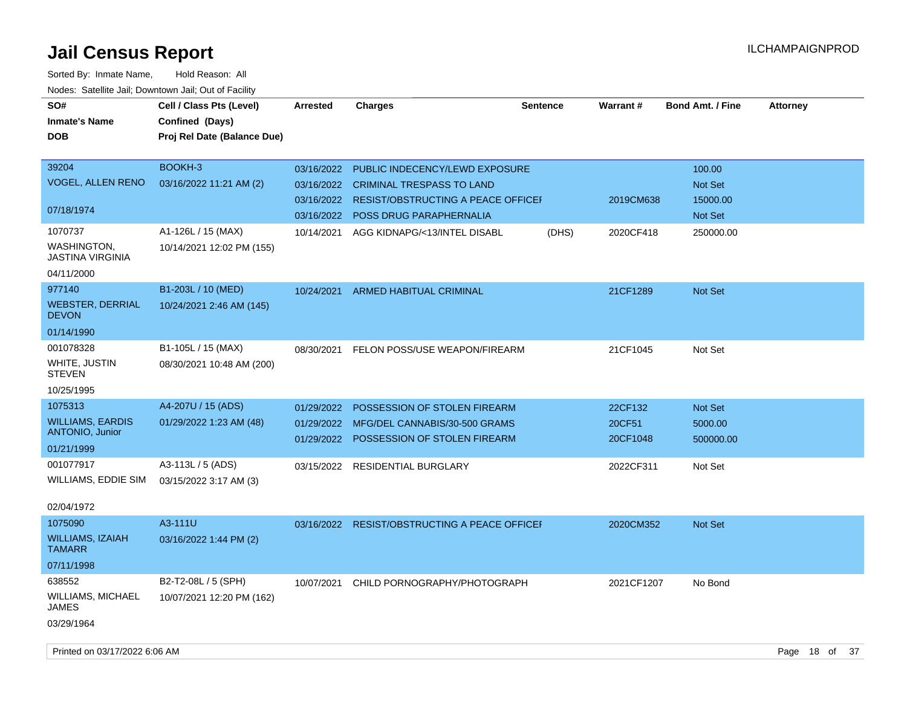| SO#<br><b>Inmate's Name</b><br><b>DOB</b>                               | Cell / Class Pts (Level)<br>Confined (Days)<br>Proj Rel Date (Balance Due) | Arrested                                             | <b>Charges</b>                                                                                                                             | Sentence | <b>Warrant#</b>               | <b>Bond Amt. / Fine</b>                  | <b>Attorney</b> |
|-------------------------------------------------------------------------|----------------------------------------------------------------------------|------------------------------------------------------|--------------------------------------------------------------------------------------------------------------------------------------------|----------|-------------------------------|------------------------------------------|-----------------|
| 39204<br><b>VOGEL, ALLEN RENO</b><br>07/18/1974                         | BOOKH-3<br>03/16/2022 11:21 AM (2)                                         | 03/16/2022<br>03/16/2022<br>03/16/2022<br>03/16/2022 | PUBLIC INDECENCY/LEWD EXPOSURE<br><b>CRIMINAL TRESPASS TO LAND</b><br>RESIST/OBSTRUCTING A PEACE OFFICEI<br><b>POSS DRUG PARAPHERNALIA</b> |          | 2019CM638                     | 100.00<br>Not Set<br>15000.00<br>Not Set |                 |
| 1070737<br><b>WASHINGTON,</b><br><b>JASTINA VIRGINIA</b><br>04/11/2000  | A1-126L / 15 (MAX)<br>10/14/2021 12:02 PM (155)                            | 10/14/2021                                           | AGG KIDNAPG/<13/INTEL DISABL                                                                                                               | (DHS)    | 2020CF418                     | 250000.00                                |                 |
| 977140<br><b>WEBSTER, DERRIAL</b><br><b>DEVON</b>                       | B1-203L / 10 (MED)<br>10/24/2021 2:46 AM (145)                             | 10/24/2021                                           | <b>ARMED HABITUAL CRIMINAL</b>                                                                                                             |          | 21CF1289                      | Not Set                                  |                 |
| 01/14/1990<br>001078328<br>WHITE, JUSTIN<br><b>STEVEN</b><br>10/25/1995 | B1-105L / 15 (MAX)<br>08/30/2021 10:48 AM (200)                            | 08/30/2021                                           | FELON POSS/USE WEAPON/FIREARM                                                                                                              |          | 21CF1045                      | Not Set                                  |                 |
| 1075313<br><b>WILLIAMS, EARDIS</b><br>ANTONIO, Junior<br>01/21/1999     | A4-207U / 15 (ADS)<br>01/29/2022 1:23 AM (48)                              | 01/29/2022<br>01/29/2022                             | POSSESSION OF STOLEN FIREARM<br>MFG/DEL CANNABIS/30-500 GRAMS<br>01/29/2022 POSSESSION OF STOLEN FIREARM                                   |          | 22CF132<br>20CF51<br>20CF1048 | Not Set<br>5000.00<br>500000.00          |                 |
| 001077917<br>WILLIAMS, EDDIE SIM<br>02/04/1972                          | A3-113L / 5 (ADS)<br>03/15/2022 3:17 AM (3)                                |                                                      | 03/15/2022 RESIDENTIAL BURGLARY                                                                                                            |          | 2022CF311                     | Not Set                                  |                 |
| 1075090<br><b>WILLIAMS, IZAIAH</b><br><b>TAMARR</b><br>07/11/1998       | A3-111U<br>03/16/2022 1:44 PM (2)                                          | 03/16/2022                                           | <b>RESIST/OBSTRUCTING A PEACE OFFICEF</b>                                                                                                  |          | 2020CM352                     | Not Set                                  |                 |
| 638552<br>WILLIAMS, MICHAEL<br>JAMES<br>03/29/1964                      | B2-T2-08L / 5 (SPH)<br>10/07/2021 12:20 PM (162)                           | 10/07/2021                                           | CHILD PORNOGRAPHY/PHOTOGRAPH                                                                                                               |          | 2021CF1207                    | No Bond                                  |                 |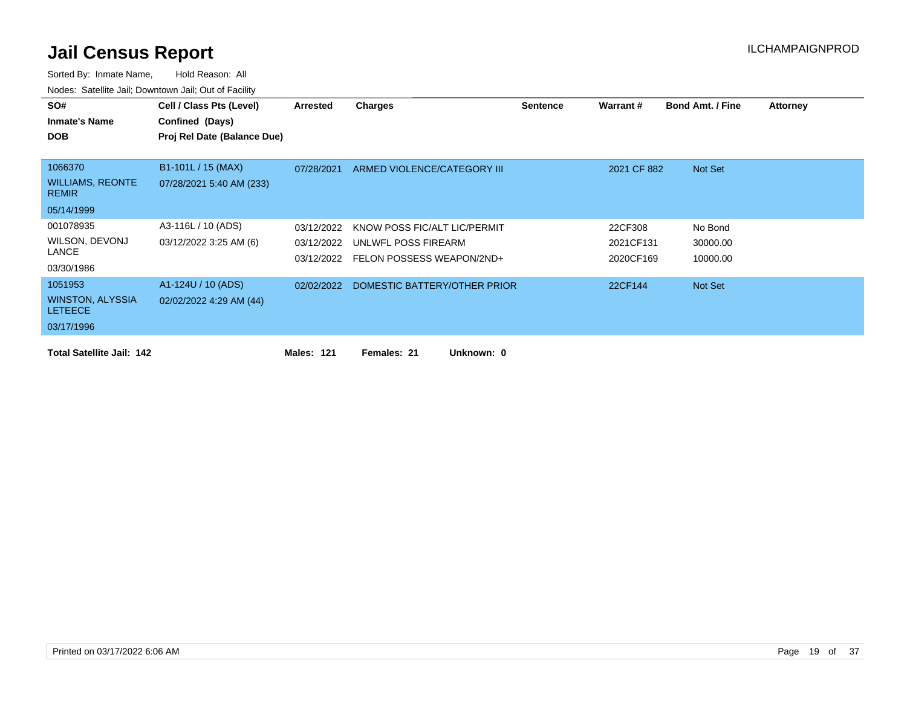| SO#<br><b>Inmate's Name</b><br><b>DOB</b>                          | Cell / Class Pts (Level)<br>Confined (Days)<br>Proj Rel Date (Balance Due) | Arrested                               | Charges                                                                          | <b>Sentence</b> | Warrant #                         | <b>Bond Amt. / Fine</b>         | <b>Attorney</b> |
|--------------------------------------------------------------------|----------------------------------------------------------------------------|----------------------------------------|----------------------------------------------------------------------------------|-----------------|-----------------------------------|---------------------------------|-----------------|
| 1066370<br><b>WILLIAMS, REONTE</b><br><b>REMIR</b><br>05/14/1999   | B1-101L / 15 (MAX)<br>07/28/2021 5:40 AM (233)                             | 07/28/2021                             | ARMED VIOLENCE/CATEGORY III                                                      |                 | 2021 CF 882                       | Not Set                         |                 |
| 001078935<br>WILSON, DEVONJ<br>LANCE<br>03/30/1986                 | A3-116L / 10 (ADS)<br>03/12/2022 3:25 AM (6)                               | 03/12/2022<br>03/12/2022<br>03/12/2022 | KNOW POSS FIC/ALT LIC/PERMIT<br>UNLWFL POSS FIREARM<br>FELON POSSESS WEAPON/2ND+ |                 | 22CF308<br>2021CF131<br>2020CF169 | No Bond<br>30000.00<br>10000.00 |                 |
| 1051953<br><b>WINSTON, ALYSSIA</b><br><b>LETEECE</b><br>03/17/1996 | A1-124U / 10 (ADS)<br>02/02/2022 4:29 AM (44)                              | 02/02/2022                             | DOMESTIC BATTERY/OTHER PRIOR                                                     |                 | 22CF144                           | Not Set                         |                 |
| <b>Total Satellite Jail: 142</b>                                   |                                                                            | <b>Males: 121</b>                      | Females: 21<br>Unknown: 0                                                        |                 |                                   |                                 |                 |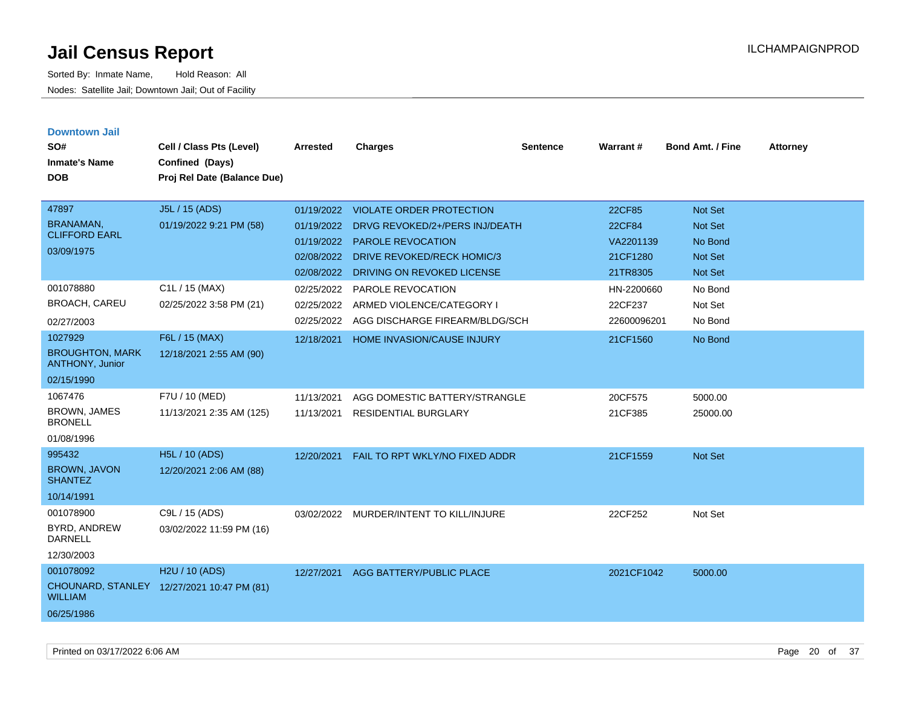| <b>Downtown Jail</b><br>SO#<br><b>Inmate's Name</b><br><b>DOB</b>     | Cell / Class Pts (Level)<br>Confined (Days)<br>Proj Rel Date (Balance Due) | <b>Arrested</b>                                                    | <b>Charges</b>                                                                                                                                            | <b>Sentence</b> | <b>Warrant#</b>                                       | <b>Bond Amt. / Fine</b>                                                  | <b>Attorney</b> |
|-----------------------------------------------------------------------|----------------------------------------------------------------------------|--------------------------------------------------------------------|-----------------------------------------------------------------------------------------------------------------------------------------------------------|-----------------|-------------------------------------------------------|--------------------------------------------------------------------------|-----------------|
| 47897<br><b>BRANAMAN,</b><br><b>CLIFFORD EARL</b><br>03/09/1975       | J5L / 15 (ADS)<br>01/19/2022 9:21 PM (58)                                  | 01/19/2022<br>01/19/2022<br>01/19/2022<br>02/08/2022<br>02/08/2022 | <b>VIOLATE ORDER PROTECTION</b><br>DRVG REVOKED/2+/PERS INJ/DEATH<br><b>PAROLE REVOCATION</b><br>DRIVE REVOKED/RECK HOMIC/3<br>DRIVING ON REVOKED LICENSE |                 | 22CF85<br>22CF84<br>VA2201139<br>21CF1280<br>21TR8305 | Not Set<br><b>Not Set</b><br>No Bond<br><b>Not Set</b><br><b>Not Set</b> |                 |
| 001078880<br><b>BROACH, CAREU</b><br>02/27/2003                       | C1L / 15 (MAX)<br>02/25/2022 3:58 PM (21)                                  | 02/25/2022<br>02/25/2022<br>02/25/2022                             | PAROLE REVOCATION<br>ARMED VIOLENCE/CATEGORY I<br>AGG DISCHARGE FIREARM/BLDG/SCH                                                                          |                 | HN-2200660<br>22CF237<br>22600096201                  | No Bond<br>Not Set<br>No Bond                                            |                 |
| 1027929<br><b>BROUGHTON, MARK</b><br>ANTHONY, Junior<br>02/15/1990    | F6L / 15 (MAX)<br>12/18/2021 2:55 AM (90)                                  | 12/18/2021                                                         | HOME INVASION/CAUSE INJURY                                                                                                                                |                 | 21CF1560                                              | No Bond                                                                  |                 |
| 1067476<br><b>BROWN, JAMES</b><br><b>BRONELL</b><br>01/08/1996        | F7U / 10 (MED)<br>11/13/2021 2:35 AM (125)                                 | 11/13/2021<br>11/13/2021                                           | AGG DOMESTIC BATTERY/STRANGLE<br><b>RESIDENTIAL BURGLARY</b>                                                                                              |                 | 20CF575<br>21CF385                                    | 5000.00<br>25000.00                                                      |                 |
| 995432<br><b>BROWN, JAVON</b><br><b>SHANTEZ</b><br>10/14/1991         | H5L / 10 (ADS)<br>12/20/2021 2:06 AM (88)                                  | 12/20/2021                                                         | FAIL TO RPT WKLY/NO FIXED ADDR                                                                                                                            |                 | 21CF1559                                              | Not Set                                                                  |                 |
| 001078900<br>BYRD, ANDREW<br><b>DARNELL</b><br>12/30/2003             | C9L / 15 (ADS)<br>03/02/2022 11:59 PM (16)                                 | 03/02/2022                                                         | MURDER/INTENT TO KILL/INJURE                                                                                                                              |                 | 22CF252                                               | Not Set                                                                  |                 |
| 001078092<br><b>CHOUNARD, STANLEY</b><br><b>WILLIAM</b><br>06/25/1986 | H2U / 10 (ADS)<br>12/27/2021 10:47 PM (81)                                 | 12/27/2021                                                         | AGG BATTERY/PUBLIC PLACE                                                                                                                                  |                 | 2021CF1042                                            | 5000.00                                                                  |                 |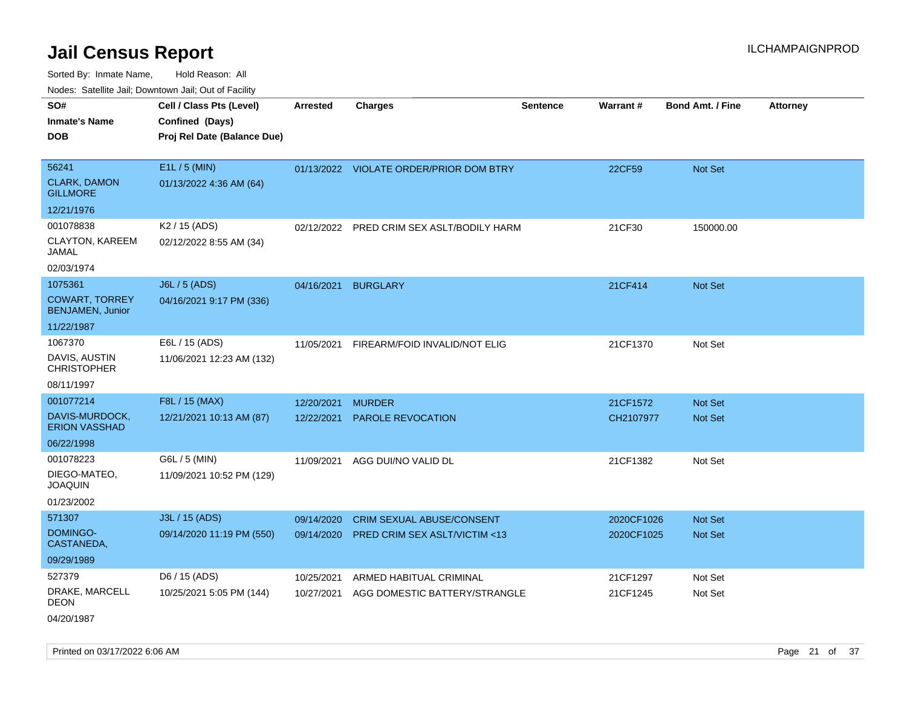Sorted By: Inmate Name, Hold Reason: All Nodes: Satellite Jail; Downtown Jail; Out of Facility

| SO#                                              | Cell / Class Pts (Level)    | <b>Arrested</b> | <b>Charges</b>                            | <b>Sentence</b> | Warrant#   | <b>Bond Amt. / Fine</b> | <b>Attorney</b> |
|--------------------------------------------------|-----------------------------|-----------------|-------------------------------------------|-----------------|------------|-------------------------|-----------------|
| <b>Inmate's Name</b>                             | Confined (Days)             |                 |                                           |                 |            |                         |                 |
| <b>DOB</b>                                       | Proj Rel Date (Balance Due) |                 |                                           |                 |            |                         |                 |
|                                                  |                             |                 |                                           |                 |            |                         |                 |
| 56241                                            | E1L / 5 (MIN)               |                 | 01/13/2022 VIOLATE ORDER/PRIOR DOM BTRY   |                 | 22CF59     | Not Set                 |                 |
| <b>CLARK, DAMON</b><br><b>GILLMORE</b>           | 01/13/2022 4:36 AM (64)     |                 |                                           |                 |            |                         |                 |
| 12/21/1976                                       |                             |                 |                                           |                 |            |                         |                 |
| 001078838                                        | K2 / 15 (ADS)               |                 | 02/12/2022 PRED CRIM SEX ASLT/BODILY HARM |                 | 21CF30     | 150000.00               |                 |
| CLAYTON, KAREEM<br>JAMAL                         | 02/12/2022 8:55 AM (34)     |                 |                                           |                 |            |                         |                 |
| 02/03/1974                                       |                             |                 |                                           |                 |            |                         |                 |
| 1075361                                          | <b>J6L / 5 (ADS)</b>        | 04/16/2021      | <b>BURGLARY</b>                           |                 | 21CF414    | Not Set                 |                 |
| <b>COWART, TORREY</b><br><b>BENJAMEN, Junior</b> | 04/16/2021 9:17 PM (336)    |                 |                                           |                 |            |                         |                 |
| 11/22/1987                                       |                             |                 |                                           |                 |            |                         |                 |
| 1067370                                          | E6L / 15 (ADS)              | 11/05/2021      | FIREARM/FOID INVALID/NOT ELIG             |                 | 21CF1370   | Not Set                 |                 |
| DAVIS, AUSTIN<br><b>CHRISTOPHER</b>              | 11/06/2021 12:23 AM (132)   |                 |                                           |                 |            |                         |                 |
| 08/11/1997                                       |                             |                 |                                           |                 |            |                         |                 |
| 001077214                                        | F8L / 15 (MAX)              | 12/20/2021      | <b>MURDER</b>                             |                 | 21CF1572   | <b>Not Set</b>          |                 |
| DAVIS-MURDOCK,<br><b>ERION VASSHAD</b>           | 12/21/2021 10:13 AM (87)    | 12/22/2021      | <b>PAROLE REVOCATION</b>                  |                 | CH2107977  | <b>Not Set</b>          |                 |
| 06/22/1998                                       |                             |                 |                                           |                 |            |                         |                 |
| 001078223                                        | G6L / 5 (MIN)               | 11/09/2021      | AGG DUI/NO VALID DL                       |                 | 21CF1382   | Not Set                 |                 |
| DIEGO-MATEO,<br><b>JOAQUIN</b>                   | 11/09/2021 10:52 PM (129)   |                 |                                           |                 |            |                         |                 |
| 01/23/2002                                       |                             |                 |                                           |                 |            |                         |                 |
| 571307                                           | J3L / 15 (ADS)              | 09/14/2020      | <b>CRIM SEXUAL ABUSE/CONSENT</b>          |                 | 2020CF1026 | Not Set                 |                 |
| DOMINGO-<br>CASTANEDA,                           | 09/14/2020 11:19 PM (550)   | 09/14/2020      | PRED CRIM SEX ASLT/VICTIM <13             |                 | 2020CF1025 | Not Set                 |                 |
| 09/29/1989                                       |                             |                 |                                           |                 |            |                         |                 |
| 527379                                           | D6 / 15 (ADS)               | 10/25/2021      | ARMED HABITUAL CRIMINAL                   |                 | 21CF1297   | Not Set                 |                 |
| DRAKE, MARCELL<br>DEON                           | 10/25/2021 5:05 PM (144)    | 10/27/2021      | AGG DOMESTIC BATTERY/STRANGLE             |                 | 21CF1245   | Not Set                 |                 |
| 04/20/1987                                       |                             |                 |                                           |                 |            |                         |                 |

Printed on 03/17/2022 6:06 AM Page 21 of 37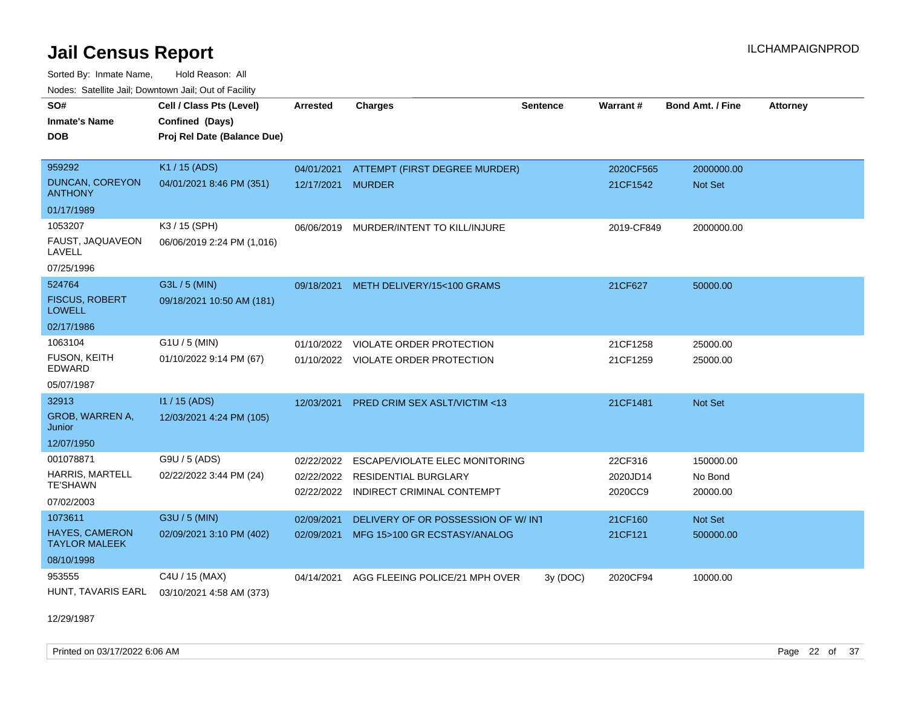Sorted By: Inmate Name, Hold Reason: All Nodes: Satellite Jail; Downtown Jail; Out of Facility

| SO#<br><b>Inmate's Name</b>                   | Cell / Class Pts (Level)<br>Confined (Days) | <b>Arrested</b> | <b>Charges</b>                          | <b>Sentence</b> | Warrant#   | <b>Bond Amt. / Fine</b> | <b>Attorney</b> |
|-----------------------------------------------|---------------------------------------------|-----------------|-----------------------------------------|-----------------|------------|-------------------------|-----------------|
| <b>DOB</b>                                    | Proj Rel Date (Balance Due)                 |                 |                                         |                 |            |                         |                 |
| 959292                                        | K1 / 15 (ADS)                               | 04/01/2021      | ATTEMPT (FIRST DEGREE MURDER)           |                 | 2020CF565  | 2000000.00              |                 |
| <b>DUNCAN, COREYON</b><br><b>ANTHONY</b>      | 04/01/2021 8:46 PM (351)                    | 12/17/2021      | <b>MURDER</b>                           |                 | 21CF1542   | <b>Not Set</b>          |                 |
| 01/17/1989                                    |                                             |                 |                                         |                 |            |                         |                 |
| 1053207                                       | K3 / 15 (SPH)                               | 06/06/2019      | MURDER/INTENT TO KILL/INJURE            |                 | 2019-CF849 | 2000000.00              |                 |
| FAUST, JAQUAVEON<br>LAVELL                    | 06/06/2019 2:24 PM (1,016)                  |                 |                                         |                 |            |                         |                 |
| 07/25/1996                                    |                                             |                 |                                         |                 |            |                         |                 |
| 524764                                        | G3L / 5 (MIN)                               | 09/18/2021      | METH DELIVERY/15<100 GRAMS              |                 | 21CF627    | 50000.00                |                 |
| <b>FISCUS, ROBERT</b><br><b>LOWELL</b>        | 09/18/2021 10:50 AM (181)                   |                 |                                         |                 |            |                         |                 |
| 02/17/1986                                    |                                             |                 |                                         |                 |            |                         |                 |
| 1063104                                       | $G1U / 5$ (MIN)                             | 01/10/2022      | VIOLATE ORDER PROTECTION                |                 | 21CF1258   | 25000.00                |                 |
| <b>FUSON, KEITH</b><br><b>EDWARD</b>          | 01/10/2022 9:14 PM (67)                     |                 | 01/10/2022 VIOLATE ORDER PROTECTION     |                 | 21CF1259   | 25000.00                |                 |
| 05/07/1987                                    |                                             |                 |                                         |                 |            |                         |                 |
| 32913                                         | $11/15$ (ADS)                               | 12/03/2021      | <b>PRED CRIM SEX ASLT/VICTIM &lt;13</b> |                 | 21CF1481   | Not Set                 |                 |
| GROB, WARREN A,<br>Junior                     | 12/03/2021 4:24 PM (105)                    |                 |                                         |                 |            |                         |                 |
| 12/07/1950                                    |                                             |                 |                                         |                 |            |                         |                 |
| 001078871                                     | G9U / 5 (ADS)                               | 02/22/2022      | ESCAPE/VIOLATE ELEC MONITORING          |                 | 22CF316    | 150000.00               |                 |
| HARRIS, MARTELL                               | 02/22/2022 3:44 PM (24)                     |                 | 02/22/2022 RESIDENTIAL BURGLARY         |                 | 2020JD14   | No Bond                 |                 |
| <b>TE'SHAWN</b>                               |                                             | 02/22/2022      | INDIRECT CRIMINAL CONTEMPT              |                 | 2020CC9    | 20000.00                |                 |
| 07/02/2003                                    |                                             |                 |                                         |                 |            |                         |                 |
| 1073611                                       | G3U / 5 (MIN)                               | 02/09/2021      | DELIVERY OF OR POSSESSION OF W/INT      |                 | 21CF160    | Not Set                 |                 |
| <b>HAYES, CAMERON</b><br><b>TAYLOR MALEEK</b> | 02/09/2021 3:10 PM (402)                    | 02/09/2021      | MFG 15>100 GR ECSTASY/ANALOG            |                 | 21CF121    | 500000.00               |                 |
| 08/10/1998                                    |                                             |                 |                                         |                 |            |                         |                 |
| 953555                                        | C4U / 15 (MAX)                              | 04/14/2021      | AGG FLEEING POLICE/21 MPH OVER          | 3y(DOC)         | 2020CF94   | 10000.00                |                 |
| HUNT, TAVARIS EARL                            | 03/10/2021 4:58 AM (373)                    |                 |                                         |                 |            |                         |                 |

12/29/1987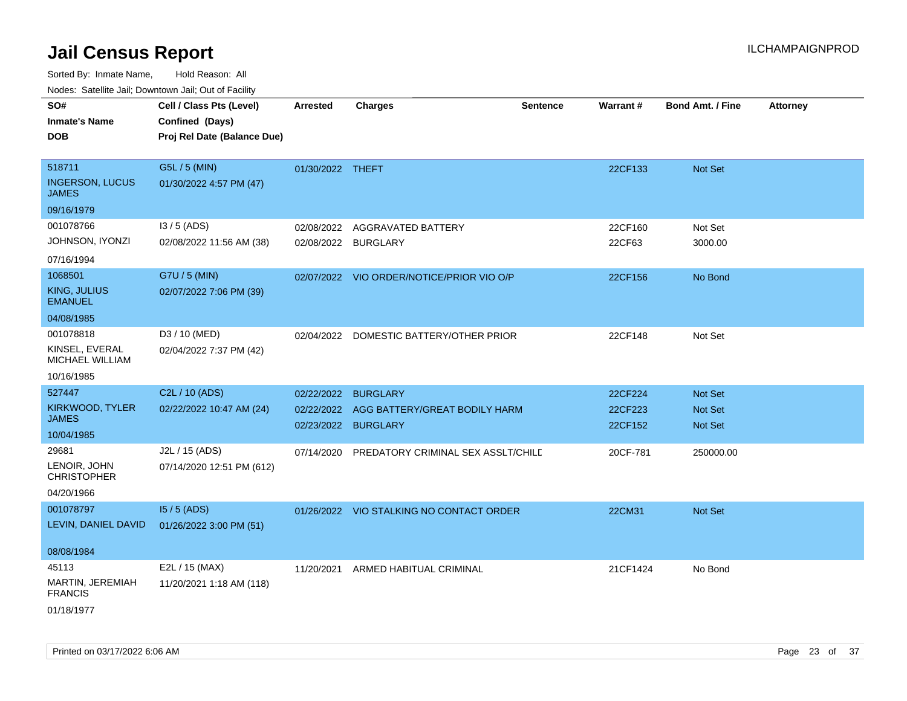| SO#<br><b>Inmate's Name</b><br><b>DOB</b>                 | Cell / Class Pts (Level)<br>Confined (Days)<br>Proj Rel Date (Balance Due) | <b>Arrested</b>          | <b>Charges</b>                                   | <b>Sentence</b> | <b>Warrant#</b>    | <b>Bond Amt. / Fine</b>   | <b>Attorney</b> |
|-----------------------------------------------------------|----------------------------------------------------------------------------|--------------------------|--------------------------------------------------|-----------------|--------------------|---------------------------|-----------------|
| 518711<br><b>INGERSON, LUCUS</b><br><b>JAMES</b>          | G5L / 5 (MIN)<br>01/30/2022 4:57 PM (47)                                   | 01/30/2022 THEFT         |                                                  |                 | 22CF133            | Not Set                   |                 |
| 09/16/1979                                                |                                                                            |                          |                                                  |                 |                    |                           |                 |
| 001078766                                                 | I3 / 5 (ADS)                                                               | 02/08/2022               | AGGRAVATED BATTERY                               |                 | 22CF160            | Not Set                   |                 |
| <b>JOHNSON, IYONZI</b><br>07/16/1994                      | 02/08/2022 11:56 AM (38)                                                   | 02/08/2022 BURGLARY      |                                                  |                 | 22CF63             | 3000.00                   |                 |
| 1068501<br>KING, JULIUS<br><b>EMANUEL</b><br>04/08/1985   | G7U / 5 (MIN)<br>02/07/2022 7:06 PM (39)                                   |                          | 02/07/2022 VIO ORDER/NOTICE/PRIOR VIO O/P        |                 | 22CF156            | No Bond                   |                 |
| 001078818                                                 | D3 / 10 (MED)                                                              |                          |                                                  |                 |                    |                           |                 |
| KINSEL, EVERAL<br>MICHAEL WILLIAM                         | 02/04/2022 7:37 PM (42)                                                    |                          | 02/04/2022 DOMESTIC BATTERY/OTHER PRIOR          |                 | 22CF148            | Not Set                   |                 |
| 10/16/1985                                                |                                                                            |                          |                                                  |                 |                    |                           |                 |
| 527447                                                    | C2L / 10 (ADS)                                                             | 02/22/2022               | <b>BURGLARY</b>                                  |                 | 22CF224            | <b>Not Set</b>            |                 |
| KIRKWOOD, TYLER<br><b>JAMES</b>                           | 02/22/2022 10:47 AM (24)                                                   | 02/22/2022<br>02/23/2022 | AGG BATTERY/GREAT BODILY HARM<br><b>BURGLARY</b> |                 | 22CF223<br>22CF152 | <b>Not Set</b><br>Not Set |                 |
| 10/04/1985                                                |                                                                            |                          |                                                  |                 |                    |                           |                 |
| 29681<br>LENOIR, JOHN<br><b>CHRISTOPHER</b><br>04/20/1966 | J2L / 15 (ADS)<br>07/14/2020 12:51 PM (612)                                | 07/14/2020               | PREDATORY CRIMINAL SEX ASSLT/CHILD               |                 | 20CF-781           | 250000.00                 |                 |
| 001078797                                                 | $15/5$ (ADS)                                                               |                          | 01/26/2022 VIO STALKING NO CONTACT ORDER         |                 | 22CM31             | <b>Not Set</b>            |                 |
| LEVIN, DANIEL DAVID                                       | 01/26/2022 3:00 PM (51)                                                    |                          |                                                  |                 |                    |                           |                 |
| 08/08/1984                                                |                                                                            |                          |                                                  |                 |                    |                           |                 |
| 45113<br>MARTIN, JEREMIAH<br><b>FRANCIS</b>               | E2L / 15 (MAX)<br>11/20/2021 1:18 AM (118)                                 | 11/20/2021               | ARMED HABITUAL CRIMINAL                          |                 | 21CF1424           | No Bond                   |                 |
| 01/18/1977                                                |                                                                            |                          |                                                  |                 |                    |                           |                 |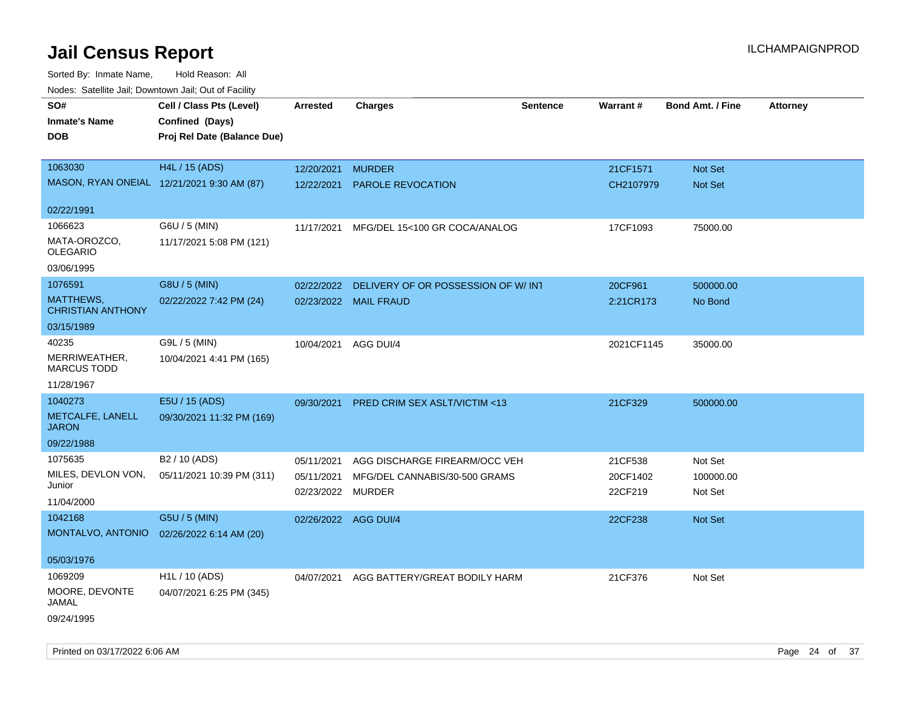| Noues. Salenne Jan, Downlown Jan, Out or Facility |                             |                      |                                         |                 |            |                         |                 |
|---------------------------------------------------|-----------------------------|----------------------|-----------------------------------------|-----------------|------------|-------------------------|-----------------|
| SO#                                               | Cell / Class Pts (Level)    | Arrested             | <b>Charges</b>                          | <b>Sentence</b> | Warrant#   | <b>Bond Amt. / Fine</b> | <b>Attorney</b> |
| <b>Inmate's Name</b>                              | Confined (Days)             |                      |                                         |                 |            |                         |                 |
| <b>DOB</b>                                        | Proj Rel Date (Balance Due) |                      |                                         |                 |            |                         |                 |
|                                                   |                             |                      |                                         |                 |            |                         |                 |
| 1063030                                           | H4L / 15 (ADS)              | 12/20/2021           | <b>MURDER</b>                           |                 | 21CF1571   | Not Set                 |                 |
| MASON, RYAN ONEIAL 12/21/2021 9:30 AM (87)        |                             | 12/22/2021           | PAROLE REVOCATION                       |                 | CH2107979  | Not Set                 |                 |
|                                                   |                             |                      |                                         |                 |            |                         |                 |
| 02/22/1991                                        |                             |                      |                                         |                 |            |                         |                 |
| 1066623                                           | G6U / 5 (MIN)               | 11/17/2021           | MFG/DEL 15<100 GR COCA/ANALOG           |                 | 17CF1093   | 75000.00                |                 |
| MATA-OROZCO,<br><b>OLEGARIO</b>                   | 11/17/2021 5:08 PM (121)    |                      |                                         |                 |            |                         |                 |
| 03/06/1995                                        |                             |                      |                                         |                 |            |                         |                 |
| 1076591                                           | G8U / 5 (MIN)               | 02/22/2022           | DELIVERY OF OR POSSESSION OF W/INT      |                 | 20CF961    | 500000.00               |                 |
| <b>MATTHEWS,</b><br><b>CHRISTIAN ANTHONY</b>      | 02/22/2022 7:42 PM (24)     |                      | 02/23/2022 MAIL FRAUD                   |                 | 2:21CR173  | No Bond                 |                 |
| 03/15/1989                                        |                             |                      |                                         |                 |            |                         |                 |
| 40235                                             | G9L / 5 (MIN)               | 10/04/2021 AGG DUI/4 |                                         |                 | 2021CF1145 | 35000.00                |                 |
| MERRIWEATHER,<br><b>MARCUS TODD</b>               | 10/04/2021 4:41 PM (165)    |                      |                                         |                 |            |                         |                 |
| 11/28/1967                                        |                             |                      |                                         |                 |            |                         |                 |
| 1040273                                           | E5U / 15 (ADS)              | 09/30/2021           | <b>PRED CRIM SEX ASLT/VICTIM &lt;13</b> |                 | 21CF329    | 500000.00               |                 |
| METCALFE, LANELL<br><b>JARON</b>                  | 09/30/2021 11:32 PM (169)   |                      |                                         |                 |            |                         |                 |
| 09/22/1988                                        |                             |                      |                                         |                 |            |                         |                 |
| 1075635                                           | B2 / 10 (ADS)               | 05/11/2021           | AGG DISCHARGE FIREARM/OCC VEH           |                 | 21CF538    | Not Set                 |                 |
| MILES, DEVLON VON,                                | 05/11/2021 10:39 PM (311)   | 05/11/2021           | MFG/DEL CANNABIS/30-500 GRAMS           |                 | 20CF1402   | 100000.00               |                 |
| Junior                                            |                             | 02/23/2022 MURDER    |                                         |                 | 22CF219    | Not Set                 |                 |
| 11/04/2000                                        |                             |                      |                                         |                 |            |                         |                 |
| 1042168                                           | G5U / 5 (MIN)               | 02/26/2022 AGG DUI/4 |                                         |                 | 22CF238    | Not Set                 |                 |
| MONTALVO, ANTONIO                                 | 02/26/2022 6:14 AM (20)     |                      |                                         |                 |            |                         |                 |
| 05/03/1976                                        |                             |                      |                                         |                 |            |                         |                 |
| 1069209                                           | H <sub>1</sub> L / 10 (ADS) | 04/07/2021           | AGG BATTERY/GREAT BODILY HARM           |                 | 21CF376    | Not Set                 |                 |
| MOORE, DEVONTE<br>JAMAL                           | 04/07/2021 6:25 PM (345)    |                      |                                         |                 |            |                         |                 |
| 09/24/1995                                        |                             |                      |                                         |                 |            |                         |                 |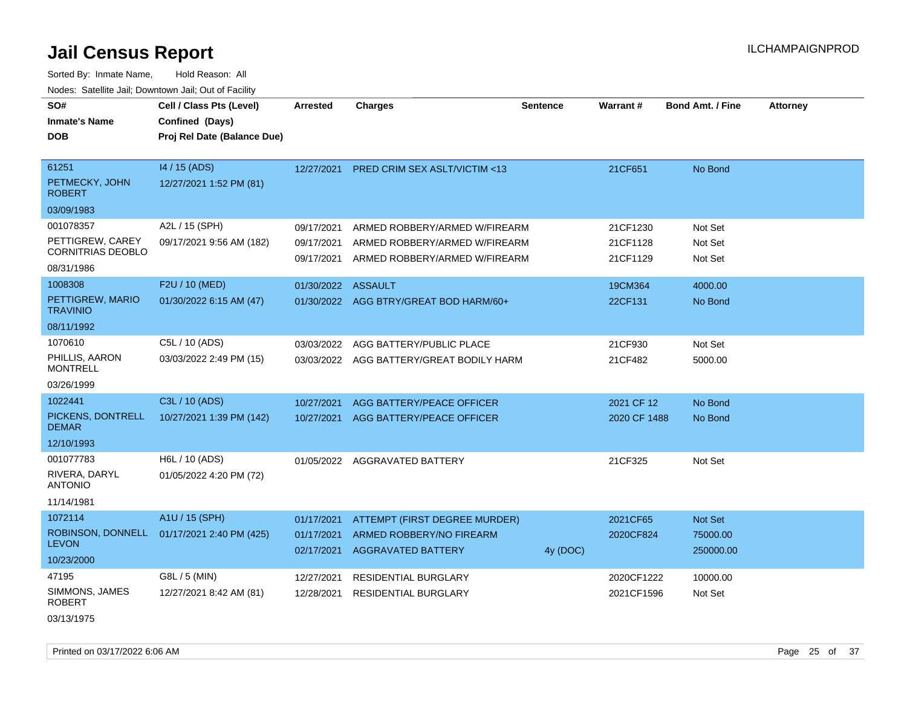Sorted By: Inmate Name, Hold Reason: All Nodes: Satellite Jail; Downtown Jail; Out of Facility

| SO#<br><b>Inmate's Name</b><br><b>DOB</b> | Cell / Class Pts (Level)<br>Confined (Days)<br>Proj Rel Date (Balance Due) | <b>Arrested</b>          | <b>Charges</b>                                               | <b>Sentence</b> | <b>Warrant#</b> | <b>Bond Amt. / Fine</b> | <b>Attorney</b> |
|-------------------------------------------|----------------------------------------------------------------------------|--------------------------|--------------------------------------------------------------|-----------------|-----------------|-------------------------|-----------------|
| 61251<br>PETMECKY, JOHN<br><b>ROBERT</b>  | 14 / 15 (ADS)<br>12/27/2021 1:52 PM (81)                                   | 12/27/2021               | <b>PRED CRIM SEX ASLT/VICTIM &lt;13</b>                      |                 | 21CF651         | No Bond                 |                 |
| 03/09/1983                                |                                                                            |                          |                                                              |                 |                 |                         |                 |
| 001078357                                 | A2L / 15 (SPH)                                                             | 09/17/2021               | ARMED ROBBERY/ARMED W/FIREARM                                |                 | 21CF1230        | Not Set                 |                 |
| PETTIGREW, CAREY<br>CORNITRIAS DEOBLO     | 09/17/2021 9:56 AM (182)                                                   | 09/17/2021               | ARMED ROBBERY/ARMED W/FIREARM                                |                 | 21CF1128        | Not Set                 |                 |
| 08/31/1986                                |                                                                            | 09/17/2021               | ARMED ROBBERY/ARMED W/FIREARM                                |                 | 21CF1129        | Not Set                 |                 |
| 1008308                                   | F2U / 10 (MED)                                                             | 01/30/2022 ASSAULT       |                                                              |                 | 19CM364         | 4000.00                 |                 |
| PETTIGREW, MARIO<br><b>TRAVINIO</b>       | 01/30/2022 6:15 AM (47)                                                    |                          | 01/30/2022 AGG BTRY/GREAT BOD HARM/60+                       |                 | 22CF131         | No Bond                 |                 |
| 08/11/1992                                |                                                                            |                          |                                                              |                 |                 |                         |                 |
| 1070610                                   | C5L / 10 (ADS)                                                             | 03/03/2022               | AGG BATTERY/PUBLIC PLACE                                     |                 | 21CF930         | Not Set                 |                 |
| PHILLIS, AARON<br><b>MONTRELL</b>         | 03/03/2022 2:49 PM (15)                                                    | 03/03/2022               | AGG BATTERY/GREAT BODILY HARM                                |                 | 21CF482         | 5000.00                 |                 |
| 03/26/1999                                |                                                                            |                          |                                                              |                 |                 |                         |                 |
| 1022441                                   | C3L / 10 (ADS)                                                             | 10/27/2021               | AGG BATTERY/PEACE OFFICER                                    |                 | 2021 CF 12      | No Bond                 |                 |
| PICKENS, DONTRELL<br><b>DEMAR</b>         | 10/27/2021 1:39 PM (142)                                                   | 10/27/2021               | AGG BATTERY/PEACE OFFICER                                    |                 | 2020 CF 1488    | No Bond                 |                 |
| 12/10/1993                                |                                                                            |                          |                                                              |                 |                 |                         |                 |
| 001077783                                 | H6L / 10 (ADS)                                                             | 01/05/2022               | AGGRAVATED BATTERY                                           |                 | 21CF325         | Not Set                 |                 |
| RIVERA, DARYL<br><b>ANTONIO</b>           | 01/05/2022 4:20 PM (72)                                                    |                          |                                                              |                 |                 |                         |                 |
| 11/14/1981                                |                                                                            |                          |                                                              |                 |                 |                         |                 |
| 1072114                                   | A1U / 15 (SPH)                                                             | 01/17/2021               | ATTEMPT (FIRST DEGREE MURDER)                                |                 | 2021CF65        | <b>Not Set</b>          |                 |
| ROBINSON, DONNELL<br><b>LEVON</b>         | 01/17/2021 2:40 PM (425)                                                   | 01/17/2021<br>02/17/2021 | <b>ARMED ROBBERY/NO FIREARM</b><br><b>AGGRAVATED BATTERY</b> | 4y (DOC)        | 2020CF824       | 75000.00<br>250000.00   |                 |
| 10/23/2000                                |                                                                            |                          |                                                              |                 |                 |                         |                 |
| 47195                                     | G8L / 5 (MIN)                                                              | 12/27/2021               | RESIDENTIAL BURGLARY                                         |                 | 2020CF1222      | 10000.00                |                 |
| SIMMONS, JAMES<br><b>ROBERT</b>           | 12/27/2021 8:42 AM (81)                                                    | 12/28/2021               | <b>RESIDENTIAL BURGLARY</b>                                  |                 | 2021CF1596      | Not Set                 |                 |

03/13/1975

Printed on 03/17/2022 6:06 AM Page 25 of 37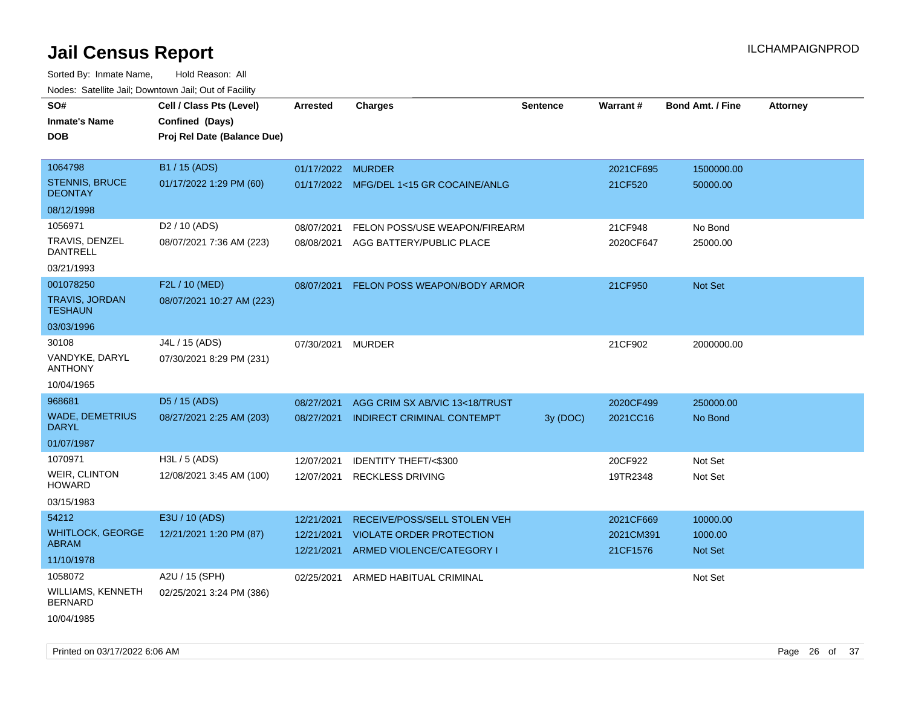| roacs. Catellite Jall, Downtown Jall, Out of Facility |                                                                            |                   |                                         |                 |           |                         |                 |
|-------------------------------------------------------|----------------------------------------------------------------------------|-------------------|-----------------------------------------|-----------------|-----------|-------------------------|-----------------|
| SO#<br><b>Inmate's Name</b><br><b>DOB</b>             | Cell / Class Pts (Level)<br>Confined (Days)<br>Proj Rel Date (Balance Due) | <b>Arrested</b>   | <b>Charges</b>                          | <b>Sentence</b> | Warrant#  | <b>Bond Amt. / Fine</b> | <b>Attorney</b> |
|                                                       |                                                                            |                   |                                         |                 |           |                         |                 |
| 1064798<br>STENNIS, BRUCE                             | B1 / 15 (ADS)                                                              | 01/17/2022 MURDER |                                         |                 | 2021CF695 | 1500000.00              |                 |
| <b>DEONTAY</b>                                        | 01/17/2022 1:29 PM (60)                                                    |                   | 01/17/2022 MFG/DEL 1<15 GR COCAINE/ANLG |                 | 21CF520   | 50000.00                |                 |
| 08/12/1998                                            |                                                                            |                   |                                         |                 |           |                         |                 |
| 1056971                                               | D <sub>2</sub> / 10 (ADS)                                                  | 08/07/2021        | FELON POSS/USE WEAPON/FIREARM           |                 | 21CF948   | No Bond                 |                 |
| TRAVIS, DENZEL<br>DANTRELL                            | 08/07/2021 7:36 AM (223)                                                   | 08/08/2021        | AGG BATTERY/PUBLIC PLACE                |                 | 2020CF647 | 25000.00                |                 |
| 03/21/1993                                            |                                                                            |                   |                                         |                 |           |                         |                 |
| 001078250                                             | F2L / 10 (MED)                                                             | 08/07/2021        | FELON POSS WEAPON/BODY ARMOR            |                 | 21CF950   | Not Set                 |                 |
| <b>TRAVIS, JORDAN</b><br><b>TESHAUN</b>               | 08/07/2021 10:27 AM (223)                                                  |                   |                                         |                 |           |                         |                 |
| 03/03/1996                                            |                                                                            |                   |                                         |                 |           |                         |                 |
| 30108                                                 | J4L / 15 (ADS)                                                             | 07/30/2021        | MURDER                                  |                 | 21CF902   | 2000000.00              |                 |
| VANDYKE, DARYL<br><b>ANTHONY</b>                      | 07/30/2021 8:29 PM (231)                                                   |                   |                                         |                 |           |                         |                 |
| 10/04/1965                                            |                                                                            |                   |                                         |                 |           |                         |                 |
| 968681                                                | D5 / 15 (ADS)                                                              | 08/27/2021        | AGG CRIM SX AB/VIC 13<18/TRUST          |                 | 2020CF499 | 250000.00               |                 |
| <b>WADE, DEMETRIUS</b><br><b>DARYL</b>                | 08/27/2021 2:25 AM (203)                                                   | 08/27/2021        | INDIRECT CRIMINAL CONTEMPT              | 3y (DOC)        | 2021CC16  | No Bond                 |                 |
| 01/07/1987                                            |                                                                            |                   |                                         |                 |           |                         |                 |
| 1070971                                               | H3L / 5 (ADS)                                                              | 12/07/2021        | <b>IDENTITY THEFT/&lt;\$300</b>         |                 | 20CF922   | Not Set                 |                 |
| <b>WEIR, CLINTON</b><br><b>HOWARD</b>                 | 12/08/2021 3:45 AM (100)                                                   | 12/07/2021        | <b>RECKLESS DRIVING</b>                 |                 | 19TR2348  | Not Set                 |                 |
| 03/15/1983                                            |                                                                            |                   |                                         |                 |           |                         |                 |
| 54212                                                 | E3U / 10 (ADS)                                                             | 12/21/2021        | RECEIVE/POSS/SELL STOLEN VEH            |                 | 2021CF669 | 10000.00                |                 |
| <b>WHITLOCK, GEORGE</b>                               | 12/21/2021 1:20 PM (87)                                                    | 12/21/2021        | <b>VIOLATE ORDER PROTECTION</b>         |                 | 2021CM391 | 1000.00                 |                 |
| ABRAM                                                 |                                                                            | 12/21/2021        | ARMED VIOLENCE/CATEGORY I               |                 | 21CF1576  | <b>Not Set</b>          |                 |
| 11/10/1978                                            |                                                                            |                   |                                         |                 |           |                         |                 |
| 1058072                                               | A2U / 15 (SPH)                                                             | 02/25/2021        | ARMED HABITUAL CRIMINAL                 |                 |           | Not Set                 |                 |
| <b>WILLIAMS, KENNETH</b><br><b>BERNARD</b>            | 02/25/2021 3:24 PM (386)                                                   |                   |                                         |                 |           |                         |                 |
| 10/04/1985                                            |                                                                            |                   |                                         |                 |           |                         |                 |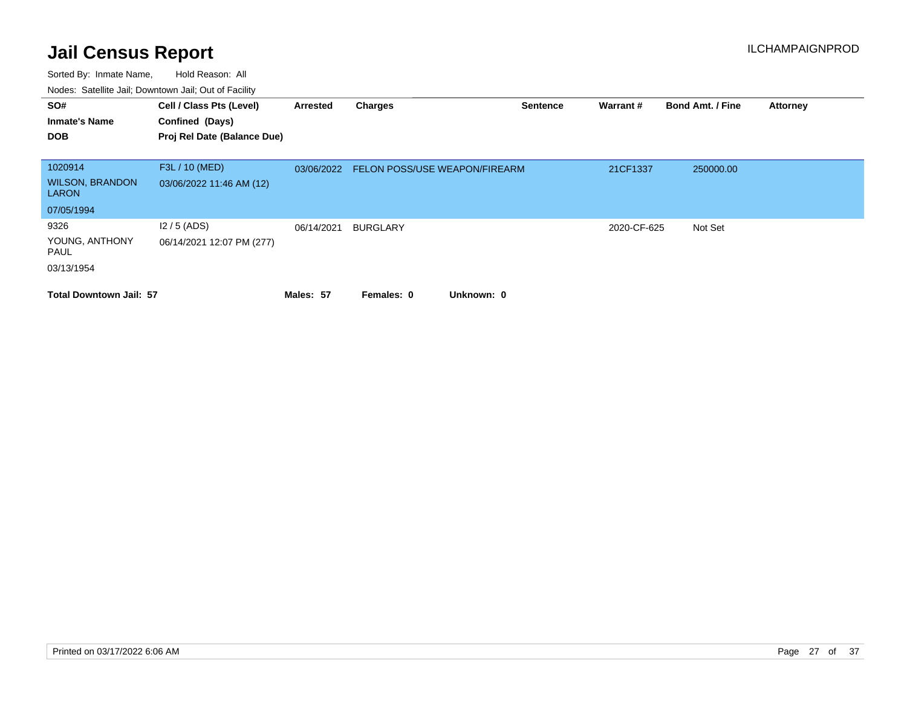| SO#                                    | Cell / Class Pts (Level)    | Arrested   | <b>Charges</b>                | <b>Sentence</b> | Warrant#    | <b>Bond Amt. / Fine</b> | <b>Attorney</b> |
|----------------------------------------|-----------------------------|------------|-------------------------------|-----------------|-------------|-------------------------|-----------------|
| <b>Inmate's Name</b>                   | Confined (Days)             |            |                               |                 |             |                         |                 |
| <b>DOB</b>                             | Proj Rel Date (Balance Due) |            |                               |                 |             |                         |                 |
|                                        |                             |            |                               |                 |             |                         |                 |
| 1020914                                | F3L / 10 (MED)              | 03/06/2022 | FELON POSS/USE WEAPON/FIREARM |                 | 21CF1337    | 250000.00               |                 |
| <b>WILSON, BRANDON</b><br><b>LARON</b> | 03/06/2022 11:46 AM (12)    |            |                               |                 |             |                         |                 |
| 07/05/1994                             |                             |            |                               |                 |             |                         |                 |
| 9326                                   | $12/5$ (ADS)                | 06/14/2021 | <b>BURGLARY</b>               |                 | 2020-CF-625 | Not Set                 |                 |
| YOUNG, ANTHONY<br>PAUL                 | 06/14/2021 12:07 PM (277)   |            |                               |                 |             |                         |                 |
| 03/13/1954                             |                             |            |                               |                 |             |                         |                 |
| <b>Total Downtown Jail: 57</b>         |                             | Males: 57  | Unknown: 0<br>Females: 0      |                 |             |                         |                 |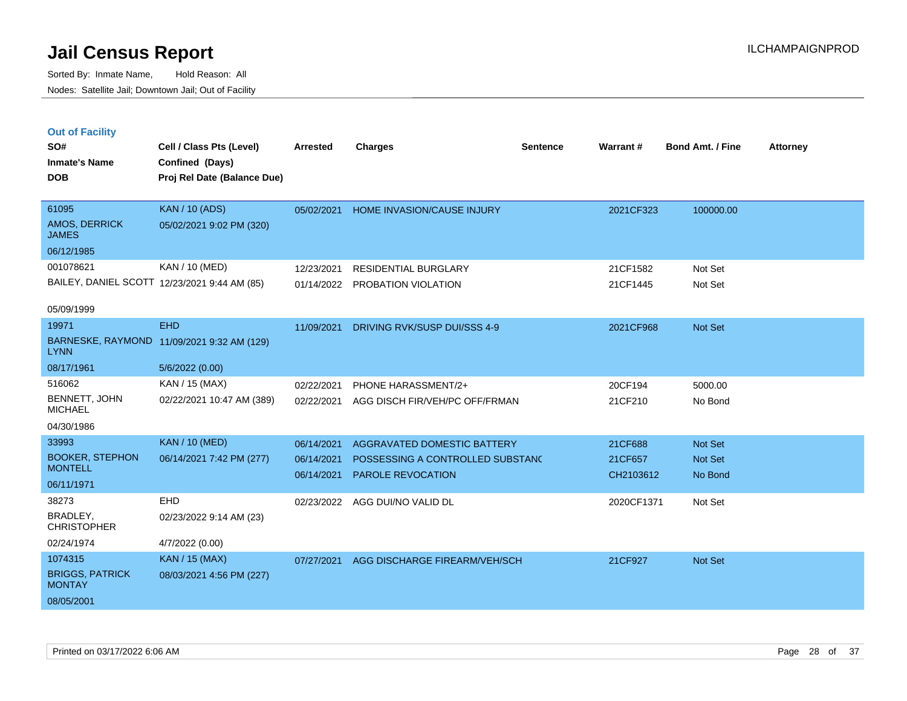Sorted By: Inmate Name, Hold Reason: All Nodes: Satellite Jail; Downtown Jail; Out of Facility

| <b>Out of Facility</b> |                          |          |                |          |          |                         |                 |
|------------------------|--------------------------|----------|----------------|----------|----------|-------------------------|-----------------|
| SO#                    | Cell / Class Pts (Level) | Arrested | <b>Charges</b> | Sentence | Warrant# | <b>Bond Amt. / Fine</b> | <b>Attorney</b> |
| <b>Inmate's Name</b>   | Confined (Days)          |          |                |          |          |                         |                 |

**DOB Proj Rel Date (Balance Due)**

| 61095                         | <b>KAN</b> / 10 (ADS)                        | 05/02/2021 | <b>HOME INVASION/CAUSE INJURY</b> | 2021CF323 | 100000.00      |
|-------------------------------|----------------------------------------------|------------|-----------------------------------|-----------|----------------|
| AMOS, DERRICK<br><b>JAMES</b> | 05/02/2021 9:02 PM (320)                     |            |                                   |           |                |
| 06/12/1985                    |                                              |            |                                   |           |                |
| 001078621                     | KAN / 10 (MED)                               | 12/23/2021 | RESIDENTIAL BURGLARY              | 21CF1582  | Not Set        |
|                               | BAILEY, DANIEL SCOTT 12/23/2021 9:44 AM (85) |            | 01/14/2022 PROBATION VIOLATION    | 21CF1445  | Not Set        |
|                               |                                              |            |                                   |           |                |
| 05/09/1999                    |                                              |            |                                   |           |                |
| 19971                         | <b>EHD</b>                                   | 11/09/2021 | DRIVING RVK/SUSP DUI/SSS 4-9      | 2021CF968 | <b>Not Set</b> |

| 19971                                   | EHD                       | 11/09/2021 | DRIVING RVK/SUSP DUI/SSS 4-9     | 2021CF968  | Not Set |
|-----------------------------------------|---------------------------|------------|----------------------------------|------------|---------|
| BARNESKE, RAYMOND<br><b>LYNN</b>        | 11/09/2021 9:32 AM (129)  |            |                                  |            |         |
| 08/17/1961                              | 5/6/2022 (0.00)           |            |                                  |            |         |
| 516062                                  | KAN / 15 (MAX)            | 02/22/2021 | PHONE HARASSMENT/2+              | 20CF194    | 5000.00 |
| BENNETT, JOHN<br><b>MICHAEL</b>         | 02/22/2021 10:47 AM (389) | 02/22/2021 | AGG DISCH FIR/VEH/PC OFF/FRMAN   | 21CF210    | No Bond |
| 04/30/1986                              |                           |            |                                  |            |         |
| 33993                                   | <b>KAN / 10 (MED)</b>     | 06/14/2021 | AGGRAVATED DOMESTIC BATTERY      | 21CF688    | Not Set |
| <b>BOOKER, STEPHON</b>                  | 06/14/2021 7:42 PM (277)  | 06/14/2021 | POSSESSING A CONTROLLED SUBSTANC | 21CF657    | Not Set |
| <b>MONTELL</b>                          |                           | 06/14/2021 | <b>PAROLE REVOCATION</b>         | CH2103612  | No Bond |
| 06/11/1971                              |                           |            |                                  |            |         |
| 38273                                   | <b>EHD</b>                | 02/23/2022 | AGG DUI/NO VALID DL              | 2020CF1371 | Not Set |
| BRADLEY,<br><b>CHRISTOPHER</b>          | 02/23/2022 9:14 AM (23)   |            |                                  |            |         |
| 02/24/1974                              | 4/7/2022 (0.00)           |            |                                  |            |         |
| 1074315                                 | <b>KAN</b> / 15 (MAX)     | 07/27/2021 | AGG DISCHARGE FIREARM/VEH/SCH    | 21CF927    | Not Set |
| <b>BRIGGS, PATRICK</b><br><b>MONTAY</b> | 08/03/2021 4:56 PM (227)  |            |                                  |            |         |
|                                         |                           |            |                                  |            |         |

08/05/2001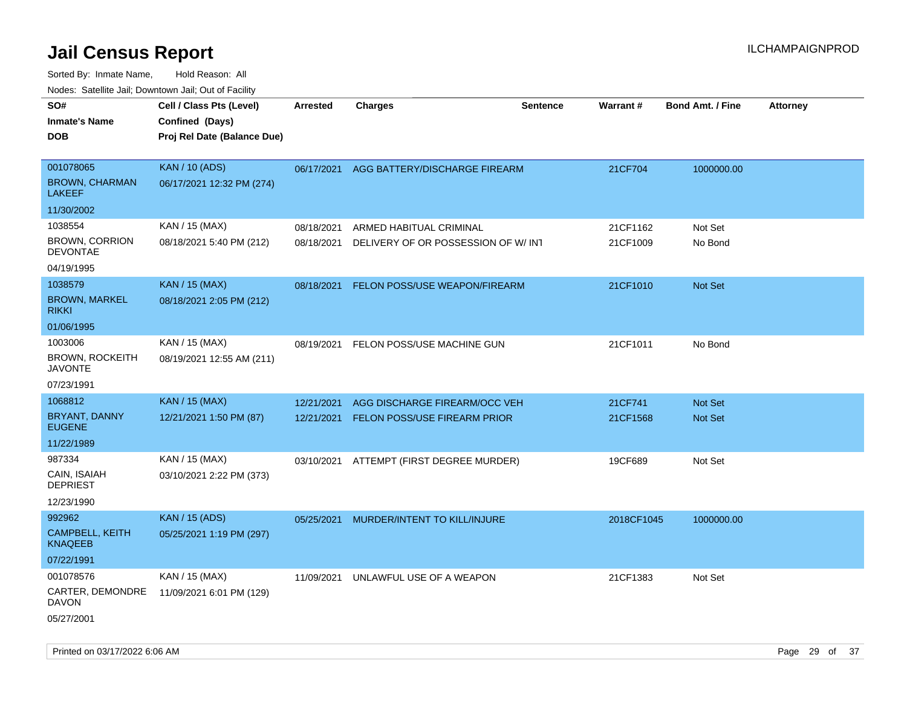| roaco. Calcinio dan, Downtown dan, Cal or Fability        |                                                                            |                          |                                                               |                 |                      |                         |                 |
|-----------------------------------------------------------|----------------------------------------------------------------------------|--------------------------|---------------------------------------------------------------|-----------------|----------------------|-------------------------|-----------------|
| SO#<br><b>Inmate's Name</b><br>DOB                        | Cell / Class Pts (Level)<br>Confined (Days)<br>Proj Rel Date (Balance Due) | <b>Arrested</b>          | <b>Charges</b>                                                | <b>Sentence</b> | <b>Warrant#</b>      | <b>Bond Amt. / Fine</b> | <b>Attorney</b> |
| 001078065<br><b>BROWN, CHARMAN</b><br><b>LAKEEF</b>       | <b>KAN / 10 (ADS)</b><br>06/17/2021 12:32 PM (274)                         | 06/17/2021               | AGG BATTERY/DISCHARGE FIREARM                                 |                 | 21CF704              | 1000000.00              |                 |
| 11/30/2002                                                |                                                                            |                          |                                                               |                 |                      |                         |                 |
| 1038554<br><b>BROWN, CORRION</b><br>DEVONTAE              | KAN / 15 (MAX)<br>08/18/2021 5:40 PM (212)                                 | 08/18/2021<br>08/18/2021 | ARMED HABITUAL CRIMINAL<br>DELIVERY OF OR POSSESSION OF W/INT |                 | 21CF1162<br>21CF1009 | Not Set<br>No Bond      |                 |
| 04/19/1995                                                |                                                                            |                          |                                                               |                 |                      |                         |                 |
| 1038579<br><b>BROWN, MARKEL</b><br>RIKKI                  | <b>KAN / 15 (MAX)</b><br>08/18/2021 2:05 PM (212)                          | 08/18/2021               | FELON POSS/USE WEAPON/FIREARM                                 |                 | 21CF1010             | Not Set                 |                 |
| 01/06/1995                                                |                                                                            |                          |                                                               |                 |                      |                         |                 |
| 1003006<br>BROWN, ROCKEITH<br><b>JAVONTE</b>              | KAN / 15 (MAX)<br>08/19/2021 12:55 AM (211)                                | 08/19/2021               | FELON POSS/USE MACHINE GUN                                    |                 | 21CF1011             | No Bond                 |                 |
| 07/23/1991                                                |                                                                            |                          |                                                               |                 |                      |                         |                 |
| 1068812                                                   | <b>KAN / 15 (MAX)</b>                                                      | 12/21/2021               | AGG DISCHARGE FIREARM/OCC VEH                                 |                 | 21CF741              | <b>Not Set</b>          |                 |
| BRYANT, DANNY<br><b>EUGENE</b>                            | 12/21/2021 1:50 PM (87)                                                    | 12/21/2021               | <b>FELON POSS/USE FIREARM PRIOR</b>                           |                 | 21CF1568             | <b>Not Set</b>          |                 |
| 11/22/1989                                                |                                                                            |                          |                                                               |                 |                      |                         |                 |
| 987334<br>CAIN, ISAIAH<br><b>DEPRIEST</b>                 | KAN / 15 (MAX)<br>03/10/2021 2:22 PM (373)                                 |                          | 03/10/2021 ATTEMPT (FIRST DEGREE MURDER)                      |                 | 19CF689              | Not Set                 |                 |
| 12/23/1990                                                |                                                                            |                          |                                                               |                 |                      |                         |                 |
| 992962<br>CAMPBELL, KEITH<br><b>KNAQEEB</b><br>07/22/1991 | <b>KAN / 15 (ADS)</b><br>05/25/2021 1:19 PM (297)                          | 05/25/2021               | MURDER/INTENT TO KILL/INJURE                                  |                 | 2018CF1045           | 1000000.00              |                 |
| 001078576<br>CARTER, DEMONDRE<br>DAVON<br>05/27/2001      | KAN / 15 (MAX)<br>11/09/2021 6:01 PM (129)                                 | 11/09/2021               | UNLAWFUL USE OF A WEAPON                                      |                 | 21CF1383             | Not Set                 |                 |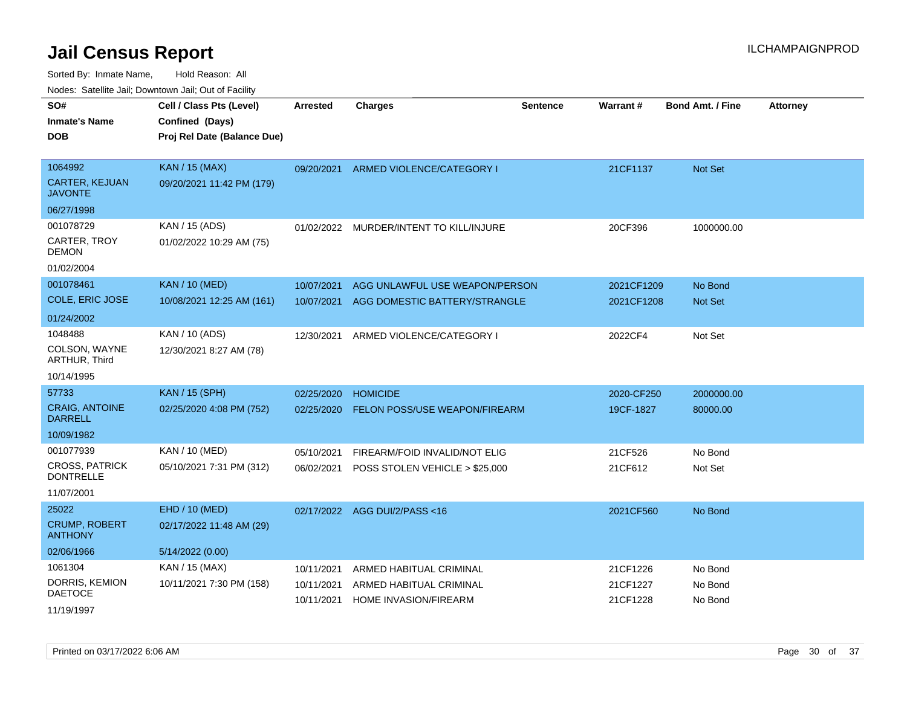| soupois catomic can, Dominomii can, Cat or Faomt               |                                                                            |                          |                                                                 |                 |                          |                           |                 |
|----------------------------------------------------------------|----------------------------------------------------------------------------|--------------------------|-----------------------------------------------------------------|-----------------|--------------------------|---------------------------|-----------------|
| SO#<br><b>Inmate's Name</b><br>DOB                             | Cell / Class Pts (Level)<br>Confined (Days)<br>Proj Rel Date (Balance Due) | <b>Arrested</b>          | <b>Charges</b>                                                  | <b>Sentence</b> | Warrant#                 | <b>Bond Amt. / Fine</b>   | <b>Attorney</b> |
| 1064992<br><b>CARTER, KEJUAN</b><br>JAVONTE                    | <b>KAN / 15 (MAX)</b><br>09/20/2021 11:42 PM (179)                         | 09/20/2021               | ARMED VIOLENCE/CATEGORY I                                       |                 | 21CF1137                 | <b>Not Set</b>            |                 |
| 06/27/1998                                                     |                                                                            |                          |                                                                 |                 |                          |                           |                 |
| 001078729<br>CARTER, TROY<br>DEMON                             | KAN / 15 (ADS)<br>01/02/2022 10:29 AM (75)                                 | 01/02/2022               | MURDER/INTENT TO KILL/INJURE                                    |                 | 20CF396                  | 1000000.00                |                 |
| 01/02/2004<br>001078461<br>COLE, ERIC JOSE                     | <b>KAN / 10 (MED)</b><br>10/08/2021 12:25 AM (161)                         | 10/07/2021<br>10/07/2021 | AGG UNLAWFUL USE WEAPON/PERSON<br>AGG DOMESTIC BATTERY/STRANGLE |                 | 2021CF1209<br>2021CF1208 | No Bond<br><b>Not Set</b> |                 |
| 01/24/2002<br>1048488<br>COLSON, WAYNE<br><b>ARTHUR, Third</b> | KAN / 10 (ADS)<br>12/30/2021 8:27 AM (78)                                  | 12/30/2021               | ARMED VIOLENCE/CATEGORY I                                       |                 | 2022CF4                  | Not Set                   |                 |
| 10/14/1995<br>57733                                            | <b>KAN / 15 (SPH)</b>                                                      | 02/25/2020               | <b>HOMICIDE</b>                                                 |                 | 2020-CF250               | 2000000.00                |                 |
| <b>CRAIG, ANTOINE</b><br>DARRELL                               | 02/25/2020 4:08 PM (752)                                                   | 02/25/2020               | FELON POSS/USE WEAPON/FIREARM                                   |                 | 19CF-1827                | 80000.00                  |                 |
| 10/09/1982                                                     |                                                                            |                          |                                                                 |                 |                          |                           |                 |
| 001077939                                                      | KAN / 10 (MED)                                                             | 05/10/2021               | FIREARM/FOID INVALID/NOT ELIG                                   |                 | 21CF526                  | No Bond                   |                 |
| CROSS, PATRICK<br><b>DONTRELLE</b>                             | 05/10/2021 7:31 PM (312)                                                   | 06/02/2021               | POSS STOLEN VEHICLE > \$25,000                                  |                 | 21CF612                  | Not Set                   |                 |
| 11/07/2001                                                     |                                                                            |                          |                                                                 |                 |                          |                           |                 |
| 25022<br><b>CRUMP, ROBERT</b><br>ANTHONY                       | EHD / 10 (MED)<br>02/17/2022 11:48 AM (29)                                 | 02/17/2022               | AGG DUI/2/PASS <16                                              |                 | 2021CF560                | No Bond                   |                 |
| 02/06/1966                                                     | 5/14/2022 (0.00)                                                           |                          |                                                                 |                 |                          |                           |                 |
| 1061304                                                        | KAN / 15 (MAX)                                                             | 10/11/2021               | ARMED HABITUAL CRIMINAL                                         |                 | 21CF1226                 | No Bond                   |                 |
| DORRIS, KEMION<br>DAETOCE<br>11/19/1997                        | 10/11/2021 7:30 PM (158)                                                   | 10/11/2021<br>10/11/2021 | ARMED HABITUAL CRIMINAL<br><b>HOME INVASION/FIREARM</b>         |                 | 21CF1227<br>21CF1228     | No Bond<br>No Bond        |                 |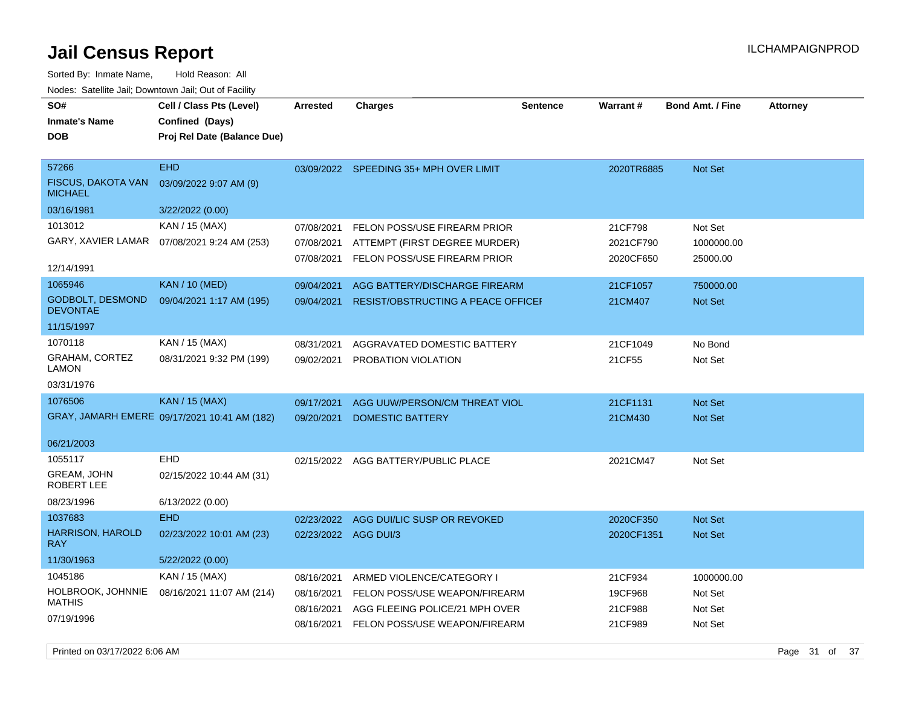| <u>oan Oonoad Roport</u>                                                         |                                                                            |                                        |                                                                                                         |                 |                                   |                                   |                 |
|----------------------------------------------------------------------------------|----------------------------------------------------------------------------|----------------------------------------|---------------------------------------------------------------------------------------------------------|-----------------|-----------------------------------|-----------------------------------|-----------------|
| Sorted By: Inmate Name,<br>Nodes: Satellite Jail; Downtown Jail; Out of Facility | Hold Reason: All                                                           |                                        |                                                                                                         |                 |                                   |                                   |                 |
| SO#<br><b>Inmate's Name</b><br><b>DOB</b>                                        | Cell / Class Pts (Level)<br>Confined (Days)<br>Proj Rel Date (Balance Due) | <b>Arrested</b>                        | <b>Charges</b>                                                                                          | <b>Sentence</b> | Warrant#                          | <b>Bond Amt. / Fine</b>           | <b>Attorney</b> |
| 57266<br><b>FISCUS, DAKOTA VAN</b><br><b>MICHAEL</b><br>03/16/1981               | <b>EHD</b><br>03/09/2022 9:07 AM (9)<br>3/22/2022 (0.00)                   |                                        | 03/09/2022 SPEEDING 35+ MPH OVER LIMIT                                                                  |                 | 2020TR6885                        | Not Set                           |                 |
| 1013012<br>GARY, XAVIER LAMAR<br>12/14/1991                                      | KAN / 15 (MAX)<br>07/08/2021 9:24 AM (253)                                 | 07/08/2021<br>07/08/2021<br>07/08/2021 | <b>FELON POSS/USE FIREARM PRIOR</b><br>ATTEMPT (FIRST DEGREE MURDER)<br>FELON POSS/USE FIREARM PRIOR    |                 | 21CF798<br>2021CF790<br>2020CF650 | Not Set<br>1000000.00<br>25000.00 |                 |
| 1065946<br><b>GODBOLT, DESMOND</b><br><b>DEVONTAE</b><br>11/15/1997              | <b>KAN / 10 (MED)</b><br>09/04/2021 1:17 AM (195)                          | 09/04/2021<br>09/04/2021               | AGG BATTERY/DISCHARGE FIREARM<br><b>RESIST/OBSTRUCTING A PEACE OFFICEF</b>                              |                 | 21CF1057<br>21CM407               | 750000.00<br>Not Set              |                 |
| 1070118<br><b>GRAHAM, CORTEZ</b><br><b>LAMON</b><br>03/31/1976                   | KAN / 15 (MAX)<br>08/31/2021 9:32 PM (199)                                 | 08/31/2021<br>09/02/2021               | AGGRAVATED DOMESTIC BATTERY<br>PROBATION VIOLATION                                                      |                 | 21CF1049<br>21CF55                | No Bond<br>Not Set                |                 |
| 1076506<br>06/21/2003                                                            | <b>KAN / 15 (MAX)</b><br>GRAY, JAMARH EMERE 09/17/2021 10:41 AM (182)      | 09/17/2021<br>09/20/2021               | AGG UUW/PERSON/CM THREAT VIOL<br><b>DOMESTIC BATTERY</b>                                                |                 | 21CF1131<br>21CM430               | Not Set<br>Not Set                |                 |
| 1055117<br>GREAM, JOHN<br><b>ROBERT LEE</b><br>08/23/1996                        | <b>EHD</b><br>02/15/2022 10:44 AM (31)<br>6/13/2022 (0.00)                 |                                        | 02/15/2022 AGG BATTERY/PUBLIC PLACE                                                                     |                 | 2021CM47                          | Not Set                           |                 |
| 1037683<br><b>HARRISON, HAROLD</b><br><b>RAY</b><br>11/30/1963                   | <b>EHD</b><br>02/23/2022 10:01 AM (23)<br>5/22/2022 (0.00)                 | 02/23/2022<br>02/23/2022 AGG DUI/3     | AGG DUI/LIC SUSP OR REVOKED                                                                             |                 | 2020CF350<br>2020CF1351           | Not Set<br>Not Set                |                 |
| 1045186<br>HOLBROOK, JOHNNIE<br><b>MATHIS</b>                                    | KAN / 15 (MAX)<br>08/16/2021 11:07 AM (214)                                | 08/16/2021<br>08/16/2021               | ARMED VIOLENCE/CATEGORY I<br>FELON POSS/USE WEAPON/FIREARM<br>08/16/2021 AGG FLEEING POLICE/21 MPH OVER |                 | 21CF934<br>19CF968<br>21CF988     | 1000000.00<br>Not Set<br>Not Set  |                 |

08/16/2021 FELON POSS/USE WEAPON/FIREARM 21CF989 Not Set

07/19/1996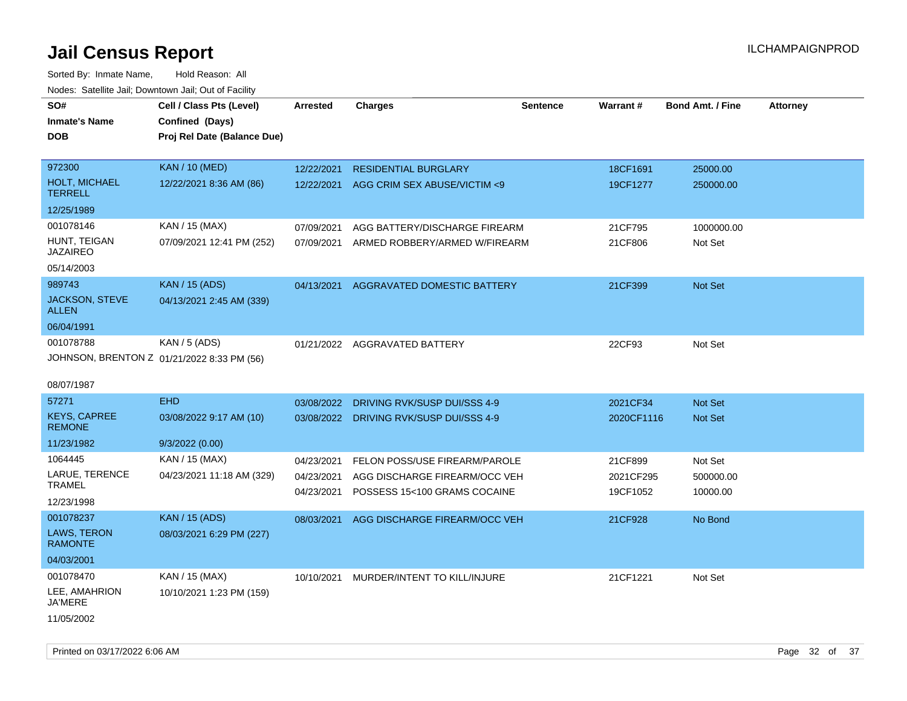Sorted By: Inmate Name, Hold Reason: All Nodes: Satellite Jail; Downtown Jail; Out of Facility

| roacs. Catellite Jall, Downtown Jall, Out of Facility |                                                                            |                 |                                         |                 |            |                         |                 |
|-------------------------------------------------------|----------------------------------------------------------------------------|-----------------|-----------------------------------------|-----------------|------------|-------------------------|-----------------|
| SO#<br><b>Inmate's Name</b><br><b>DOB</b>             | Cell / Class Pts (Level)<br>Confined (Days)<br>Proj Rel Date (Balance Due) | <b>Arrested</b> | <b>Charges</b>                          | <b>Sentence</b> | Warrant#   | <b>Bond Amt. / Fine</b> | <b>Attorney</b> |
|                                                       |                                                                            |                 |                                         |                 |            |                         |                 |
| 972300                                                | <b>KAN / 10 (MED)</b>                                                      | 12/22/2021      | <b>RESIDENTIAL BURGLARY</b>             |                 | 18CF1691   | 25000.00                |                 |
| <b>HOLT, MICHAEL</b><br><b>TERRELL</b>                | 12/22/2021 8:36 AM (86)                                                    | 12/22/2021      | AGG CRIM SEX ABUSE/VICTIM <9            |                 | 19CF1277   | 250000.00               |                 |
| 12/25/1989                                            |                                                                            |                 |                                         |                 |            |                         |                 |
| 001078146                                             | KAN / 15 (MAX)                                                             | 07/09/2021      | AGG BATTERY/DISCHARGE FIREARM           |                 | 21CF795    | 1000000.00              |                 |
| HUNT, TEIGAN<br><b>JAZAIREO</b>                       | 07/09/2021 12:41 PM (252)                                                  | 07/09/2021      | ARMED ROBBERY/ARMED W/FIREARM           |                 | 21CF806    | Not Set                 |                 |
| 05/14/2003                                            |                                                                            |                 |                                         |                 |            |                         |                 |
| 989743                                                | <b>KAN / 15 (ADS)</b>                                                      | 04/13/2021      | AGGRAVATED DOMESTIC BATTERY             |                 | 21CF399    | Not Set                 |                 |
| <b>JACKSON, STEVE</b><br><b>ALLEN</b>                 | 04/13/2021 2:45 AM (339)                                                   |                 |                                         |                 |            |                         |                 |
| 06/04/1991                                            |                                                                            |                 |                                         |                 |            |                         |                 |
| 001078788                                             | KAN / 5 (ADS)                                                              |                 | 01/21/2022 AGGRAVATED BATTERY           |                 | 22CF93     | Not Set                 |                 |
|                                                       | JOHNSON, BRENTON Z 01/21/2022 8:33 PM (56)                                 |                 |                                         |                 |            |                         |                 |
|                                                       |                                                                            |                 |                                         |                 |            |                         |                 |
| 08/07/1987                                            |                                                                            |                 |                                         |                 |            |                         |                 |
| 57271                                                 | <b>EHD</b>                                                                 | 03/08/2022      | DRIVING RVK/SUSP DUI/SSS 4-9            |                 | 2021CF34   | <b>Not Set</b>          |                 |
| <b>KEYS, CAPREE</b><br><b>REMONE</b>                  | 03/08/2022 9:17 AM (10)                                                    |                 | 03/08/2022 DRIVING RVK/SUSP DUI/SSS 4-9 |                 | 2020CF1116 | Not Set                 |                 |
| 11/23/1982                                            | 9/3/2022(0.00)                                                             |                 |                                         |                 |            |                         |                 |
| 1064445                                               | KAN / 15 (MAX)                                                             | 04/23/2021      | FELON POSS/USE FIREARM/PAROLE           |                 | 21CF899    | Not Set                 |                 |
| LARUE, TERENCE<br><b>TRAMEL</b>                       | 04/23/2021 11:18 AM (329)                                                  | 04/23/2021      | AGG DISCHARGE FIREARM/OCC VEH           |                 | 2021CF295  | 500000.00               |                 |
| 12/23/1998                                            |                                                                            | 04/23/2021      | POSSESS 15<100 GRAMS COCAINE            |                 | 19CF1052   | 10000.00                |                 |
| 001078237                                             | <b>KAN / 15 (ADS)</b>                                                      |                 |                                         |                 |            |                         |                 |
| LAWS, TERON<br><b>RAMONTE</b>                         | 08/03/2021 6:29 PM (227)                                                   | 08/03/2021      | AGG DISCHARGE FIREARM/OCC VEH           |                 | 21CF928    | No Bond                 |                 |
| 04/03/2001                                            |                                                                            |                 |                                         |                 |            |                         |                 |
| 001078470                                             | KAN / 15 (MAX)                                                             |                 | 10/10/2021 MURDER/INTENT TO KILL/INJURE |                 | 21CF1221   | Not Set                 |                 |
| LEE, AMAHRION<br>JA'MERE                              | 10/10/2021 1:23 PM (159)                                                   |                 |                                         |                 |            |                         |                 |
| 11/05/2002                                            |                                                                            |                 |                                         |                 |            |                         |                 |

Printed on 03/17/2022 6:06 AM Page 32 of 37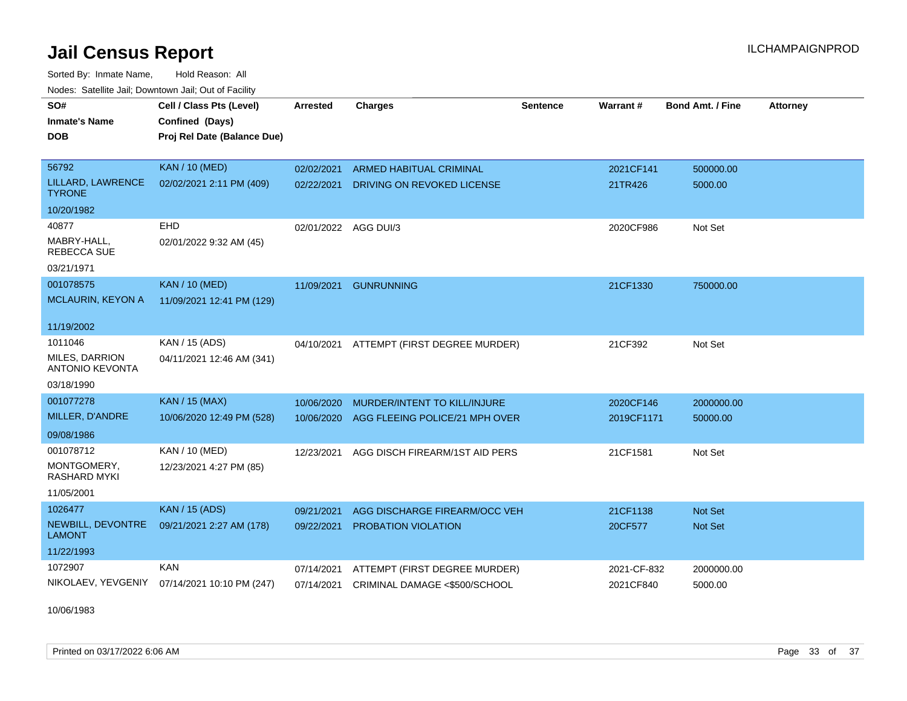Sorted By: Inmate Name, Hold Reason: All Nodes: Satellite Jail; Downtown Jail; Out of Facility

| <b>Neget Calculus Vall, Downlown Vall, Out of Fability</b> |                                                                            |                      |                                |                 |                 |                         |                 |
|------------------------------------------------------------|----------------------------------------------------------------------------|----------------------|--------------------------------|-----------------|-----------------|-------------------------|-----------------|
| SO#<br><b>Inmate's Name</b><br><b>DOB</b>                  | Cell / Class Pts (Level)<br>Confined (Days)<br>Proj Rel Date (Balance Due) | <b>Arrested</b>      | <b>Charges</b>                 | <b>Sentence</b> | <b>Warrant#</b> | <b>Bond Amt. / Fine</b> | <b>Attorney</b> |
|                                                            |                                                                            |                      |                                |                 |                 |                         |                 |
| 56792                                                      | <b>KAN / 10 (MED)</b>                                                      | 02/02/2021           | <b>ARMED HABITUAL CRIMINAL</b> |                 | 2021CF141       | 500000.00               |                 |
| LILLARD, LAWRENCE<br><b>TYRONE</b>                         | 02/02/2021 2:11 PM (409)                                                   | 02/22/2021           | DRIVING ON REVOKED LICENSE     |                 | 21TR426         | 5000.00                 |                 |
| 10/20/1982                                                 |                                                                            |                      |                                |                 |                 |                         |                 |
| 40877                                                      | EHD                                                                        | 02/01/2022 AGG DUI/3 |                                |                 | 2020CF986       | Not Set                 |                 |
| MABRY-HALL,<br>REBECCA SUE                                 | 02/01/2022 9:32 AM (45)                                                    |                      |                                |                 |                 |                         |                 |
| 03/21/1971                                                 |                                                                            |                      |                                |                 |                 |                         |                 |
| 001078575                                                  | <b>KAN / 10 (MED)</b>                                                      | 11/09/2021           | <b>GUNRUNNING</b>              |                 | 21CF1330        | 750000.00               |                 |
| <b>MCLAURIN, KEYON A</b>                                   | 11/09/2021 12:41 PM (129)                                                  |                      |                                |                 |                 |                         |                 |
| 11/19/2002                                                 |                                                                            |                      |                                |                 |                 |                         |                 |
| 1011046                                                    | KAN / 15 (ADS)                                                             | 04/10/2021           | ATTEMPT (FIRST DEGREE MURDER)  |                 | 21CF392         | Not Set                 |                 |
| MILES, DARRION<br><b>ANTONIO KEVONTA</b>                   | 04/11/2021 12:46 AM (341)                                                  |                      |                                |                 |                 |                         |                 |
| 03/18/1990                                                 |                                                                            |                      |                                |                 |                 |                         |                 |
| 001077278                                                  | <b>KAN / 15 (MAX)</b>                                                      | 10/06/2020           | MURDER/INTENT TO KILL/INJURE   |                 | 2020CF146       | 2000000.00              |                 |
| MILLER, D'ANDRE                                            | 10/06/2020 12:49 PM (528)                                                  | 10/06/2020           | AGG FLEEING POLICE/21 MPH OVER |                 | 2019CF1171      | 50000.00                |                 |
| 09/08/1986                                                 |                                                                            |                      |                                |                 |                 |                         |                 |
| 001078712                                                  | KAN / 10 (MED)                                                             | 12/23/2021           | AGG DISCH FIREARM/1ST AID PERS |                 | 21CF1581        | Not Set                 |                 |
| MONTGOMERY,<br><b>RASHARD MYKI</b>                         | 12/23/2021 4:27 PM (85)                                                    |                      |                                |                 |                 |                         |                 |
| 11/05/2001                                                 |                                                                            |                      |                                |                 |                 |                         |                 |
| 1026477                                                    | <b>KAN / 15 (ADS)</b>                                                      | 09/21/2021           | AGG DISCHARGE FIREARM/OCC VEH  |                 | 21CF1138        | <b>Not Set</b>          |                 |
| NEWBILL, DEVONTRE<br><b>LAMONT</b>                         | 09/21/2021 2:27 AM (178)                                                   | 09/22/2021           | <b>PROBATION VIOLATION</b>     |                 | 20CF577         | <b>Not Set</b>          |                 |
| 11/22/1993                                                 |                                                                            |                      |                                |                 |                 |                         |                 |
| 1072907                                                    | <b>KAN</b>                                                                 | 07/14/2021           | ATTEMPT (FIRST DEGREE MURDER)  |                 | 2021-CF-832     | 2000000.00              |                 |
|                                                            | NIKOLAEV, YEVGENIY 07/14/2021 10:10 PM (247)                               | 07/14/2021           | CRIMINAL DAMAGE <\$500/SCHOOL  |                 | 2021CF840       | 5000.00                 |                 |

10/06/1983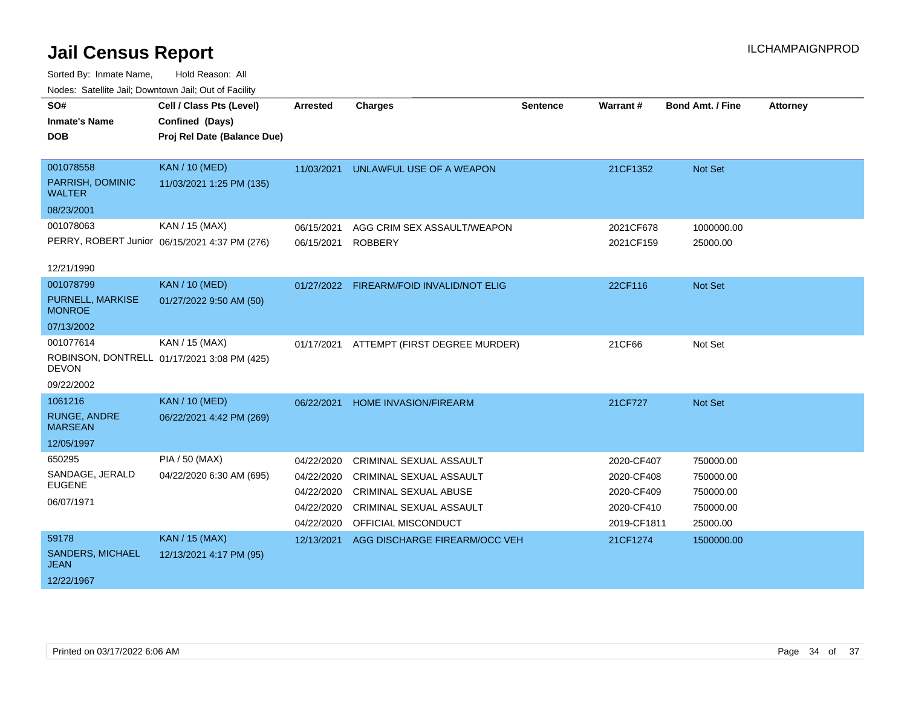| SO#<br><b>Inmate's Name</b>                                    | Cell / Class Pts (Level)<br>Confined (Days)                     | <b>Arrested</b>                                                    | <b>Charges</b>                                                                                                                                            | <b>Sentence</b> | Warrant#                                                            | <b>Bond Amt. / Fine</b>                                      | <b>Attorney</b> |
|----------------------------------------------------------------|-----------------------------------------------------------------|--------------------------------------------------------------------|-----------------------------------------------------------------------------------------------------------------------------------------------------------|-----------------|---------------------------------------------------------------------|--------------------------------------------------------------|-----------------|
| <b>DOB</b>                                                     | Proj Rel Date (Balance Due)                                     |                                                                    |                                                                                                                                                           |                 |                                                                     |                                                              |                 |
| 001078558<br>PARRISH, DOMINIC<br><b>WALTER</b><br>08/23/2001   | <b>KAN / 10 (MED)</b><br>11/03/2021 1:25 PM (135)               | 11/03/2021                                                         | UNLAWFUL USE OF A WEAPON                                                                                                                                  |                 | 21CF1352                                                            | Not Set                                                      |                 |
| 001078063<br>12/21/1990                                        | KAN / 15 (MAX)<br>PERRY, ROBERT Junior 06/15/2021 4:37 PM (276) | 06/15/2021<br>06/15/2021                                           | AGG CRIM SEX ASSAULT/WEAPON<br><b>ROBBERY</b>                                                                                                             |                 | 2021CF678<br>2021CF159                                              | 1000000.00<br>25000.00                                       |                 |
| 001078799<br>PURNELL, MARKISE<br><b>MONROE</b><br>07/13/2002   | <b>KAN / 10 (MED)</b><br>01/27/2022 9:50 AM (50)                |                                                                    | 01/27/2022 FIREARM/FOID INVALID/NOT ELIG                                                                                                                  |                 | 22CF116                                                             | Not Set                                                      |                 |
| 001077614<br><b>DEVON</b><br>09/22/2002                        | KAN / 15 (MAX)<br>ROBINSON, DONTRELL 01/17/2021 3:08 PM (425)   | 01/17/2021                                                         | ATTEMPT (FIRST DEGREE MURDER)                                                                                                                             |                 | 21CF66                                                              | Not Set                                                      |                 |
| 1061216<br><b>RUNGE, ANDRE</b><br><b>MARSEAN</b><br>12/05/1997 | <b>KAN / 10 (MED)</b><br>06/22/2021 4:42 PM (269)               | 06/22/2021                                                         | HOME INVASION/FIREARM                                                                                                                                     |                 | 21CF727                                                             | Not Set                                                      |                 |
| 650295<br>SANDAGE, JERALD<br><b>EUGENE</b><br>06/07/1971       | <b>PIA / 50 (MAX)</b><br>04/22/2020 6:30 AM (695)               | 04/22/2020<br>04/22/2020<br>04/22/2020<br>04/22/2020<br>04/22/2020 | <b>CRIMINAL SEXUAL ASSAULT</b><br><b>CRIMINAL SEXUAL ASSAULT</b><br><b>CRIMINAL SEXUAL ABUSE</b><br><b>CRIMINAL SEXUAL ASSAULT</b><br>OFFICIAL MISCONDUCT |                 | 2020-CF407<br>2020-CF408<br>2020-CF409<br>2020-CF410<br>2019-CF1811 | 750000.00<br>750000.00<br>750000.00<br>750000.00<br>25000.00 |                 |
| 59178<br><b>SANDERS, MICHAEL</b><br><b>JEAN</b><br>12/22/1967  | <b>KAN / 15 (MAX)</b><br>12/13/2021 4:17 PM (95)                | 12/13/2021                                                         | AGG DISCHARGE FIREARM/OCC VEH                                                                                                                             |                 | 21CF1274                                                            | 1500000.00                                                   |                 |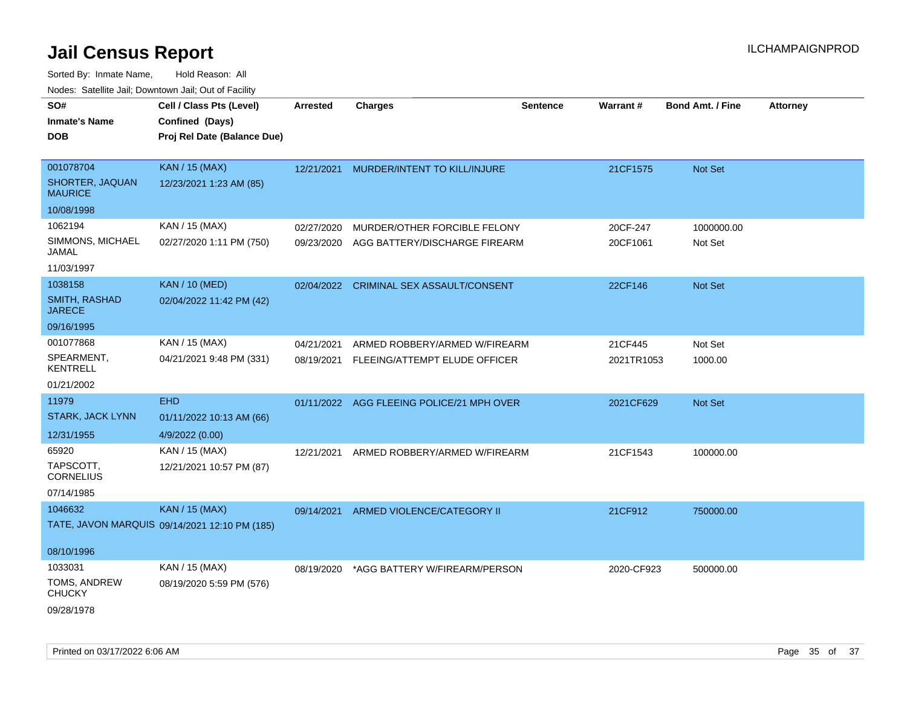| SO#<br><b>Inmate's Name</b><br><b>DOB</b>      | Cell / Class Pts (Level)<br>Confined (Days)<br>Proj Rel Date (Balance Due) | <b>Arrested</b>          | <b>Charges</b>                                                | <b>Sentence</b> | <b>Warrant#</b>      | <b>Bond Amt. / Fine</b> | <b>Attorney</b> |
|------------------------------------------------|----------------------------------------------------------------------------|--------------------------|---------------------------------------------------------------|-----------------|----------------------|-------------------------|-----------------|
| 001078704<br>SHORTER, JAQUAN<br><b>MAURICE</b> | <b>KAN / 15 (MAX)</b><br>12/23/2021 1:23 AM (85)                           | 12/21/2021               | MURDER/INTENT TO KILL/INJURE                                  |                 | 21CF1575             | Not Set                 |                 |
| 10/08/1998                                     |                                                                            |                          |                                                               |                 |                      |                         |                 |
| 1062194<br>SIMMONS, MICHAEL<br>JAMAL           | KAN / 15 (MAX)<br>02/27/2020 1:11 PM (750)                                 | 02/27/2020<br>09/23/2020 | MURDER/OTHER FORCIBLE FELONY<br>AGG BATTERY/DISCHARGE FIREARM |                 | 20CF-247<br>20CF1061 | 1000000.00<br>Not Set   |                 |
| 11/03/1997                                     |                                                                            |                          |                                                               |                 |                      |                         |                 |
| 1038158<br>SMITH, RASHAD<br><b>JARECE</b>      | <b>KAN / 10 (MED)</b><br>02/04/2022 11:42 PM (42)                          | 02/04/2022               | CRIMINAL SEX ASSAULT/CONSENT                                  |                 | 22CF146              | Not Set                 |                 |
| 09/16/1995                                     |                                                                            |                          |                                                               |                 |                      |                         |                 |
| 001077868                                      | KAN / 15 (MAX)                                                             | 04/21/2021               | ARMED ROBBERY/ARMED W/FIREARM                                 |                 | 21CF445              | Not Set                 |                 |
| SPEARMENT,<br><b>KENTRELL</b>                  | 04/21/2021 9:48 PM (331)                                                   |                          | 08/19/2021 FLEEING/ATTEMPT ELUDE OFFICER                      |                 | 2021TR1053           | 1000.00                 |                 |
| 01/21/2002                                     |                                                                            |                          |                                                               |                 |                      |                         |                 |
| 11979                                          | <b>EHD</b>                                                                 |                          | 01/11/2022 AGG FLEEING POLICE/21 MPH OVER                     |                 | 2021CF629            | Not Set                 |                 |
| STARK, JACK LYNN                               | 01/11/2022 10:13 AM (66)                                                   |                          |                                                               |                 |                      |                         |                 |
| 12/31/1955                                     | 4/9/2022 (0.00)                                                            |                          |                                                               |                 |                      |                         |                 |
| 65920<br>TAPSCOTT,<br><b>CORNELIUS</b>         | KAN / 15 (MAX)<br>12/21/2021 10:57 PM (87)                                 | 12/21/2021               | ARMED ROBBERY/ARMED W/FIREARM                                 |                 | 21CF1543             | 100000.00               |                 |
| 07/14/1985                                     |                                                                            |                          |                                                               |                 |                      |                         |                 |
| 1046632                                        | <b>KAN / 15 (MAX)</b><br>TATE, JAVON MARQUIS 09/14/2021 12:10 PM (185)     | 09/14/2021               | ARMED VIOLENCE/CATEGORY II                                    |                 | 21CF912              | 750000.00               |                 |
| 08/10/1996                                     |                                                                            |                          |                                                               |                 |                      |                         |                 |
| 1033031                                        | KAN / 15 (MAX)                                                             | 08/19/2020               | *AGG BATTERY W/FIREARM/PERSON                                 |                 | 2020-CF923           | 500000.00               |                 |
| TOMS, ANDREW<br><b>CHUCKY</b>                  | 08/19/2020 5:59 PM (576)                                                   |                          |                                                               |                 |                      |                         |                 |
| 09/28/1978                                     |                                                                            |                          |                                                               |                 |                      |                         |                 |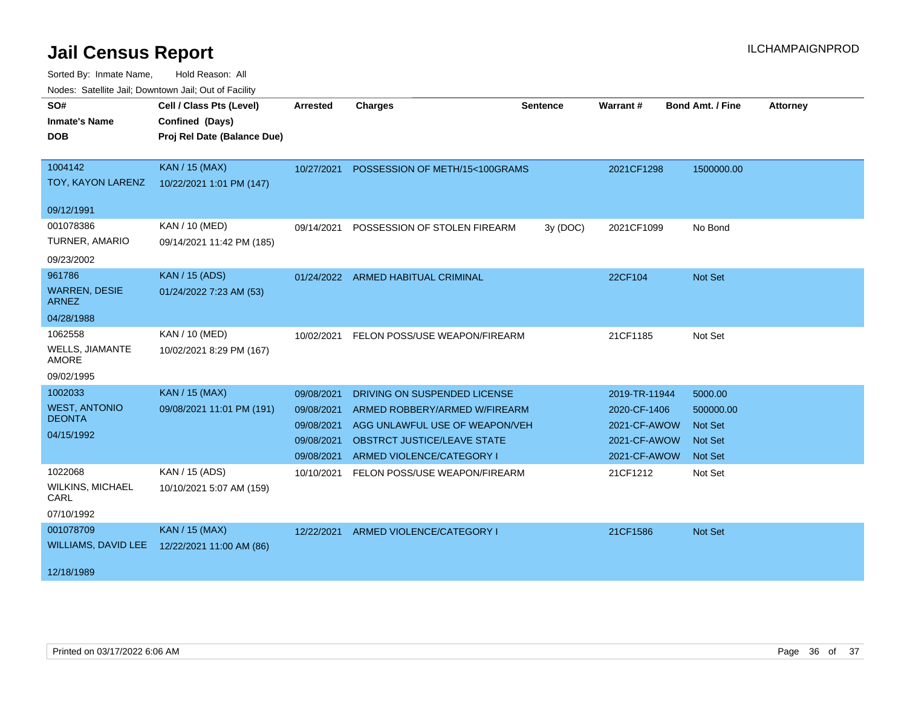| <u>Houce.</u> Catoling bail, Downtown bail, Out of Fability<br>SO# | Cell / Class Pts (Level)    |                 | <b>Charges</b>                            | <b>Sentence</b> | Warrant#      | <b>Bond Amt. / Fine</b> | <b>Attorney</b> |
|--------------------------------------------------------------------|-----------------------------|-----------------|-------------------------------------------|-----------------|---------------|-------------------------|-----------------|
|                                                                    |                             | <b>Arrested</b> |                                           |                 |               |                         |                 |
| <b>Inmate's Name</b>                                               | Confined (Days)             |                 |                                           |                 |               |                         |                 |
| <b>DOB</b>                                                         | Proj Rel Date (Balance Due) |                 |                                           |                 |               |                         |                 |
| 1004142                                                            | <b>KAN / 15 (MAX)</b>       |                 | 10/27/2021 POSSESSION OF METH/15<100GRAMS |                 | 2021CF1298    | 1500000.00              |                 |
| TOY, KAYON LARENZ                                                  | 10/22/2021 1:01 PM (147)    |                 |                                           |                 |               |                         |                 |
|                                                                    |                             |                 |                                           |                 |               |                         |                 |
| 09/12/1991                                                         |                             |                 |                                           |                 |               |                         |                 |
| 001078386                                                          | <b>KAN / 10 (MED)</b>       | 09/14/2021      | POSSESSION OF STOLEN FIREARM              | 3y (DOC)        | 2021CF1099    | No Bond                 |                 |
| TURNER, AMARIO                                                     | 09/14/2021 11:42 PM (185)   |                 |                                           |                 |               |                         |                 |
| 09/23/2002                                                         |                             |                 |                                           |                 |               |                         |                 |
| 961786                                                             | <b>KAN / 15 (ADS)</b>       |                 | 01/24/2022 ARMED HABITUAL CRIMINAL        |                 | 22CF104       | Not Set                 |                 |
| <b>WARREN, DESIE</b><br><b>ARNEZ</b>                               | 01/24/2022 7:23 AM (53)     |                 |                                           |                 |               |                         |                 |
| 04/28/1988                                                         |                             |                 |                                           |                 |               |                         |                 |
| 1062558                                                            | <b>KAN / 10 (MED)</b>       | 10/02/2021      | FELON POSS/USE WEAPON/FIREARM             |                 | 21CF1185      | Not Set                 |                 |
| <b>WELLS, JIAMANTE</b><br><b>AMORE</b>                             | 10/02/2021 8:29 PM (167)    |                 |                                           |                 |               |                         |                 |
| 09/02/1995                                                         |                             |                 |                                           |                 |               |                         |                 |
| 1002033                                                            | <b>KAN / 15 (MAX)</b>       | 09/08/2021      | DRIVING ON SUSPENDED LICENSE              |                 | 2019-TR-11944 | 5000.00                 |                 |
| <b>WEST, ANTONIO</b>                                               | 09/08/2021 11:01 PM (191)   | 09/08/2021      | ARMED ROBBERY/ARMED W/FIREARM             |                 | 2020-CF-1406  | 500000.00               |                 |
| <b>DEONTA</b>                                                      |                             | 09/08/2021      | AGG UNLAWFUL USE OF WEAPON/VEH            |                 | 2021-CF-AWOW  | <b>Not Set</b>          |                 |
| 04/15/1992                                                         |                             | 09/08/2021      | <b>OBSTRCT JUSTICE/LEAVE STATE</b>        |                 | 2021-CF-AWOW  | <b>Not Set</b>          |                 |
|                                                                    |                             | 09/08/2021      | ARMED VIOLENCE/CATEGORY I                 |                 | 2021-CF-AWOW  | <b>Not Set</b>          |                 |
| 1022068                                                            | KAN / 15 (ADS)              | 10/10/2021      | FELON POSS/USE WEAPON/FIREARM             |                 | 21CF1212      | Not Set                 |                 |
| <b>WILKINS, MICHAEL</b><br>CARL                                    | 10/10/2021 5:07 AM (159)    |                 |                                           |                 |               |                         |                 |
| 07/10/1992                                                         |                             |                 |                                           |                 |               |                         |                 |
| 001078709                                                          | KAN / 15 (MAX)              | 12/22/2021      | ARMED VIOLENCE/CATEGORY I                 |                 | 21CF1586      | Not Set                 |                 |
| WILLIAMS, DAVID LEE                                                | 12/22/2021 11:00 AM (86)    |                 |                                           |                 |               |                         |                 |
|                                                                    |                             |                 |                                           |                 |               |                         |                 |
| 12/18/1989                                                         |                             |                 |                                           |                 |               |                         |                 |